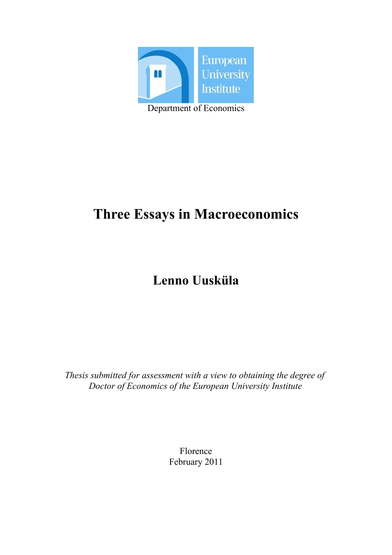

# **Three Essays in Macroeconomics**

# **Lenno Uusküla**

*Thesis submitted for assessment with a view to obtaining the degree of Doctor of Economics of the European University Institute*

> Florence February 2011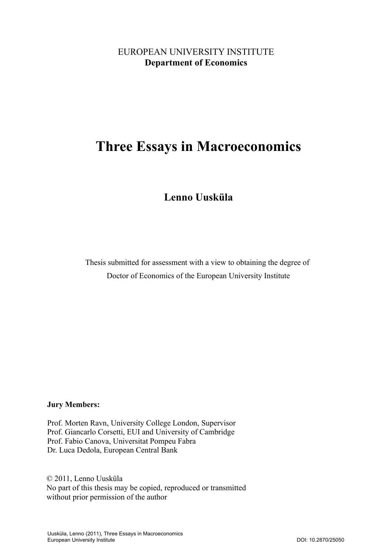## EUROPEAN UNIVERSITY INSTITUTE **Department of Economics**

# **Three Essays in Macroeconomics**

# **Lenno Uusküla**

Thesis submitted for assessment with a view to obtaining the degree of Doctor of Economics of the European University Institute

#### **Jury Members:**

Prof. Morten Ravn, University College London, Supervisor Prof. Giancarlo Corsetti, EUI and University of Cambridge Prof. Fabio Canova, Universitat Pompeu Fabra Dr. Luca Dedola, European Central Bank

© 2011, Lenno Uusküla No part of this thesis may be copied, reproduced or transmitted without prior permission of the author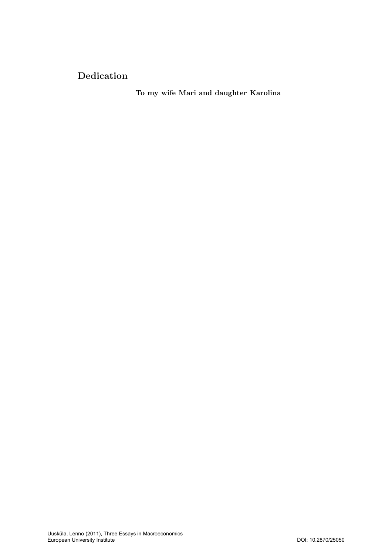## **Dedication**

**To my wife Mari and daughter Karolina**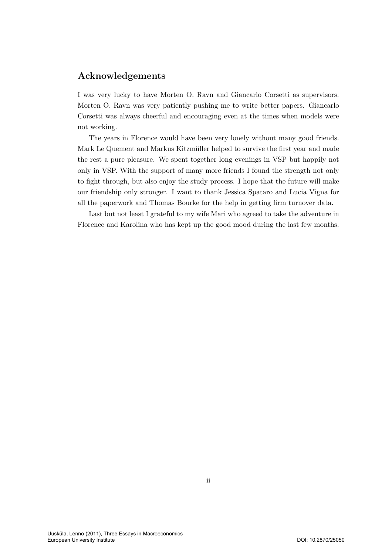## **Acknowledgements**

I was very lucky to have Morten O. Ravn and Giancarlo Corsetti as supervisors. Morten O. Ravn was very patiently pushing me to write better papers. Giancarlo Corsetti was always cheerful and encouraging even at the times when models were not working.

The years in Florence would have been very lonely without many good friends. Mark Le Quement and Markus Kitzmüller helped to survive the first year and made the rest a pure pleasure. We spent together long evenings in VSP but happily not only in VSP. With the support of many more friends I found the strength not only to fight through, but also enjoy the study process. I hope that the future will make our friendship only stronger. I want to thank Jessica Spataro and Lucia Vigna for all the paperwork and Thomas Bourke for the help in getting firm turnover data.

Last but not least I grateful to my wife Mari who agreed to take the adventure in Florence and Karolina who has kept up the good mood during the last few months.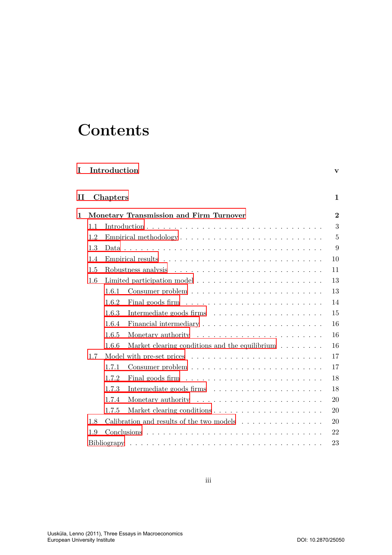# **Contents**

| I  |     | Introduction |                                                                          | V                |
|----|-----|--------------|--------------------------------------------------------------------------|------------------|
| II |     | Chapters     |                                                                          | $\mathbf{1}$     |
| 1  |     |              | <b>Monetary Transmission and Firm Turnover</b>                           | $\overline{2}$   |
|    | 1.1 |              |                                                                          | $\boldsymbol{3}$ |
|    | 1.2 |              | Empirical methodology                                                    | $\overline{5}$   |
|    | 1.3 |              |                                                                          | 9                |
|    | 1.4 |              |                                                                          | 10               |
|    | 1.5 |              |                                                                          | 11               |
|    | 1.6 |              |                                                                          | 13               |
|    |     | 1.6.1        |                                                                          | 13               |
|    |     | 1.6.2        | Final goods firm $\dots \dots \dots \dots \dots \dots \dots \dots \dots$ | 14               |
|    |     | 1.6.3        |                                                                          | 15               |
|    |     | 1.6.4        |                                                                          | 16               |
|    |     | 1.6.5        |                                                                          | $16\,$           |
|    |     | 1.6.6        | Market clearing conditions and the equilibrium                           | 16               |
|    | 1.7 |              |                                                                          | 17               |
|    |     | 1.7.1        |                                                                          | 17               |
|    |     | 1.7.2        |                                                                          | 18               |
|    |     | 1.7.3        |                                                                          | 18               |
|    |     | 1.7.4        |                                                                          | 20               |
|    |     | 1.7.5        |                                                                          | 20               |
|    | 1.8 |              | Calibration and results of the two models                                | 20               |
|    | 1.9 |              |                                                                          | 22               |
|    |     |              |                                                                          | 23               |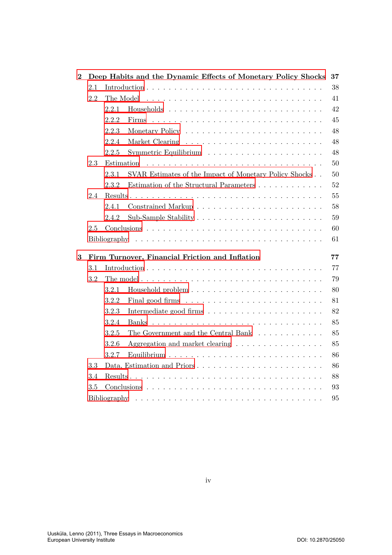| $\bf{2}$ |     | Deep Habits and the Dynamic Effects of Monetary Policy Shocks   | 37 |
|----------|-----|-----------------------------------------------------------------|----|
|          | 2.1 |                                                                 | 38 |
|          | 2.2 | The Model                                                       | 41 |
|          |     | 2.2.1                                                           | 42 |
|          |     | 2.2.2                                                           | 45 |
|          |     | 2.2.3                                                           | 48 |
|          |     | 2.2.4                                                           | 48 |
|          |     | 2.2.5                                                           | 48 |
|          | 2.3 | Estimation                                                      | 50 |
|          |     | 2.3.1<br>SVAR Estimates of the Impact of Monetary Policy Shocks | 50 |
|          |     | Estimation of the Structural Parameters<br>2.3.2                | 52 |
|          | 2.4 |                                                                 | 55 |
|          |     | 2.4.1                                                           | 58 |
|          |     | 2.4.2                                                           | 59 |
|          | 2.5 |                                                                 | 60 |
|          |     |                                                                 | 61 |
| 3        |     | Firm Turnover, Financial Friction and Inflation                 | 77 |
|          | 3.1 |                                                                 | 77 |
|          | 3.2 |                                                                 | 79 |
|          |     | 3.2.1                                                           | 80 |
|          |     | 3.2.2                                                           | 81 |
|          |     | 3.2.3                                                           | 82 |
|          |     | 3.2.4                                                           | 85 |
|          |     | 3.2.5<br>The Government and the Central Bank                    | 85 |
|          |     | 3.2.6<br>Aggregation and market clearing                        | 85 |
|          |     | 3.2.7                                                           | 86 |
|          | 3.3 | Data, Estimation and Priors                                     | 86 |
|          | 3.4 |                                                                 | 88 |
|          | 3.5 |                                                                 | 93 |
|          |     |                                                                 | 95 |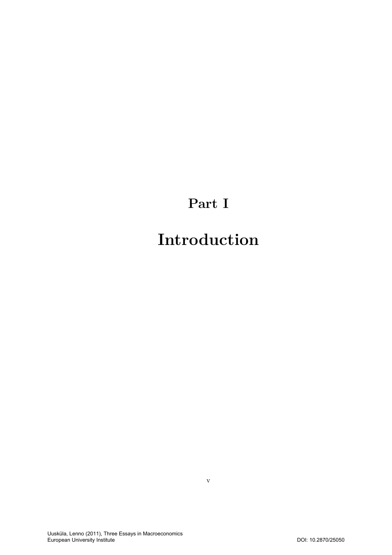# **Part I**

# <span id="page-6-0"></span>**Introduction**

v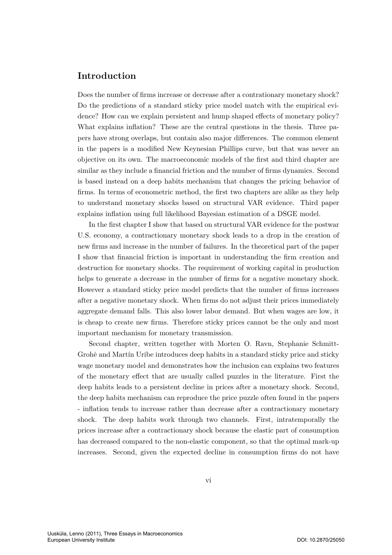### **Introduction**

Does the number of firms increase or decrease after a contrationary monetary shock? Do the predictions of a standard sticky price model match with the empirical evidence? How can we explain persistent and hump shaped effects of monetary policy? What explains inflation? These are the central questions in the thesis. Three papers have strong overlaps, but contain also major differences. The common element in the papers is a modified New Keynesian Phillips curve, but that was never an objective on its own. The macroeconomic models of the first and third chapter are similar as they include a financial friction and the number of firms dynamics. Second is based instead on a deep habits mechanism that changes the pricing behavior of firms. In terms of econometric method, the first two chapters are alike as they help to understand monetary shocks based on structural VAR evidence. Third paper explains inflation using full likelihood Bayesian estimation of a DSGE model.

In the first chapter I show that based on structural VAR evidence for the postwar U.S. economy, a contractionary monetary shock leads to a drop in the creation of new firms and increase in the number of failures. In the theoretical part of the paper I show that financial friction is important in understanding the firm creation and destruction for monetary shocks. The requirement of working capital in production helps to generate a decrease in the number of firms for a negative monetary shock. However a standard sticky price model predicts that the number of firms increases after a negative monetary shock. When firms do not adjust their prices immediately aggregate demand falls. This also lower labor demand. But when wages are low, it is cheap to create new firms. Therefore sticky prices cannot be the only and most important mechanism for monetary transmission.

Second chapter, written together with Morten O. Ravn, Stephanie Schmitt-Grohė and Martín Uribe introduces deep habits in a standard sticky price and sticky wage monetary model and demonstrates how the inclusion can explains two features of the monetary effect that are usually called puzzles in the literature. First the deep habits leads to a persistent decline in prices after a monetary shock. Second, the deep habits mechanism can reproduce the price puzzle often found in the papers - inflation tends to increase rather than decrease after a contractionary monetary shock. The deep habits work through two channels. First, intratemporally the prices increase after a contractionary shock because the elastic part of consumption has decreased compared to the non-elastic component, so that the optimal mark-up increases. Second, given the expected decline in consumption firms do not have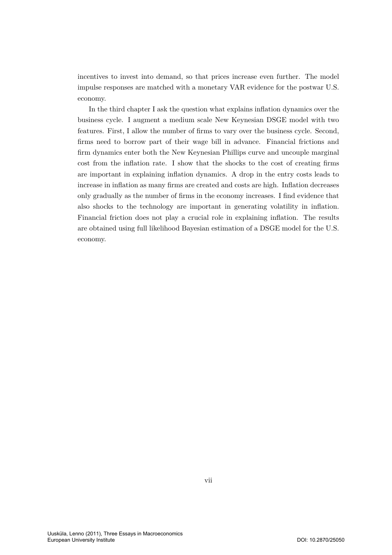incentives to invest into demand, so that prices increase even further. The model impulse responses are matched with a monetary VAR evidence for the postwar U.S. economy.

In the third chapter I ask the question what explains inflation dynamics over the business cycle. I augment a medium scale New Keynesian DSGE model with two features. First, I allow the number of firms to vary over the business cycle. Second, firms need to borrow part of their wage bill in advance. Financial frictions and firm dynamics enter both the New Keynesian Phillips curve and uncouple marginal cost from the inflation rate. I show that the shocks to the cost of creating firms are important in explaining inflation dynamics. A drop in the entry costs leads to increase in inflation as many firms are created and costs are high. Inflation decreases only gradually as the number of firms in the economy increases. I find evidence that also shocks to the technology are important in generating volatility in inflation. Financial friction does not play a crucial role in explaining inflation. The results are obtained using full likelihood Bayesian estimation of a DSGE model for the U.S. economy.

vii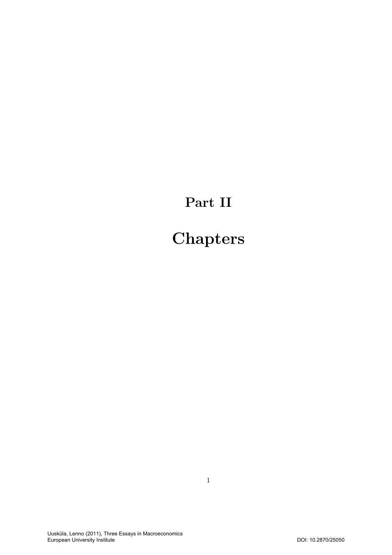# <span id="page-9-0"></span>**Part II**

# **Chapters**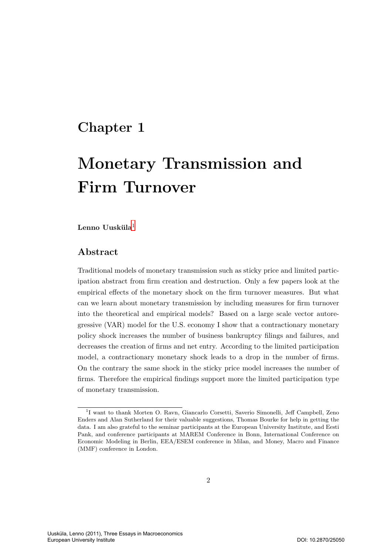# <span id="page-10-0"></span>**Chapter 1**

# **Monetary Transmission and Firm Turnover**

#### **Lenno Uusküla**[1](#page-10-1)

### **Abstract**

Traditional models of monetary transmission such as sticky price and limited participation abstract from firm creation and destruction. Only a few papers look at the empirical effects of the monetary shock on the firm turnover measures. But what can we learn about monetary transmission by including measures for firm turnover into the theoretical and empirical models? Based on a large scale vector autoregressive (VAR) model for the U.S. economy I show that a contractionary monetary policy shock increases the number of business bankruptcy filings and failures, and decreases the creation of firms and net entry. According to the limited participation model, a contractionary monetary shock leads to a drop in the number of firms. On the contrary the same shock in the sticky price model increases the number of firms. Therefore the empirical findings support more the limited participation type of monetary transmission.

<span id="page-10-1"></span><sup>&</sup>lt;sup>1</sup>I want to thank Morten O. Ravn, Giancarlo Corsetti, Saverio Simonelli, Jeff Campbell, Zeno Enders and Alan Sutherland for their valuable suggestions, Thomas Bourke for help in getting the data. I am also grateful to the seminar participants at the European University Institute, and Eesti Pank, and conference participants at MAREM Conference in Bonn, International Conference on Economic Modeling in Berlin, EEA/ESEM conference in Milan, and Money, Macro and Finance (MMF) conference in London.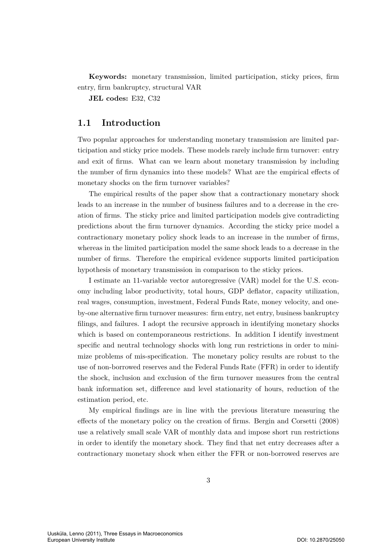**Keywords:** monetary transmission, limited participation, sticky prices, firm entry, firm bankruptcy, structural VAR

<span id="page-11-0"></span>**JEL codes:** E32, C32

### **1.1 Introduction**

Two popular approaches for understanding monetary transmission are limited participation and sticky price models. These models rarely include firm turnover: entry and exit of firms. What can we learn about monetary transmission by including the number of firm dynamics into these models? What are the empirical effects of monetary shocks on the firm turnover variables?

The empirical results of the paper show that a contractionary monetary shock leads to an increase in the number of business failures and to a decrease in the creation of firms. The sticky price and limited participation models give contradicting predictions about the firm turnover dynamics. According the sticky price model a contractionary monetary policy shock leads to an increase in the number of firms, whereas in the limited participation model the same shock leads to a decrease in the number of firms. Therefore the empirical evidence supports limited participation hypothesis of monetary transmission in comparison to the sticky prices.

I estimate an 11-variable vector autoregressive (VAR) model for the U.S. economy including labor productivity, total hours, GDP deflator, capacity utilization, real wages, consumption, investment, Federal Funds Rate, money velocity, and oneby-one alternative firm turnover measures: firm entry, net entry, business bankruptcy filings, and failures. I adopt the recursive approach in identifying monetary shocks which is based on contemporaneous restrictions. In addition I identify investment specific and neutral technology shocks with long run restrictions in order to minimize problems of mis-specification. The monetary policy results are robust to the use of non-borrowed reserves and the Federal Funds Rate (FFR) in order to identify the shock, inclusion and exclusion of the firm turnover measures from the central bank information set, difference and level stationarity of hours, reduction of the estimation period, etc.

My empirical findings are in line with the previous literature measuring the effects of the monetary policy on the creation of firms. Bergin and Corsetti (2008) use a relatively small scale VAR of monthly data and impose short run restrictions in order to identify the monetary shock. They find that net entry decreases after a contractionary monetary shock when either the FFR or non-borrowed reserves are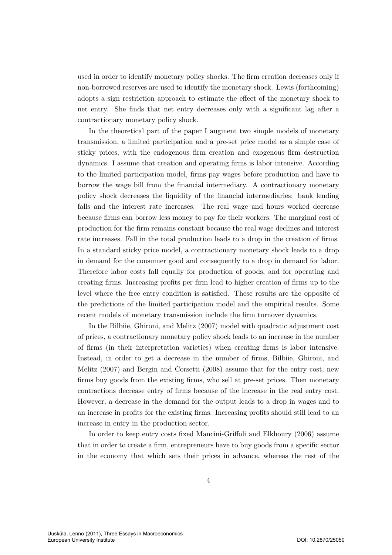used in order to identify monetary policy shocks. The firm creation decreases only if non-borrowed reserves are used to identify the monetary shock. Lewis (forthcoming) adopts a sign restriction approach to estimate the effect of the monetary shock to net entry. She finds that net entry decreases only with a significant lag after a contractionary monetary policy shock.

In the theoretical part of the paper I augment two simple models of monetary transmission, a limited participation and a pre-set price model as a simple case of sticky prices, with the endogenous firm creation and exogenous firm destruction dynamics. I assume that creation and operating firms is labor intensive. According to the limited participation model, firms pay wages before production and have to borrow the wage bill from the financial intermediary. A contractionary monetary policy shock decreases the liquidity of the financial intermediaries: bank lending falls and the interest rate increases. The real wage and hours worked decrease because firms can borrow less money to pay for their workers. The marginal cost of production for the firm remains constant because the real wage declines and interest rate increases. Fall in the total production leads to a drop in the creation of firms. In a standard sticky price model, a contractionary monetary shock leads to a drop in demand for the consumer good and consequently to a drop in demand for labor. Therefore labor costs fall equally for production of goods, and for operating and creating firms. Increasing profits per firm lead to higher creation of firms up to the level where the free entry condition is satisfied. These results are the opposite of the predictions of the limited participation model and the empirical results. Some recent models of monetary transmission include the firm turnover dynamics.

In the Bilbiie, Ghironi, and Melitz (2007) model with quadratic adjustment cost of prices, a contractionary monetary policy shock leads to an increase in the number of firms (in their interpretation varieties) when creating firms is labor intensive. Instead, in order to get a decrease in the number of firms, Bilbiie, Ghironi, and Melitz (2007) and Bergin and Corsetti (2008) assume that for the entry cost, new firms buy goods from the existing firms, who sell at pre-set prices. Then monetary contractions decrease entry of firms because of the increase in the real entry cost. However, a decrease in the demand for the output leads to a drop in wages and to an increase in profits for the existing firms. Increasing profits should still lead to an increase in entry in the production sector.

In order to keep entry costs fixed Mancini-Griffoli and Elkhoury (2006) assume that in order to create a firm, entrepreneurs have to buy goods from a specific sector in the economy that which sets their prices in advance, whereas the rest of the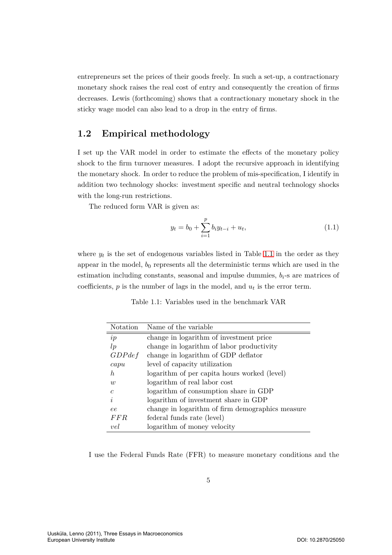entrepreneurs set the prices of their goods freely. In such a set-up, a contractionary monetary shock raises the real cost of entry and consequently the creation of firms decreases. Lewis (forthcoming) shows that a contractionary monetary shock in the sticky wage model can also lead to a drop in the entry of firms.

## <span id="page-13-0"></span>**1.2 Empirical methodology**

I set up the VAR model in order to estimate the effects of the monetary policy shock to the firm turnover measures. I adopt the recursive approach in identifying the monetary shock. In order to reduce the problem of mis-specification, I identify in addition two technology shocks: investment specific and neutral technology shocks with the long-run restrictions.

The reduced form VAR is given as:

$$
y_t = b_0 + \sum_{i=1}^p b_i y_{t-i} + u_t,
$$
\n(1.1)

<span id="page-13-1"></span>where  $y_t$  is the set of endogenous variables listed in Table [1.1](#page-13-1) in the order as they appear in the model,  $b_0$  represents all the deterministic terms which are used in the estimation including constants, seasonal and impulse dummies,  $b_i$ -s are matrices of coefficients,  $p$  is the number of lags in the model, and  $u_t$  is the error term.

| Notation      | Name of the variable                             |
|---------------|--------------------------------------------------|
| ip            | change in logarithm of investment price          |
| l p           | change in logarithm of labor productivity        |
| GDPdef        | change in logarithm of GDP deflator              |
| capu          | level of capacity utilization                    |
| h.            | logarithm of per capita hours worked (level)     |
| w             | logarithm of real labor cost                     |
| $\mathfrak c$ | logarithm of consumption share in GDP            |
| $\dot{i}$     | logarithm of investment share in GDP             |
| ee            | change in logarithm of firm demographics measure |
| <i>FFR</i>    | federal funds rate (level)                       |
| vel           | logarithm of money velocity                      |

Table 1.1: Variables used in the benchmark VAR

I use the Federal Funds Rate (FFR) to measure monetary conditions and the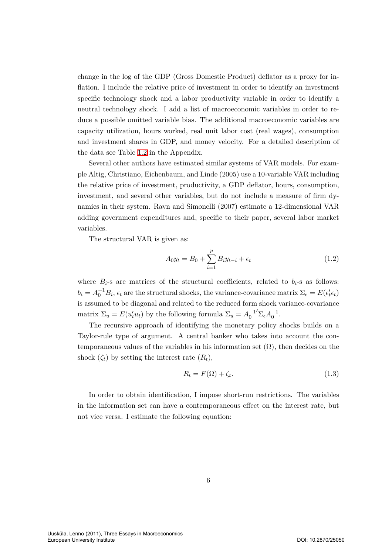change in the log of the GDP (Gross Domestic Product) deflator as a proxy for inflation. I include the relative price of investment in order to identify an investment specific technology shock and a labor productivity variable in order to identify a neutral technology shock. I add a list of macroeconomic variables in order to reduce a possible omitted variable bias. The additional macroeconomic variables are capacity utilization, hours worked, real unit labor cost (real wages), consumption and investment shares in GDP, and money velocity. For a detailed description of the data see Table [1.2](#page-35-0) in the Appendix.

Several other authors have estimated similar systems of VAR models. For example Altig, Christiano, Eichenbaum, and Linde (2005) use a 10-variable VAR including the relative price of investment, productivity, a GDP deflator, hours, consumption, investment, and several other variables, but do not include a measure of firm dynamics in their system. Ravn and Simonelli (2007) estimate a 12-dimensional VAR adding government expenditures and, specific to their paper, several labor market variables.

The structural VAR is given as:

$$
A_0 y_t = B_0 + \sum_{i=1}^p B_i y_{t-i} + \epsilon_t \tag{1.2}
$$

where  $B_i$ -s are matrices of the structural coefficients, related to  $b_i$ -s as follows:  $b_i = A_0^{-1}B_i$ ,  $\epsilon_t$  are the structural shocks, the variance-covariance matrix  $\Sigma_{\epsilon} = E(\epsilon_t^{\prime})$  $t'$ <sub> $t$ </sub> $(t)$ is assumed to be diagonal and related to the reduced form shock variance-covariance matrix  $\Sigma_u = E(u'_t u_t)$  by the following formula  $\Sigma_u = A_0^{-1}$  $'\Sigma_{\epsilon}A_0^{-1}.$ 

The recursive approach of identifying the monetary policy shocks builds on a Taylor-rule type of argument. A central banker who takes into account the contemporaneous values of the variables in his information set  $(\Omega)$ , then decides on the shock  $(\zeta_t)$  by setting the interest rate  $(R_t)$ ,

$$
R_t = F(\Omega) + \zeta_t. \tag{1.3}
$$

In order to obtain identification, I impose short-run restrictions. The variables in the information set can have a contemporaneous effect on the interest rate, but not vice versa. I estimate the following equation: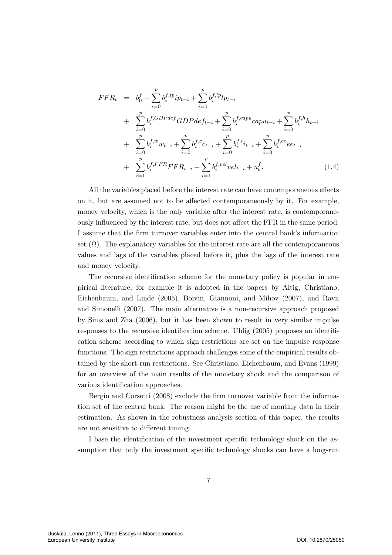$$
FFR_{t} = b_{0}^{f} + \sum_{i=0}^{p} b_{i}^{f,ip} ip_{t-i} + \sum_{i=0}^{p} b_{i}^{f,lp} lp_{t-i}
$$
  
+ 
$$
\sum_{i=0}^{p} b_{i}^{f,GDPdef} GDPdef_{t-i} + \sum_{i=0}^{p} b_{i}^{f, capu} capu_{t-i} + \sum_{i=0}^{p} b_{i}^{f, h} h_{t-i}
$$
  
+ 
$$
\sum_{i=0}^{p} b_{i}^{f, w} w_{t-i} + \sum_{i=0}^{p} b_{i}^{f, c} c_{t-i} + \sum_{i=0}^{p} b_{i}^{f, i} i_{t-i} + \sum_{i=0}^{p} b_{i}^{f, ee} e_{t-i}
$$
  
+ 
$$
\sum_{i=1}^{p} b_{i}^{f, FFR} FFR_{t-i} + \sum_{i=1}^{p} b_{i}^{f, vel} vel_{t-i} + u_{t}^{f}.
$$
 (1.4)

All the variables placed before the interest rate can have contemporaneous effects on it, but are assumed not to be affected contemporaneously by it. For example, money velocity, which is the only variable after the interest rate, is contemporaneously influenced by the interest rate, but does not affect the FFR in the same period. I assume that the firm turnover variables enter into the central bank's information set  $(\Omega)$ . The explanatory variables for the interest rate are all the contemporaneous values and lags of the variables placed before it, plus the lags of the interest rate and money velocity.

The recursive identification scheme for the monetary policy is popular in empirical literature, for example it is adopted in the papers by Altig, Christiano, Eichenbaum, and Linde (2005), Boivin, Giannoni, and Mihov (2007), and Ravn and Simonelli (2007). The main alternative is a non-recursive approach proposed by Sims and Zha (2006), but it has been shown to result in very similar impulse responses to the recursive identification scheme. Uhlig (2005) proposes an identification scheme according to which sign restrictions are set on the impulse response functions. The sign restrictions approach challenges some of the empirical results obtained by the short-run restrictions. See Christiano, Eichenbaum, and Evans (1999) for an overview of the main results of the monetary shock and the comparison of various identification approaches.

Bergin and Corsetti (2008) exclude the firm turnover variable from the information set of the central bank. The reason might be the use of monthly data in their estimation. As shown in the robustness analysis section of this paper, the results are not sensitive to different timing.

I base the identification of the investment specific technology shock on the assumption that only the investment specific technology shocks can have a long-run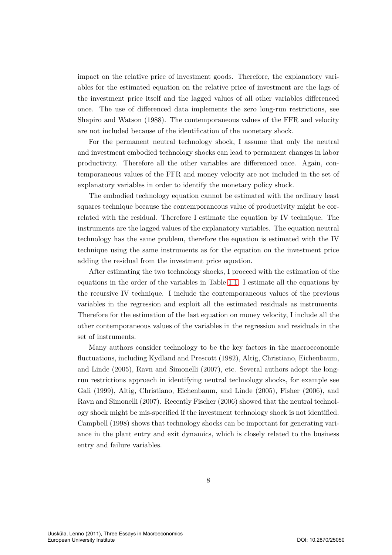impact on the relative price of investment goods. Therefore, the explanatory variables for the estimated equation on the relative price of investment are the lags of the investment price itself and the lagged values of all other variables differenced once. The use of differenced data implements the zero long-run restrictions, see Shapiro and Watson (1988). The contemporaneous values of the FFR and velocity are not included because of the identification of the monetary shock.

For the permanent neutral technology shock, I assume that only the neutral and investment embodied technology shocks can lead to permanent changes in labor productivity. Therefore all the other variables are differenced once. Again, contemporaneous values of the FFR and money velocity are not included in the set of explanatory variables in order to identify the monetary policy shock.

The embodied technology equation cannot be estimated with the ordinary least squares technique because the contemporaneous value of productivity might be correlated with the residual. Therefore I estimate the equation by IV technique. The instruments are the lagged values of the explanatory variables. The equation neutral technology has the same problem, therefore the equation is estimated with the IV technique using the same instruments as for the equation on the investment price adding the residual from the investment price equation.

After estimating the two technology shocks, I proceed with the estimation of the equations in the order of the variables in Table [1.1.](#page-13-1) I estimate all the equations by the recursive IV technique. I include the contemporaneous values of the previous variables in the regression and exploit all the estimated residuals as instruments. Therefore for the estimation of the last equation on money velocity, I include all the other contemporaneous values of the variables in the regression and residuals in the set of instruments.

Many authors consider technology to be the key factors in the macroeconomic fluctuations, including Kydland and Prescott (1982), Altig, Christiano, Eichenbaum, and Linde (2005), Ravn and Simonelli (2007), etc. Several authors adopt the longrun restrictions approach in identifying neutral technology shocks, for example see Gali (1999), Altig, Christiano, Eichenbaum, and Linde (2005), Fisher (2006), and Ravn and Simonelli (2007). Recently Fischer (2006) showed that the neutral technology shock might be mis-specified if the investment technology shock is not identified. Campbell (1998) shows that technology shocks can be important for generating variance in the plant entry and exit dynamics, which is closely related to the business entry and failure variables.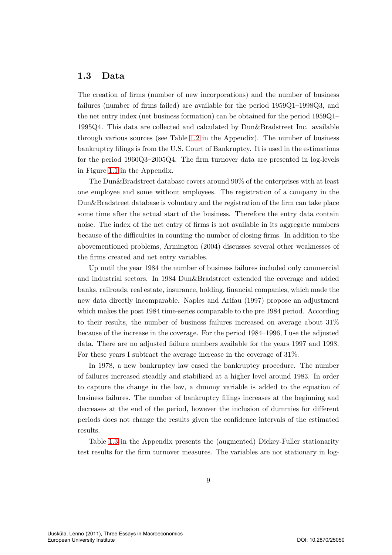### <span id="page-17-0"></span>**1.3 Data**

The creation of firms (number of new incorporations) and the number of business failures (number of firms failed) are available for the period 1959Q1–1998Q3, and the net entry index (net business formation) can be obtained for the period 1959Q1– 1995Q4. This data are collected and calculated by Dun&Bradstreet Inc. available through various sources (see Table [1.2](#page-35-0) in the Appendix). The number of business bankruptcy filings is from the U.S. Court of Bankruptcy. It is used in the estimations for the period 1960Q3–2005Q4. The firm turnover data are presented in log-levels in Figure [1.1](#page-34-0) in the Appendix.

The Dun&Bradstreet database covers around 90% of the enterprises with at least one employee and some without employees. The registration of a company in the Dun&Bradstreet database is voluntary and the registration of the firm can take place some time after the actual start of the business. Therefore the entry data contain noise. The index of the net entry of firms is not available in its aggregate numbers because of the difficulties in counting the number of closing firms. In addition to the abovementioned problems, Armington (2004) discusses several other weaknesses of the firms created and net entry variables.

Up until the year 1984 the number of business failures included only commercial and industrial sectors. In 1984 Dun&Bradstreet extended the coverage and added banks, railroads, real estate, insurance, holding, financial companies, which made the new data directly incomparable. Naples and Arifau (1997) propose an adjustment which makes the post 1984 time-series comparable to the pre 1984 period. According to their results, the number of business failures increased on average about 31% because of the increase in the coverage. For the period 1984–1996, I use the adjusted data. There are no adjusted failure numbers available for the years 1997 and 1998. For these years I subtract the average increase in the coverage of 31%.

In 1978, a new bankruptcy law eased the bankruptcy procedure. The number of failures increased steadily and stabilized at a higher level around 1983. In order to capture the change in the law, a dummy variable is added to the equation of business failures. The number of bankruptcy filings increases at the beginning and decreases at the end of the period, however the inclusion of dummies for different periods does not change the results given the confidence intervals of the estimated results.

Table [1.3](#page-36-0) in the Appendix presents the (augmented) Dickey-Fuller stationarity test results for the firm turnover measures. The variables are not stationary in log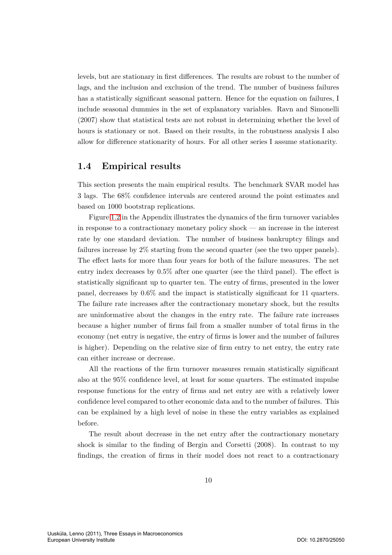levels, but are stationary in first differences. The results are robust to the number of lags, and the inclusion and exclusion of the trend. The number of business failures has a statistically significant seasonal pattern. Hence for the equation on failures, I include seasonal dummies in the set of explanatory variables. Ravn and Simonelli (2007) show that statistical tests are not robust in determining whether the level of hours is stationary or not. Based on their results, in the robustness analysis I also allow for difference stationarity of hours. For all other series I assume stationarity.

### <span id="page-18-0"></span>**1.4 Empirical results**

This section presents the main empirical results. The benchmark SVAR model has 3 lags. The 68% confidence intervals are centered around the point estimates and based on 1000 bootstrap replications.

Figure [1.2](#page-38-0) in the Appendix illustrates the dynamics of the firm turnover variables in response to a contractionary monetary policy shock — an increase in the interest rate by one standard deviation. The number of business bankruptcy filings and failures increase by 2% starting from the second quarter (see the two upper panels). The effect lasts for more than four years for both of the failure measures. The net entry index decreases by 0.5% after one quarter (see the third panel). The effect is statistically significant up to quarter ten. The entry of firms, presented in the lower panel, decreases by 0.6% and the impact is statistically significant for 11 quarters. The failure rate increases after the contractionary monetary shock, but the results are uninformative about the changes in the entry rate. The failure rate increases because a higher number of firms fail from a smaller number of total firms in the economy (net entry is negative, the entry of firms is lower and the number of failures is higher). Depending on the relative size of firm entry to net entry, the entry rate can either increase or decrease.

All the reactions of the firm turnover measures remain statistically significant also at the 95% confidence level, at least for some quarters. The estimated impulse response functions for the entry of firms and net entry are with a relatively lower confidence level compared to other economic data and to the number of failures. This can be explained by a high level of noise in these the entry variables as explained before.

The result about decrease in the net entry after the contractionary monetary shock is similar to the finding of Bergin and Corsetti (2008). In contrast to my findings, the creation of firms in their model does not react to a contractionary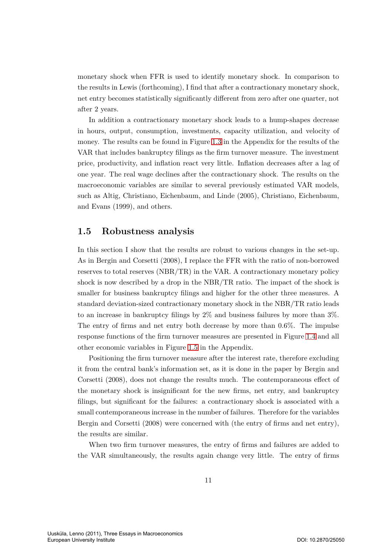monetary shock when FFR is used to identify monetary shock. In comparison to the results in Lewis (forthcoming), I find that after a contractionary monetary shock, net entry becomes statistically significantly different from zero after one quarter, not after 2 years.

In addition a contractionary monetary shock leads to a hump-shapes decrease in hours, output, consumption, investments, capacity utilization, and velocity of money. The results can be found in Figure [1.3](#page-39-0) in the Appendix for the results of the VAR that includes bankruptcy filings as the firm turnover measure. The investment price, productivity, and inflation react very little. Inflation decreases after a lag of one year. The real wage declines after the contractionary shock. The results on the macroeconomic variables are similar to several previously estimated VAR models, such as Altig, Christiano, Eichenbaum, and Linde (2005), Christiano, Eichenbaum, and Evans (1999), and others.

#### <span id="page-19-0"></span>**1.5 Robustness analysis**

In this section I show that the results are robust to various changes in the set-up. As in Bergin and Corsetti (2008), I replace the FFR with the ratio of non-borrowed reserves to total reserves (NBR/TR) in the VAR. A contractionary monetary policy shock is now described by a drop in the NBR/TR ratio. The impact of the shock is smaller for business bankruptcy filings and higher for the other three measures. A standard deviation-sized contractionary monetary shock in the NBR/TR ratio leads to an increase in bankruptcy filings by 2% and business failures by more than 3%. The entry of firms and net entry both decrease by more than 0.6%. The impulse response functions of the firm turnover measures are presented in Figure [1.4](#page-40-0) and all other economic variables in Figure [1.5](#page-41-0) in the Appendix.

Positioning the firm turnover measure after the interest rate, therefore excluding it from the central bank's information set, as it is done in the paper by Bergin and Corsetti (2008), does not change the results much. The contemporaneous effect of the monetary shock is insignificant for the new firms, net entry, and bankruptcy filings, but significant for the failures: a contractionary shock is associated with a small contemporaneous increase in the number of failures. Therefore for the variables Bergin and Corsetti (2008) were concerned with (the entry of firms and net entry), the results are similar.

When two firm turnover measures, the entry of firms and failures are added to the VAR simultaneously, the results again change very little. The entry of firms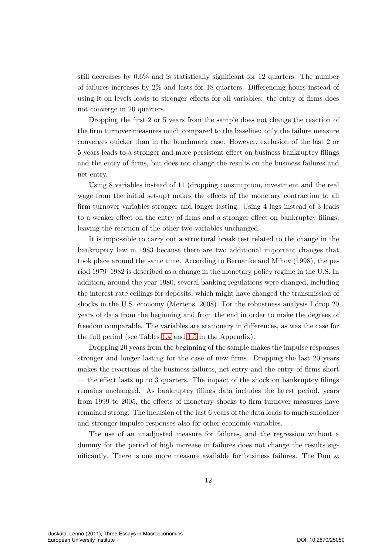still decreases by 0.6% and is statistically significant for 12 quarters. The number of failures increases by 2% and lasts for 18 quarters. Differencing hours instead of using it on levels leads to stronger effects for all variables: the entry of firms does not converge in 20 quarters.

Dropping the first 2 or 5 years from the sample does not change the reaction of the firm turnover measures much compared to the baseline: only the failure measure converges quicker than in the benchmark case. However, exclusion of the last 2 or 5 years leads to a stronger and more persistent effect on business bankruptcy filings and the entry of firms, but does not change the results on the business failures and net entry.

Using 8 variables instead of 11 (dropping consumption, investment and the real wage from the initial set-up) makes the effects of the monetary contraction to all firm turnover variables stronger and longer lasting. Using 4 lags instead of 3 leads to a weaker effect on the entry of firms and a stronger effect on bankruptcy filings, leaving the reaction of the other two variables unchanged.

It is impossible to carry out a structural break test related to the change in the bankruptcy law in 1983 because there are two additional important changes that took place around the same time. According to Bernanke and Mihov (1998), the period 1979–1982 is described as a change in the monetary policy regime in the U.S. In addition, around the year 1980, several banking regulations were changed, including the interest rate ceilings for deposits, which might have changed the transmission of shocks in the U.S. economy (Mertens, 2008). For the robustness analysis I drop 20 years of data from the beginning and from the end in order to make the degrees of freedom comparable. The variables are stationary in differences, as was the case for the full period (see Tables [1.4](#page-36-1) and [1.5](#page-37-0) in the Appendix).

Dropping 20 years from the beginning of the sample makes the impulse responses stronger and longer lasting for the case of new firms. Dropping the last 20 years makes the reactions of the business failures, net entry and the entry of firms short — the effect lasts up to 3 quarters. The impact of the shock on bankruptcy filings remains unchanged. As bankruptcy filings data includes the latest period, years from 1999 to 2005, the effects of monetary shocks to firm turnover measures have remained strong. The inclusion of the last 6 years of the data leads to much smoother and stronger impulse responses also for other economic variables.

The use of an unadjusted measure for failures, and the regression without a dummy for the period of high increase in failures does not change the results significantly. There is one more measure available for business failures. The Dun &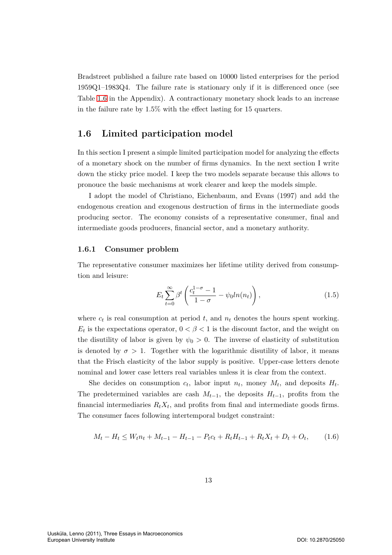Bradstreet published a failure rate based on 10000 listed enterprises for the period 1959Q1–1983Q4. The failure rate is stationary only if it is differenced once (see Table [1.6](#page-37-1) in the Appendix). A contractionary monetary shock leads to an increase in the failure rate by 1.5% with the effect lasting for 15 quarters.

#### <span id="page-21-0"></span>**1.6 Limited participation model**

In this section I present a simple limited participation model for analyzing the effects of a monetary shock on the number of firms dynamics. In the next section I write down the sticky price model. I keep the two models separate because this allows to pronouce the basic mechanisms at work clearer and keep the models simple.

I adopt the model of Christiano, Eichenbaum, and Evans (1997) and add the endogenous creation and exogenous destruction of firms in the intermediate goods producing sector. The economy consists of a representative consumer, final and intermediate goods producers, financial sector, and a monetary authority.

#### <span id="page-21-1"></span>**1.6.1 Consumer problem**

The representative consumer maximizes her lifetime utility derived from consumption and leisure:

$$
E_t \sum_{t=0}^{\infty} \beta^t \left( \frac{c_t^{1-\sigma} - 1}{1 - \sigma} - \psi_0 \ln(n_t) \right), \tag{1.5}
$$

where  $c_t$  is real consumption at period  $t$ , and  $n_t$  denotes the hours spent working.  $E_t$  is the expectations operator,  $0 < \beta < 1$  is the discount factor, and the weight on the disutility of labor is given by  $\psi_0 > 0$ . The inverse of elasticity of substitution is denoted by  $\sigma > 1$ . Together with the logarithmic disutility of labor, it means that the Frisch elasticity of the labor supply is positive. Upper-case letters denote nominal and lower case letters real variables unless it is clear from the context.

She decides on consumption  $c_t$ , labor input  $n_t$ , money  $M_t$ , and deposits  $H_t$ . The predetermined variables are cash  $M_{t-1}$ , the deposits  $H_{t-1}$ , profits from the financial intermediaries  $R_t X_t$ , and profits from final and intermediate goods firms. The consumer faces following intertemporal budget constraint:

$$
M_t - H_t \le W_t n_t + M_{t-1} - H_{t-1} - P_t c_t + R_t H_{t-1} + R_t X_t + D_t + O_t, \qquad (1.6)
$$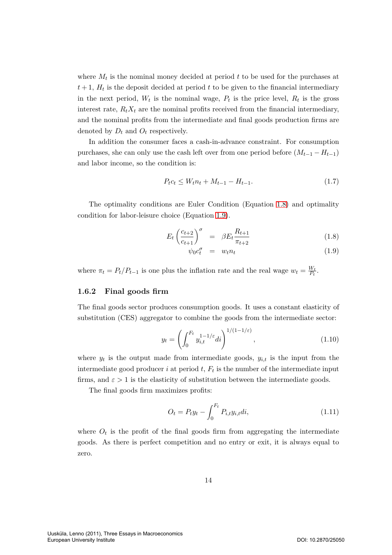where  $M_t$  is the nominal money decided at period  $t$  to be used for the purchases at  $t + 1$ ,  $H_t$  is the deposit decided at period  $t$  to be given to the financial intermediary in the next period,  $W_t$  is the nominal wage,  $P_t$  is the price level,  $R_t$  is the gross interest rate,  $R_t X_t$  are the nominal profits received from the financial intermediary, and the nominal profits from the intermediate and final goods production firms are denoted by  $D_t$  and  $O_t$  respectively.

In addition the consumer faces a cash-in-advance constraint. For consumption purchases, she can only use the cash left over from one period before  $(M_{t-1} - H_{t-1})$ and labor income, so the condition is:

$$
P_t c_t \le W_t n_t + M_{t-1} - H_{t-1}.
$$
\n(1.7)

The optimality conditions are Euler Condition (Equation [1.8\)](#page-22-1) and optimality condition for labor-leisure choice (Equation [1.9\)](#page-22-1).

<span id="page-22-1"></span>
$$
E_t \left(\frac{c_{t+2}}{c_{t+1}}\right)^{\sigma} = \beta E_t \frac{R_{t+1}}{\pi_{t+2}} \tag{1.8}
$$

$$
\psi_0 c_t^{\sigma} = w_t n_t \tag{1.9}
$$

where  $\pi_t = P_t/P_{t-1}$  is one plus the inflation rate and the real wage  $w_t = \frac{W_t}{P_t}$  $\frac{W_t}{P_t}$ .

#### <span id="page-22-0"></span>**1.6.2 Final goods firm**

The final goods sector produces consumption goods. It uses a constant elasticity of substitution (CES) aggregator to combine the goods from the intermediate sector:

$$
y_t = \left(\int_0^{F_t} y_{i,t}^{1-1/\varepsilon} di\right)^{1/(1-1/\varepsilon)},\tag{1.10}
$$

where  $y_t$  is the output made from intermediate goods,  $y_{i,t}$  is the input from the intermediate good producer *i* at period *t*, *F<sup>t</sup>* is the number of the intermediate input firms, and  $\varepsilon > 1$  is the elasticity of substitution between the intermediate goods.

The final goods firm maximizes profits:

$$
O_t = P_t y_t - \int_0^{F_t} P_{i,t} y_{i,t} dt,
$$
\n(1.11)

where  $O_t$  is the profit of the final goods firm from aggregating the intermediate goods. As there is perfect competition and no entry or exit, it is always equal to zero.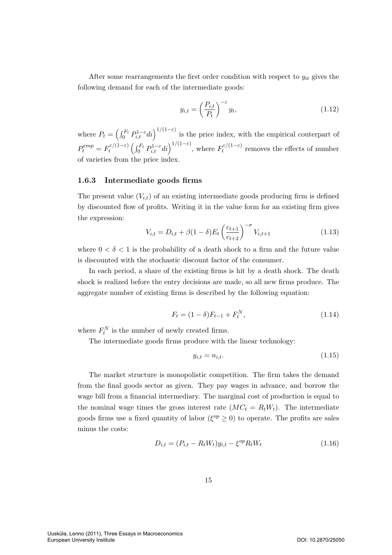After some rearrangements the first order condition with respect to *yit* gives the following demand for each of the intermediate goods:

$$
y_{i,t} = \left(\frac{P_{i,t}}{P_t}\right)^{-\varepsilon} y_t,\tag{1.12}
$$

where  $P_t = \left(\int_0^{F_t} P_{i,t}^{1-\epsilon} dt\right)^{1/(1-\epsilon)}$  is the price index, with the empirical couterpart of  $P_t^{emp} = F_t^{\varepsilon/(1-\varepsilon)}$  $F_t^{\varepsilon/(1-\varepsilon)}\left(\int_0^{F_t} P_{i,t}^{1-\varepsilon}di\right)^{1/(1-\varepsilon)},$  where  $F_t^{\varepsilon/(1-\varepsilon)}$  $t^{(\varepsilon)(1-\varepsilon)}$  removes the effects of number of varieties from the price index.

#### <span id="page-23-0"></span>**1.6.3 Intermediate goods firms**

The present value  $(V_{i,t})$  of an existing intermediate goods producing firm is defined by discounted flow of profits. Writing it in the value form for an existing firm gives the expression:

$$
V_{i,t} = D_{i,t} + \beta (1 - \delta) E_t \left(\frac{c_{t+1}}{c_{t+2}}\right)^{-\sigma} V_{i,t+1}
$$
\n(1.13)

where  $0 < \delta < 1$  is the probability of a death shock to a firm and the future value is discounted with the stochastic discount factor of the consumer.

In each period, a share of the existing firms is hit by a death shock. The death shock is realized before the entry decisions are made, so all new firms produce. The aggregate number of existing firms is described by the following equation:

$$
F_t = (1 - \delta)F_{t-1} + F_t^N, \tag{1.14}
$$

where  $F_t^N$  is the number of newly created firms.

The intermediate goods firms produce with the linear technology:

$$
y_{i,t} = n_{i,t}.\tag{1.15}
$$

The market structure is monopolistic competition. The firm takes the demand from the final goods sector as given. They pay wages in advance, and borrow the wage bill from a financial intermediary. The marginal cost of production is equal to the nominal wage times the gross interest rate  $(MC_t = R_t W_t)$ . The intermediate goods firms use a fixed quantity of labor  $({\zeta}^{op} \geq 0)$  to operate. The profits are sales minus the costs:

$$
D_{i,t} = (P_{i,t} - R_t W_t) y_{i,t} - \xi^{op} R_t W_t
$$
\n(1.16)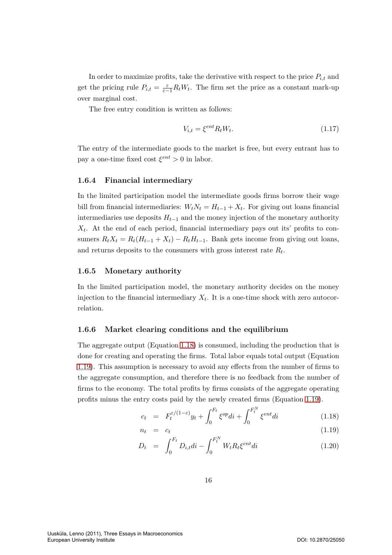In order to maximize profits, take the derivative with respect to the price  $P_{i,t}$  and get the pricing rule  $P_{i,t} = \frac{\varepsilon}{\varepsilon - 1} R_t W_t$ . The firm set the price as a constant mark-up over marginal cost.

The free entry condition is written as follows:

$$
V_{i,t} = \xi^{ent} R_t W_t. \tag{1.17}
$$

The entry of the intermediate goods to the market is free, but every entrant has to pay a one-time fixed cost  $\xi^{ent} > 0$  in labor.

#### <span id="page-24-0"></span>**1.6.4 Financial intermediary**

In the limited participation model the intermediate goods firms borrow their wage bill from financial intermediaries:  $W_t N_t = H_{t-1} + X_t$ . For giving out loans financial intermediaries use deposits  $H_{t-1}$  and the money injection of the monetary authority *X<sup>t</sup>* . At the end of each period, financial intermediary pays out its' profits to consumers  $R_t X_t = R_t (H_{t-1} + X_t) - R_t H_{t-1}$ . Bank gets income from giving out loans, and returns deposits to the consumers with gross interest rate  $R_t$ .

#### <span id="page-24-1"></span>**1.6.5 Monetary authority**

In the limited participation model, the monetary authority decides on the money injection to the financial intermediary  $X_t$ . It is a one-time shock with zero autocorrelation.

#### <span id="page-24-2"></span>**1.6.6 Market clearing conditions and the equilibrium**

The aggregate output (Equation [1.18\)](#page-24-3) is consumed, including the production that is done for creating and operating the firms. Total labor equals total output (Equation [1.19\)](#page-24-3). This assumption is necessary to avoid any effects from the number of firms to the aggregate consumption, and therefore there is no feedback from the number of firms to the economy. The total profits by firms consists of the aggregate operating profits minus the entry costs paid by the newly created firms (Equation [1.19\)](#page-24-3).

<span id="page-24-3"></span>
$$
c_t = F_t^{\varepsilon/(1-\varepsilon)} y_t + \int_0^{F_t} \xi^{op} dt + \int_0^{F_t^N} \xi^{ent} dt \qquad (1.18)
$$

$$
n_t = c_t \tag{1.19}
$$

$$
D_t = \int_0^{F_t} D_{i,t}di - \int_0^{F_t^N} W_t R_t \xi^{ent}di \qquad (1.20)
$$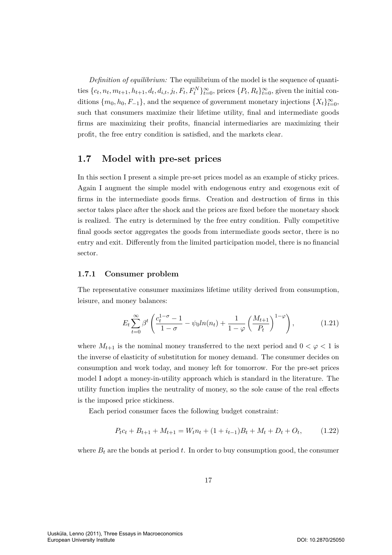*Definition of equilibrium:* The equilibrium of the model is the sequence of quantities  $\{c_t, n_t, m_{t+1}, h_{t+1}, d_t, d_{i,t}, j_t, F_t, F_t^N\}_{t=0}^{\infty}$ , prices  $\{P_t, R_t\}_{t=0}^{\infty}$ , given the initial conditions  ${m_0, h_0, F_{-1}}$ , and the sequence of government monetary injections  ${X_t}_{t=0}^{\infty}$ , such that consumers maximize their lifetime utility, final and intermediate goods firms are maximizing their profits, financial intermediaries are maximizing their profit, the free entry condition is satisfied, and the markets clear.

### <span id="page-25-0"></span>**1.7 Model with pre-set prices**

In this section I present a simple pre-set prices model as an example of sticky prices. Again I augment the simple model with endogenous entry and exogenous exit of firms in the intermediate goods firms. Creation and destruction of firms in this sector takes place after the shock and the prices are fixed before the monetary shock is realized. The entry is determined by the free entry condition. Fully competitive final goods sector aggregates the goods from intermediate goods sector, there is no entry and exit. Differently from the limited participation model, there is no financial sector.

#### <span id="page-25-1"></span>**1.7.1 Consumer problem**

The representative consumer maximizes lifetime utility derived from consumption, leisure, and money balances:

$$
E_t \sum_{t=0}^{\infty} \beta^t \left( \frac{c_t^{1-\sigma} - 1}{1-\sigma} - \psi_0 \ln(n_t) + \frac{1}{1-\varphi} \left( \frac{M_{t+1}}{P_t} \right)^{1-\varphi} \right), \tag{1.21}
$$

where  $M_{t+1}$  is the nominal money transferred to the next period and  $0 < \varphi < 1$  is the inverse of elasticity of substitution for money demand. The consumer decides on consumption and work today, and money left for tomorrow. For the pre-set prices model I adopt a money-in-utility approach which is standard in the literature. The utility function implies the neutrality of money, so the sole cause of the real effects is the imposed price stickiness.

Each period consumer faces the following budget constraint:

$$
P_{t}c_{t} + B_{t+1} + M_{t+1} = W_{t}n_{t} + (1 + i_{t-1})B_{t} + M_{t} + D_{t} + O_{t}, \qquad (1.22)
$$

where  $B_t$  are the bonds at period  $t$ . In order to buy consumption good, the consumer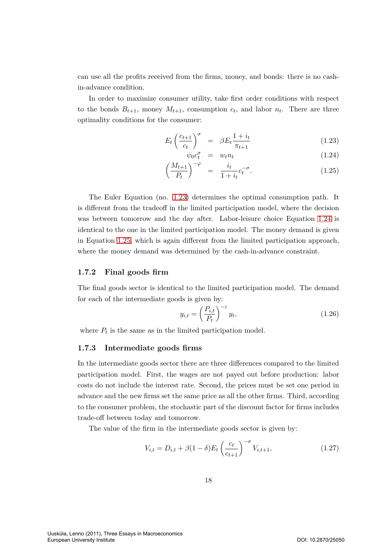can use all the profits received from the firms, money, and bonds: there is no cashin-advance condition.

In order to maximize consumer utility, take first order conditions with respect to the bonds  $B_{t+1}$ , money  $M_{t+1}$ , consumption  $c_t$ , and labor  $n_t$ . There are three optimality conditions for the consumer:

<span id="page-26-2"></span>
$$
E_t \left(\frac{c_{t+1}}{c_t}\right)^{\sigma} = \beta E_t \frac{1+i_t}{\pi_{t+1}}
$$
\n(1.23)

$$
\psi_0 c_t^{\sigma} = w_t n_t \tag{1.24}
$$

$$
\left(\frac{M_{t+1}}{P_t}\right)^{-\varphi} = \frac{i_t}{1+i_t}c_t^{-\sigma}.
$$
\n(1.25)

The Euler Equation (no. [1.23\)](#page-26-2) determines the optimal consumption path. It is different from the tradeoff in the limited participation model, where the decision was between tomorrow and the day after. Labor-leisure choice Equation [1.24](#page-26-2) is identical to the one in the limited participation model. The money demand is given in Equation [1.25,](#page-26-2) which is again different from the limited participation approach, where the money demand was determined by the cash-in-advance constraint.

#### <span id="page-26-0"></span>**1.7.2 Final goods firm**

The final goods sector is identical to the limited participation model. The demand for each of the intermediate goods is given by:

$$
y_{i,t} = \left(\frac{P_{i,t}}{P_t}\right)^{-\varepsilon} y_t,\tag{1.26}
$$

<span id="page-26-1"></span>where  $P_t$  is the same as in the limited participation model.

#### **1.7.3 Intermediate goods firms**

In the intermediate goods sector there are three differences compared to the limited participation model. First, the wages are not payed out before production: labor costs do not include the interest rate. Second, the prices must be set one period in advance and the new firms set the same price as all the other firms. Third, according to the consumer problem, the stochastic part of the discount factor for firms includes trade-off between today and tomorrow.

The value of the firm in the intermediate goods sector is given by:

$$
V_{i,t} = D_{i,t} + \beta (1 - \delta) E_t \left(\frac{c_t}{c_{t+1}}\right)^{-\sigma} V_{i,t+1},
$$
\n(1.27)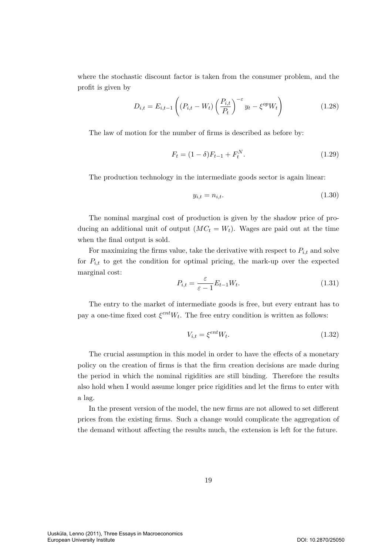where the stochastic discount factor is taken from the consumer problem, and the profit is given by

$$
D_{i,t} = E_{i,t-1} \left( (P_{i,t} - W_t) \left( \frac{P_{i,t}}{P_t} \right)^{-\varepsilon} y_t - \xi^{op} W_t \right)
$$
 (1.28)

The law of motion for the number of firms is described as before by:

$$
F_t = (1 - \delta)F_{t-1} + F_t^N.
$$
\n(1.29)

The production technology in the intermediate goods sector is again linear:

$$
y_{i,t} = n_{i,t}.\tag{1.30}
$$

The nominal marginal cost of production is given by the shadow price of producing an additional unit of output  $(MC_t = W_t)$ . Wages are paid out at the time when the final output is sold.

For maximizing the firms value, take the derivative with respect to  $P_{i,t}$  and solve for  $P_{i,t}$  to get the condition for optimal pricing, the mark-up over the expected marginal cost:

$$
P_{i,t} = \frac{\varepsilon}{\varepsilon - 1} E_{t-1} W_t.
$$
\n(1.31)

The entry to the market of intermediate goods is free, but every entrant has to pay a one-time fixed cost  $\xi^{ent}W_t$ . The free entry condition is written as follows:

$$
V_{i,t} = \xi^{ent} W_t. \tag{1.32}
$$

The crucial assumption in this model in order to have the effects of a monetary policy on the creation of firms is that the firm creation decisions are made during the period in which the nominal rigidities are still binding. Therefore the results also hold when I would assume longer price rigidities and let the firms to enter with a lag.

In the present version of the model, the new firms are not allowed to set different prices from the existing firms. Such a change would complicate the aggregation of the demand without affecting the results much, the extension is left for the future.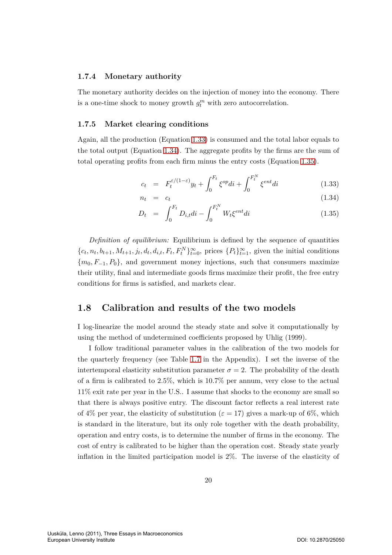#### <span id="page-28-0"></span>**1.7.4 Monetary authority**

The monetary authority decides on the injection of money into the economy. There is a one-time shock to money growth  $g_t^m$  with zero autocorrelation.

#### <span id="page-28-1"></span>**1.7.5 Market clearing conditions**

Again, all the production (Equation [1.33\)](#page-28-3) is consumed and the total labor equals to the total output (Equation [1.34\)](#page-28-3). The aggregate profits by the firms are the sum of total operating profits from each firm minus the entry costs (Equation [1.35\)](#page-28-3).

<span id="page-28-3"></span>
$$
c_t = F_t^{\varepsilon/(1-\varepsilon)} y_t + \int_0^{F_t} \xi^{op} dt + \int_0^{F_t^N} \xi^{ent} dt \qquad (1.33)
$$

$$
n_t = c_t \tag{1.34}
$$

$$
D_t = \int_0^{F_t} D_{i,t}di - \int_0^{F_t^N} W_t \xi^{ent}di \qquad (1.35)
$$

*Definition of equilibrium:* Equilibrium is defined by the sequence of quantities  ${c_t, n_t, b_{t+1}, M_{t+1}, j_t, d_t, d_{i,t}, F_t, F_t^N\}_{t=0}^{\infty}$ , prices  ${P_t}_{t=1}^{\infty}$ , given the initial conditions {*m*0*, F*−1*, P*0}, and government money injections, such that consumers maximize their utility, final and intermediate goods firms maximize their profit, the free entry conditions for firms is satisfied, and markets clear.

#### <span id="page-28-2"></span>**1.8 Calibration and results of the two models**

I log-linearize the model around the steady state and solve it computationally by using the method of undetermined coefficients proposed by Uhlig (1999).

I follow traditional parameter values in the calibration of the two models for the quarterly frequency (see Table [1.7](#page-42-0) in the Appendix). I set the inverse of the intertemporal elasticity substitution parameter  $\sigma = 2$ . The probability of the death of a firm is calibrated to 2.5%, which is 10.7% per annum, very close to the actual 11% exit rate per year in the U.S.. I assume that shocks to the economy are small so that there is always positive entry. The discount factor reflects a real interest rate of 4% per year, the elasticity of substitution ( $\varepsilon = 17$ ) gives a mark-up of 6%, which is standard in the literature, but its only role together with the death probability, operation and entry costs, is to determine the number of firms in the economy. The cost of entry is calibrated to be higher than the operation cost. Steady state yearly inflation in the limited participation model is 2%. The inverse of the elasticity of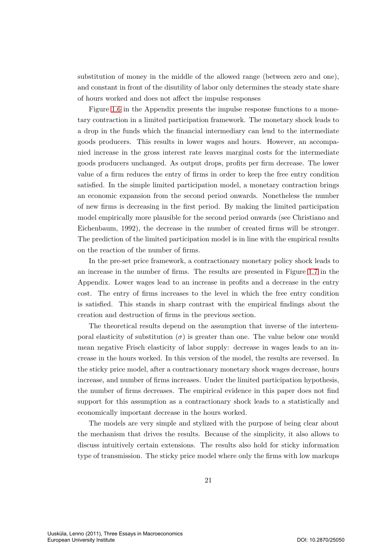substitution of money in the middle of the allowed range (between zero and one), and constant in front of the disutility of labor only determines the steady state share of hours worked and does not affect the impulse responses

Figure [1.6](#page-43-0) in the Appendix presents the impulse response functions to a monetary contraction in a limited participation framework. The monetary shock leads to a drop in the funds which the financial intermediary can lend to the intermediate goods producers. This results in lower wages and hours. However, an accompanied increase in the gross interest rate leaves marginal costs for the intermediate goods producers unchanged. As output drops, profits per firm decrease. The lower value of a firm reduces the entry of firms in order to keep the free entry condition satisfied. In the simple limited participation model, a monetary contraction brings an economic expansion from the second period onwards. Nonetheless the number of new firms is decreasing in the first period. By making the limited participation model empirically more plausible for the second period onwards (see Christiano and Eichenbaum, 1992), the decrease in the number of created firms will be stronger. The prediction of the limited participation model is in line with the empirical results on the reaction of the number of firms.

In the pre-set price framework, a contractionary monetary policy shock leads to an increase in the number of firms. The results are presented in Figure [1.7](#page-44-0) in the Appendix. Lower wages lead to an increase in profits and a decrease in the entry cost. The entry of firms increases to the level in which the free entry condition is satisfied. This stands in sharp contrast with the empirical findings about the creation and destruction of firms in the previous section.

The theoretical results depend on the assumption that inverse of the intertemporal elasticity of substitution  $(\sigma)$  is greater than one. The value below one would mean negative Frisch elasticity of labor supply: decrease in wages leads to an increase in the hours worked. In this version of the model, the results are reversed. In the sticky price model, after a contractionary monetary shock wages decrease, hours increase, and number of firms increases. Under the limited participation hypothesis, the number of firms decreases. The empirical evidence in this paper does not find support for this assumption as a contractionary shock leads to a statistically and economically important decrease in the hours worked.

The models are very simple and stylized with the purpose of being clear about the mechanism that drives the results. Because of the simplicity, it also allows to discuss intuitively certain extensions. The results also hold for sticky information type of transmission. The sticky price model where only the firms with low markups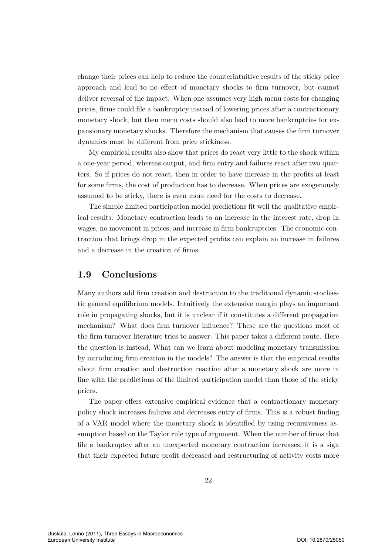change their prices can help to reduce the counterintuitive results of the sticky price approach and lead to no effect of monetary shocks to firm turnover, but cannot deliver reversal of the impact. When one assumes very high menu costs for changing prices, firms could file a bankruptcy instead of lowering prices after a contractionary monetary shock, but then menu costs should also lead to more bankruptcies for expansionary monetary shocks. Therefore the mechanism that causes the firm turnover dynamics must be different from price stickiness.

My empirical results also show that prices do react very little to the shock within a one-year period, whereas output, and firm entry and failures react after two quarters. So if prices do not react, then in order to have increase in the profits at least for some firms, the cost of production has to decrease. When prices are exogenously assumed to be sticky, there is even more need for the costs to decrease.

The simple limited participation model predictions fit well the qualitative empirical results. Monetary contraction leads to an increase in the interest rate, drop in wages, no movement in prices, and increase in firm bankruptcies. The economic contraction that brings drop in the expected profits can explain an increase in failures and a decrease in the creation of firms.

## <span id="page-30-0"></span>**1.9 Conclusions**

Many authors add firm creation and destruction to the traditional dynamic stochastic general equilibrium models. Intuitively the extensive margin plays an important role in propagating shocks, but it is unclear if it constitutes a different propagation mechanism? What does firm turnover influence? These are the questions most of the firm turnover literature tries to answer. This paper takes a different route. Here the question is instead, What can we learn about modeling monetary transmission by introducing firm creation in the models? The answer is that the empirical results about firm creation and destruction reaction after a monetary shock are more in line with the predictions of the limited participation model than those of the sticky prices.

The paper offers extensive empirical evidence that a contractionary monetary policy shock increases failures and decreases entry of firms. This is a robust finding of a VAR model where the monetary shock is identified by using recursiveness assumption based on the Taylor rule type of argument. When the number of firms that file a bankruptcy after an unexpected monetary contraction increases, it is a sign that their expected future profit decreased and restructuring of activity costs more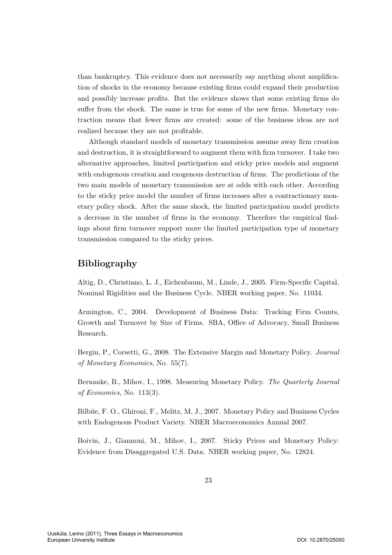than bankruptcy. This evidence does not necessarily say anything about amplification of shocks in the economy because existing firms could expand their production and possibly increase profits. But the evidence shows that some existing firms do suffer from the shock. The same is true for some of the new firms. Monetary contraction means that fewer firms are created: some of the business ideas are not realized because they are not profitable.

Although standard models of monetary transmission assume away firm creation and destruction, it is straightforward to augment them with firm turnover. I take two alternative approaches, limited participation and sticky price models and augment with endogenous creation and exogenous destruction of firms. The predictions of the two main models of monetary transmission are at odds with each other. According to the sticky price model the number of firms increases after a contractionary monetary policy shock. After the same shock, the limited participation model predicts a decrease in the number of firms in the economy. Therefore the empirical findings about firm turnover support more the limited participation type of monetary transmission compared to the sticky prices.

### <span id="page-31-0"></span>**Bibliography**

Altig, D., Christiano, L. J., Eichenbaum, M., Linde, J., 2005. Firm-Specific Capital, Nominal Rigidities and the Business Cycle. NBER working paper, No. 11034.

Armington, C., 2004. Development of Business Data: Tracking Firm Counts, Growth and Turnover by Size of Firms. SBA, Office of Advocacy, Small Business Research.

Bergin, P., Corsetti, G., 2008. The Extensive Margin and Monetary Policy. *Journal of Monetary Economics*, No. 55(7).

Bernanke, B., Mihov, I., 1998. Measuring Monetary Policy. *The Quarterly Journal of Economics*, No. 113(3).

Bilbiie, F. O., Ghironi, F., Melitz, M. J., 2007. Monetary Policy and Business Cycles with Endogenous Product Variety. NBER Macroeconomics Annual 2007.

Boivin, J., Giannoni, M., Mihov, I., 2007. Sticky Prices and Monetary Policy: Evidence from Disaggregated U.S. Data. NBER working paper, No. 12824.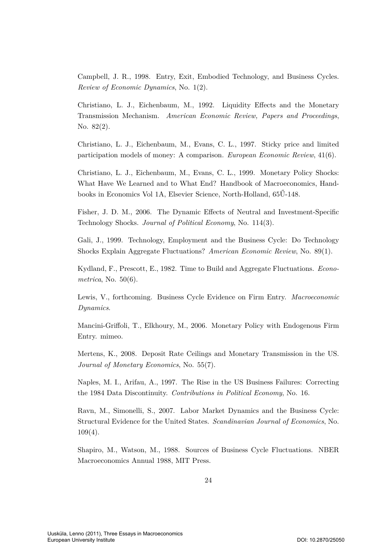Campbell, J. R., 1998. Entry, Exit, Embodied Technology, and Business Cycles. *Review of Economic Dynamics*, No. 1(2).

Christiano, L. J., Eichenbaum, M., 1992. Liquidity Effects and the Monetary Transmission Mechanism. *American Economic Review, Papers and Proceedings*, No. 82(2).

Christiano, L. J., Eichenbaum, M., Evans, C. L., 1997. Sticky price and limited participation models of money: A comparison. *European Economic Review*, 41(6).

Christiano, L. J., Eichenbaum, M., Evans, C. L., 1999. Monetary Policy Shocks: What Have We Learned and to What End? Handbook of Macroeconomics, Handbooks in Economics Vol 1A, Elsevier Science, North-Holland, 65Ű-148.

Fisher, J. D. M., 2006. The Dynamic Effects of Neutral and Investment-Specific Technology Shocks. *Journal of Political Economy*, No. 114(3).

Gali, J., 1999. Technology, Employment and the Business Cycle: Do Technology Shocks Explain Aggregate Fluctuations? *American Economic Review*, No. 89(1).

Kydland, F., Prescott, E., 1982. Time to Build and Aggregate Fluctuations. *Econometrica*, No. 50(6).

Lewis, V., forthcoming. Business Cycle Evidence on Firm Entry. *Macroeconomic Dynamics*.

Mancini-Griffoli, T., Elkhoury, M., 2006. Monetary Policy with Endogenous Firm Entry. mimeo.

Mertens, K., 2008. Deposit Rate Ceilings and Monetary Transmission in the US. *Journal of Monetary Economics*, No. 55(7).

Naples, M. I., Arifau, A., 1997. The Rise in the US Business Failures: Correcting the 1984 Data Discontinuity. *Contributions in Political Economy*, No. 16.

Ravn, M., Simonelli, S., 2007. Labor Market Dynamics and the Business Cycle: Structural Evidence for the United States. *Scandinavian Journal of Economics*, No.  $109(4)$ .

Shapiro, M., Watson, M., 1988. Sources of Business Cycle Fluctuations. NBER Macroeconomics Annual 1988, MIT Press.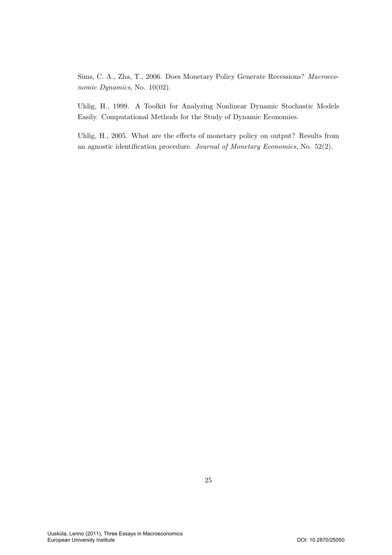Sims, C. A., Zha, T., 2006. Does Monetary Policy Generate Recessions? *Macroeconomic Dynamics*, No. 10(02).

Uhlig, H., 1999. A Toolkit for Analyzing Nonlinear Dynamic Stochastic Models Easily. Computational Methods for the Study of Dynamic Economies.

Uhlig, H., 2005. What are the effects of monetary policy on output? Results from an agnostic identification procedure. *Journal of Monetary Economics*, No. 52(2).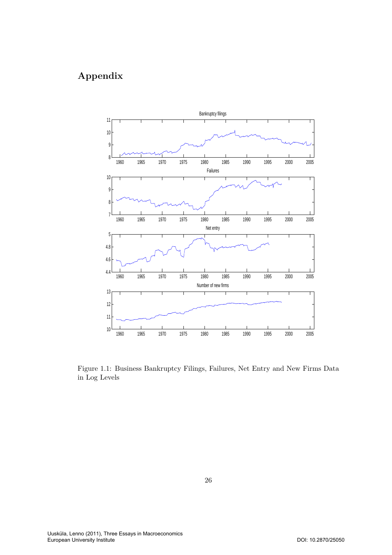# <span id="page-34-0"></span>**Appendix**



Figure 1.1: Business Bankruptcy Filings, Failures, Net Entry and New Firms Data in Log Levels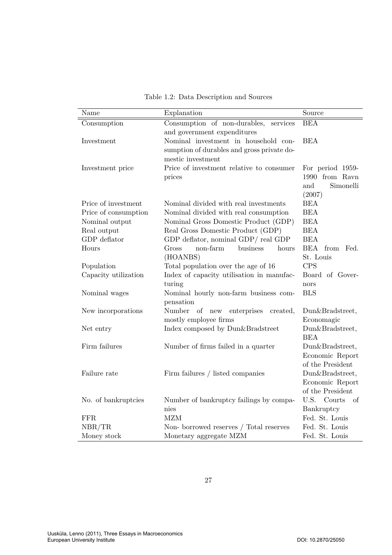Table 1.2: Data Description and Sources

<span id="page-35-0"></span>

| <b>BEA</b><br>Consumption<br>Consumption of non-durables,<br>services<br>and government expenditures<br>Nominal investment in household con-<br><b>BEA</b><br>Investment<br>sumption of durables and gross private do-<br>mestic investment<br>Price of investment relative to consumer<br>For period 1959-<br>Investment price<br>1990 from Ravn<br>prices<br>Simonelli<br>and<br>(2007)<br><b>BEA</b><br>Price of investment<br>Nominal divided with real investments<br><b>BEA</b><br>Price of consumption<br>Nominal divided with real consumption<br><b>BEA</b><br>Nominal output<br>Nominal Gross Domestic Product (GDP) |
|--------------------------------------------------------------------------------------------------------------------------------------------------------------------------------------------------------------------------------------------------------------------------------------------------------------------------------------------------------------------------------------------------------------------------------------------------------------------------------------------------------------------------------------------------------------------------------------------------------------------------------|
|                                                                                                                                                                                                                                                                                                                                                                                                                                                                                                                                                                                                                                |
|                                                                                                                                                                                                                                                                                                                                                                                                                                                                                                                                                                                                                                |
|                                                                                                                                                                                                                                                                                                                                                                                                                                                                                                                                                                                                                                |
|                                                                                                                                                                                                                                                                                                                                                                                                                                                                                                                                                                                                                                |
|                                                                                                                                                                                                                                                                                                                                                                                                                                                                                                                                                                                                                                |
|                                                                                                                                                                                                                                                                                                                                                                                                                                                                                                                                                                                                                                |
|                                                                                                                                                                                                                                                                                                                                                                                                                                                                                                                                                                                                                                |
|                                                                                                                                                                                                                                                                                                                                                                                                                                                                                                                                                                                                                                |
|                                                                                                                                                                                                                                                                                                                                                                                                                                                                                                                                                                                                                                |
|                                                                                                                                                                                                                                                                                                                                                                                                                                                                                                                                                                                                                                |
|                                                                                                                                                                                                                                                                                                                                                                                                                                                                                                                                                                                                                                |
| <b>BEA</b><br>Real output<br>Real Gross Domestic Product (GDP)                                                                                                                                                                                                                                                                                                                                                                                                                                                                                                                                                                 |
| GDP deflator<br>${\rm GDP}$ deflator, nominal ${\rm GDP}/$ real ${\rm GDP}$<br><b>BEA</b>                                                                                                                                                                                                                                                                                                                                                                                                                                                                                                                                      |
| non-farm<br>business<br>BEA from<br>Hours<br>Gross<br>hours<br>Fed.                                                                                                                                                                                                                                                                                                                                                                                                                                                                                                                                                            |
| (HOANBS)<br>St. Louis                                                                                                                                                                                                                                                                                                                                                                                                                                                                                                                                                                                                          |
| <b>CPS</b><br>Total population over the age of 16<br>Population                                                                                                                                                                                                                                                                                                                                                                                                                                                                                                                                                                |
| Capacity utilization<br>Index of capacity utilisation in manufac-<br>Board of Gover-                                                                                                                                                                                                                                                                                                                                                                                                                                                                                                                                           |
| turing<br>nors                                                                                                                                                                                                                                                                                                                                                                                                                                                                                                                                                                                                                 |
| <b>BLS</b><br>Nominal hourly non-farm business com-<br>Nominal wages                                                                                                                                                                                                                                                                                                                                                                                                                                                                                                                                                           |
| pensation                                                                                                                                                                                                                                                                                                                                                                                                                                                                                                                                                                                                                      |
| Number<br>of<br>enterprises<br>Dun&Bradstreet,<br>New incorporations<br>${\rm new}$<br>created,                                                                                                                                                                                                                                                                                                                                                                                                                                                                                                                                |
| mostly employee firms<br>Economagic                                                                                                                                                                                                                                                                                                                                                                                                                                                                                                                                                                                            |
| Index composed by Dun&Bradstreet<br>Dun&Bradstreet,<br>Net entry                                                                                                                                                                                                                                                                                                                                                                                                                                                                                                                                                               |
| BEA                                                                                                                                                                                                                                                                                                                                                                                                                                                                                                                                                                                                                            |
| Firm failures<br>Number of firms failed in a quarter<br>Dun&Bradstreet,                                                                                                                                                                                                                                                                                                                                                                                                                                                                                                                                                        |
| Economic Report                                                                                                                                                                                                                                                                                                                                                                                                                                                                                                                                                                                                                |
| of the President                                                                                                                                                                                                                                                                                                                                                                                                                                                                                                                                                                                                               |
| Failure rate<br>Dun&Bradstreet,<br>Firm failures / listed companies                                                                                                                                                                                                                                                                                                                                                                                                                                                                                                                                                            |
| Economic Report<br>of the President                                                                                                                                                                                                                                                                                                                                                                                                                                                                                                                                                                                            |
| U.S.<br>Courts<br>No. of bankruptcies<br>Number of bankruptcy failings by compa-<br>οf                                                                                                                                                                                                                                                                                                                                                                                                                                                                                                                                         |
| nies<br>Bankruptcy                                                                                                                                                                                                                                                                                                                                                                                                                                                                                                                                                                                                             |
| <b>FFR</b><br><b>MZM</b><br>Fed. St. Louis                                                                                                                                                                                                                                                                                                                                                                                                                                                                                                                                                                                     |
| NBR/TR<br>Non-borrowed reserves / Total reserves<br>Fed. St. Louis                                                                                                                                                                                                                                                                                                                                                                                                                                                                                                                                                             |
| Monetary aggregate MZM<br>Fed. St. Louis<br>Money stock                                                                                                                                                                                                                                                                                                                                                                                                                                                                                                                                                                        |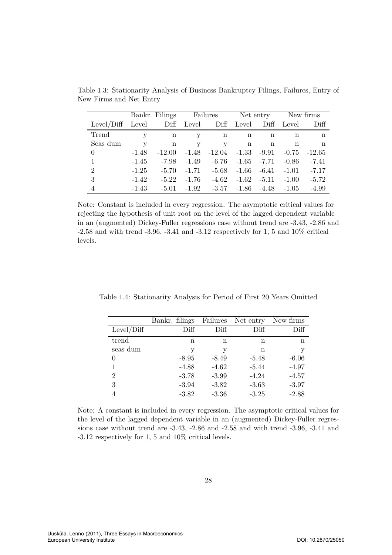|                                  | Bankr. Filings Failures Net entry New firms |             |               |             |                          |                  |         |          |
|----------------------------------|---------------------------------------------|-------------|---------------|-------------|--------------------------|------------------|---------|----------|
| Level/Diff Level Diff Level Diff |                                             |             |               |             |                          | Level Diff Level |         | Diff     |
| Trend                            | V                                           | n           | V             | $\mathbf n$ | n                        | n                | n       | n        |
| Seas dum                         | V                                           | $\mathbf n$ | V             |             | n<br>$\mathbf{V}$        | n                | n       | n        |
| $\theta$                         | $-1.48$                                     | $-12.00$    | $-1.48$       |             | $-12.04$ $-1.33$ $-9.91$ |                  | $-0.75$ | $-12.65$ |
| $\mathbf{1}$                     | $-1.45$                                     | $-7.98$     | $-1.49$       |             | $-6.76$ $-1.65$ $-7.71$  |                  | $-0.86$ | $-7.41$  |
| $\overline{2}$                   | $-1.25$                                     | $-5.70$     | $-1.71$       | $-5.68$     | $-1.66 - 6.41$           |                  | $-1.01$ | $-7.17$  |
| 3                                | $-1.42$                                     | $-5.22$     | $-1.76$       | -4.62       | $-1.62 -5.11$            |                  | $-1.00$ | $-5.72$  |
| $\overline{4}$                   | $-1.43$                                     |             | $-5.01 -1.92$ |             | $-3.57$ $-1.86$ $-4.48$  |                  | $-1.05$ | $-4.99$  |

Table 1.3: Stationarity Analysis of Business Bankruptcy Filings, Failures, Entry of New Firms and Net Entry

Note: Constant is included in every regression. The asymptotic critical values for rejecting the hypothesis of unit root on the level of the lagged dependent variable in an (augmented) Dickey-Fuller regressions case without trend are -3.43, -2.86 and  $-2.58$  and with trend  $-3.96$ ,  $-3.41$  and  $-3.12$  respectively for 1, 5 and  $10\%$  critical levels.

|                | Bankr. filings | Failures | Net entry | New firms |
|----------------|----------------|----------|-----------|-----------|
| Level/Diff     | Diff           | Diff     | Diff      | Diff      |
| trend          | $\mathbf n$    | n        | n         | n         |
| seas dum       | V              | V        | n         | V         |
| 0              | $-8.95$        | $-8.49$  | $-5.48$   | $-6.06$   |
|                | $-4.88$        | $-4.62$  | $-5.44$   | $-4.97$   |
| $\overline{2}$ | $-3.78$        | $-3.99$  | $-4.24$   | $-4.57$   |
| 3              | $-3.94$        | $-3.82$  | $-3.63$   | $-3.97$   |
|                | $-3.82$        | $-3.36$  | $-3.25$   | $-2.88$   |

Table 1.4: Stationarity Analysis for Period of First 20 Years Omitted

Note: A constant is included in every regression. The asymptotic critical values for the level of the lagged dependent variable in an (augmented) Dickey-Fuller regressions case without trend are -3.43, -2.86 and -2.58 and with trend -3.96, -3.41 and -3.12 respectively for 1, 5 and 10% critical levels.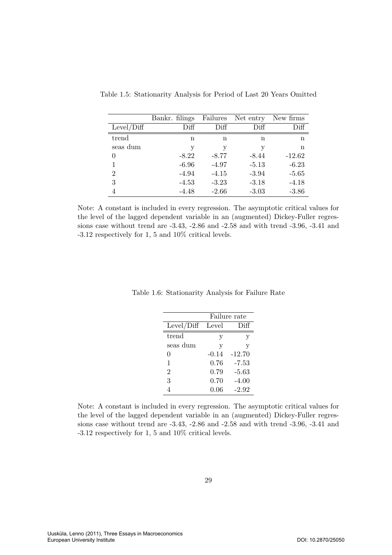|            | Bankr. filings | Failures | Net entry | New firms |
|------------|----------------|----------|-----------|-----------|
| Level/Diff | Diff           | Diff     | Diff      | Diff      |
| trend      | $\mathbf n$    | n        | n         | n         |
| seas dum   | V              | V        | V         | n         |
| 0          | $-8.22$        | $-8.77$  | $-8.44$   | $-12.62$  |
|            | $-6.96$        | $-4.97$  | $-5.13$   | $-6.23$   |
| 2          | $-4.94$        | $-4.15$  | $-3.94$   | $-5.65$   |
| 3          | $-4.53$        | $-3.23$  | $-3.18$   | $-4.18$   |
|            | $-4.48$        | $-2.66$  | $-3.03$   | $-3.86$   |

Table 1.5: Stationarity Analysis for Period of Last 20 Years Omitted

Note: A constant is included in every regression. The asymptotic critical values for the level of the lagged dependent variable in an (augmented) Dickey-Fuller regressions case without trend are -3.43, -2.86 and -2.58 and with trend -3.96, -3.41 and -3.12 respectively for 1, 5 and 10% critical levels.

|                | Failure rate |          |  |
|----------------|--------------|----------|--|
| Level/Diff     | Level        | Diff     |  |
| trend          | у            | у        |  |
| seas dum       | V            | V        |  |
| 0              | $-0.14$      | $-12.70$ |  |
| $\mathbf{1}$   | 0.76         | $-7.53$  |  |
| $\overline{2}$ | 0.79         | -5.63    |  |
| 3              | 0.70         | $-4.00$  |  |
|                | 0.06         | $-2.92$  |  |

Table 1.6: Stationarity Analysis for Failure Rate

Note: A constant is included in every regression. The asymptotic critical values for the level of the lagged dependent variable in an (augmented) Dickey-Fuller regressions case without trend are -3.43, -2.86 and -2.58 and with trend -3.96, -3.41 and -3.12 respectively for 1, 5 and 10% critical levels.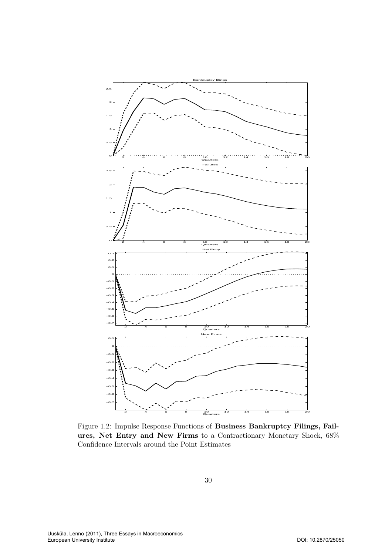

Figure 1.2: Impulse Response Functions of **Business Bankruptcy Filings, Failures, Net Entry and New Firms** to a Contractionary Monetary Shock, 68% Confidence Intervals around the Point Estimates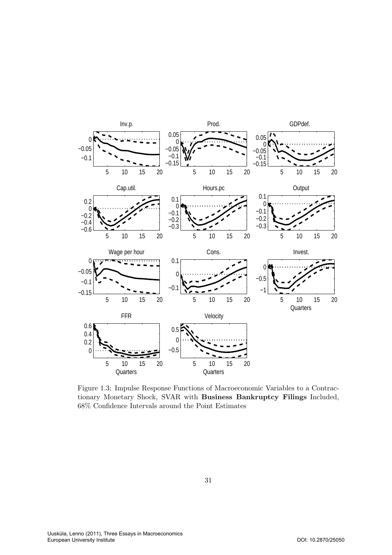

Figure 1.3: Impulse Response Functions of Macroeconomic Variables to a Contractionary Monetary Shock, SVAR with **Business Bankruptcy Filings** Included, 68% Confidence Intervals around the Point Estimates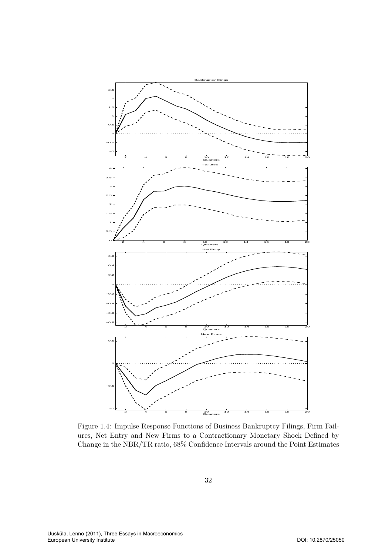

Figure 1.4: Impulse Response Functions of Business Bankruptcy Filings, Firm Failures, Net Entry and New Firms to a Contractionary Monetary Shock Defined by Change in the NBR/TR ratio, 68% Confidence Intervals around the Point Estimates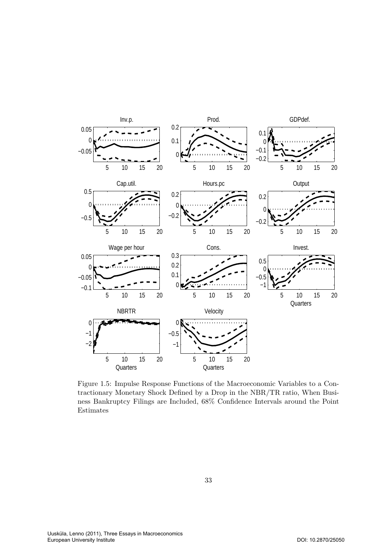

Figure 1.5: Impulse Response Functions of the Macroeconomic Variables to a Contractionary Monetary Shock Defined by a Drop in the NBR/TR ratio, When Business Bankruptcy Filings are Included, 68% Confidence Intervals around the Point Estimates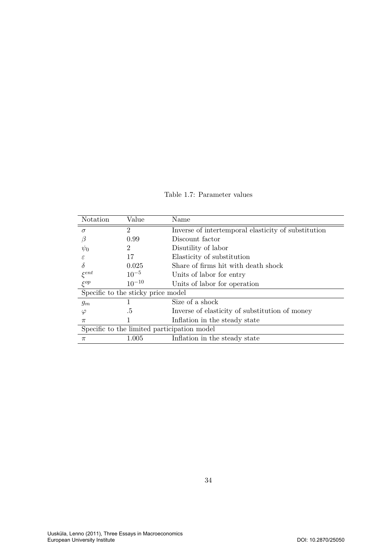| Notation                                    | Value          | Name                                                |  |  |
|---------------------------------------------|----------------|-----------------------------------------------------|--|--|
| $\sigma$                                    | $\overline{2}$ | Inverse of intertemporal elasticity of substitution |  |  |
|                                             | 0.99           | Discount factor                                     |  |  |
| $\psi_0$                                    | 2              | Disutility of labor                                 |  |  |
| $\varepsilon$                               | 17             | Elasticity of substitution                          |  |  |
| δ                                           | 0.025          | Share of firms hit with death shock                 |  |  |
| $\varepsilon^{ent}$                         | $10^{-5}$      | Units of labor for entry                            |  |  |
| $\xi^{op}$                                  | $10^{-10}$     | Units of labor for operation                        |  |  |
| Specific to the sticky price model          |                |                                                     |  |  |
| $g_m$                                       |                | Size of a shock                                     |  |  |
| $\varphi$                                   | .5             | Inverse of elasticity of substitution of money      |  |  |
| $\pi$                                       |                | Inflation in the steady state                       |  |  |
| Specific to the limited participation model |                |                                                     |  |  |
| $\pi$                                       | 1.005          | Inflation in the steady state                       |  |  |

Table 1.7: Parameter values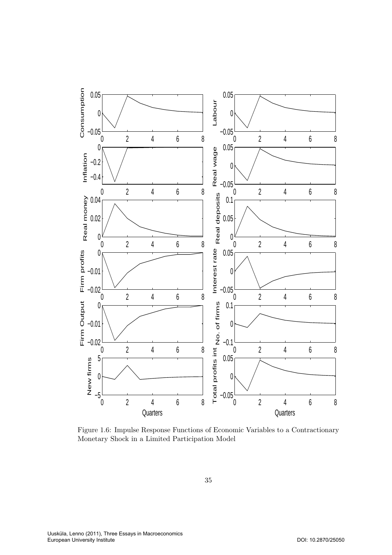

Figure 1.6: Impulse Response Functions of Economic Variables to a Contractionary Monetary Shock in a Limited Participation Model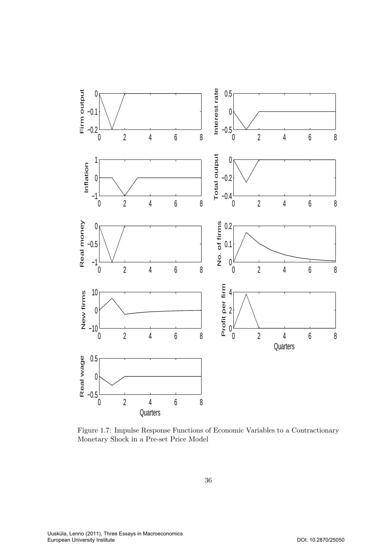

Figure 1.7: Impulse Response Functions of Economic Variables to a Contractionary Monetary Shock in a Pre-set Price Model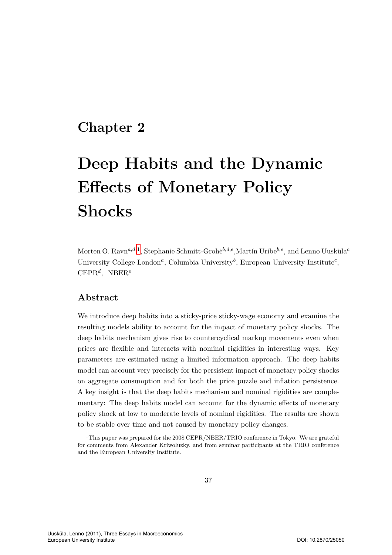## **Chapter 2**

# **Deep Habits and the Dynamic Effects of Monetary Policy Shocks**

Morten O. Ravn<sup>a,d,[1](#page-45-0)</sup>, Stephanie Schmitt-Grohė<sup>b,d,e</sup>,Martín Uribe<sup>b,e</sup>, and Lenno Uusküla<sup>c</sup> University College London<sup>*a*</sup>, Columbia University<sup>b</sup>, European University Institute<sup>*c*</sup>, CEPR*<sup>d</sup>* , NBER*<sup>e</sup>*

## **Abstract**

We introduce deep habits into a sticky-price sticky-wage economy and examine the resulting models ability to account for the impact of monetary policy shocks. The deep habits mechanism gives rise to countercyclical markup movements even when prices are flexible and interacts with nominal rigidities in interesting ways. Key parameters are estimated using a limited information approach. The deep habits model can account very precisely for the persistent impact of monetary policy shocks on aggregate consumption and for both the price puzzle and inflation persistence. A key insight is that the deep habits mechanism and nominal rigidities are complementary: The deep habits model can account for the dynamic effects of monetary policy shock at low to moderate levels of nominal rigidities. The results are shown to be stable over time and not caused by monetary policy changes.

<span id="page-45-0"></span><sup>&</sup>lt;sup>1</sup>This paper was prepared for the 2008 CEPR/NBER/TRIO conference in Tokyo. We are grateful for comments from Alexander Kriwoluzky, and from seminar participants at the TRIO conference and the European University Institute.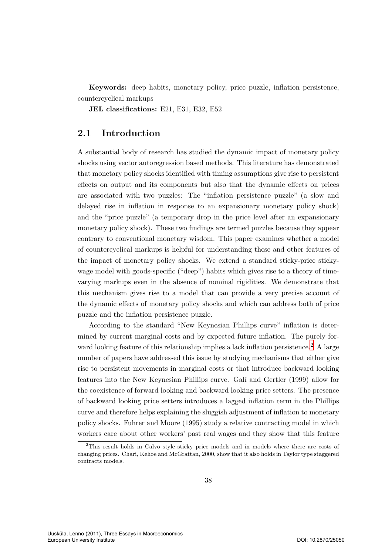**Keywords:** deep habits, monetary policy, price puzzle, inflation persistence, countercyclical markups

**JEL classifications:** E21, E31, E32, E52

## **2.1 Introduction**

A substantial body of research has studied the dynamic impact of monetary policy shocks using vector autoregression based methods. This literature has demonstrated that monetary policy shocks identified with timing assumptions give rise to persistent effects on output and its components but also that the dynamic effects on prices are associated with two puzzles: The "inflation persistence puzzle" (a slow and delayed rise in inflation in response to an expansionary monetary policy shock) and the "price puzzle" (a temporary drop in the price level after an expansionary monetary policy shock). These two findings are termed puzzles because they appear contrary to conventional monetary wisdom. This paper examines whether a model of countercyclical markups is helpful for understanding these and other features of the impact of monetary policy shocks. We extend a standard sticky-price stickywage model with goods-specific ("deep") habits which gives rise to a theory of timevarying markups even in the absence of nominal rigidities. We demonstrate that this mechanism gives rise to a model that can provide a very precise account of the dynamic effects of monetary policy shocks and which can address both of price puzzle and the inflation persistence puzzle.

According to the standard "New Keynesian Phillips curve" inflation is determined by current marginal costs and by expected future inflation. The purely for-ward looking feature of this relationship implies a lack inflation persistence.<sup>[2](#page-46-0)</sup> A large number of papers have addressed this issue by studying mechanisms that either give rise to persistent movements in marginal costs or that introduce backward looking features into the New Keynesian Phillips curve. Galí and Gertler (1999) allow for the coexistence of forward looking and backward looking price setters. The presence of backward looking price setters introduces a lagged inflation term in the Phillips curve and therefore helps explaining the sluggish adjustment of inflation to monetary policy shocks. Fuhrer and Moore (1995) study a relative contracting model in which workers care about other workers' past real wages and they show that this feature

<span id="page-46-0"></span><sup>2</sup>This result holds in Calvo style sticky price models and in models where there are costs of changing prices. Chari, Kehoe and McGrattan, 2000, show that it also holds in Taylor type staggered contracts models.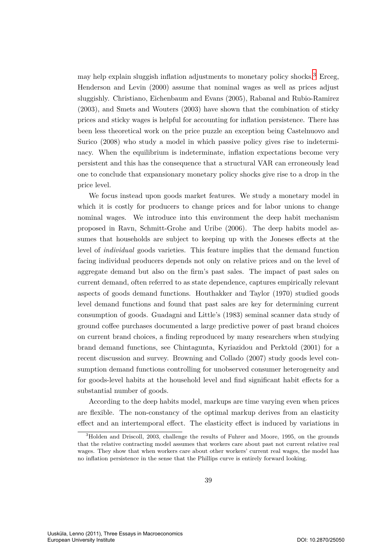may help explain sluggish inflation adjustments to monetary policy shocks.<sup>[3](#page-47-0)</sup> Erceg, Henderson and Levin (2000) assume that nominal wages as well as prices adjust sluggishly. Christiano, Eichenbaum and Evans (2005), Rabanal and Rubio-Ramirez (2003), and Smets and Wouters (2003) have shown that the combination of sticky prices and sticky wages is helpful for accounting for inflation persistence. There has been less theoretical work on the price puzzle an exception being Castelnuovo and Surico (2008) who study a model in which passive policy gives rise to indeterminacy. When the equilibrium is indeterminate, inflation expectations become very persistent and this has the consequence that a structural VAR can erroneously lead one to conclude that expansionary monetary policy shocks give rise to a drop in the price level.

We focus instead upon goods market features. We study a monetary model in which it is costly for producers to change prices and for labor unions to change nominal wages. We introduce into this environment the deep habit mechanism proposed in Ravn, Schmitt-Grohe and Uribe (2006). The deep habits model assumes that households are subject to keeping up with the Joneses effects at the level of *individual* goods varieties. This feature implies that the demand function facing individual producers depends not only on relative prices and on the level of aggregate demand but also on the firm's past sales. The impact of past sales on current demand, often referred to as state dependence, captures empirically relevant aspects of goods demand functions. Houthakker and Taylor (1970) studied goods level demand functions and found that past sales are key for determining current consumption of goods. Guadagni and Little's (1983) seminal scanner data study of ground coffee purchases documented a large predictive power of past brand choices on current brand choices, a finding reproduced by many researchers when studying brand demand functions, see Chintagunta, Kyriazidou and Perktold (2001) for a recent discussion and survey. Browning and Collado (2007) study goods level consumption demand functions controlling for unobserved consumer heterogeneity and for goods-level habits at the household level and find significant habit effects for a substantial number of goods.

According to the deep habits model, markups are time varying even when prices are flexible. The non-constancy of the optimal markup derives from an elasticity effect and an intertemporal effect. The elasticity effect is induced by variations in

<span id="page-47-0"></span><sup>3</sup>Holden and Driscoll, 2003, challenge the results of Fuhrer and Moore, 1995, on the grounds that the relative contracting model assumes that workers care about past not current relative real wages. They show that when workers care about other workers' current real wages, the model has no inflation persistence in the sense that the Phillips curve is entirely forward looking.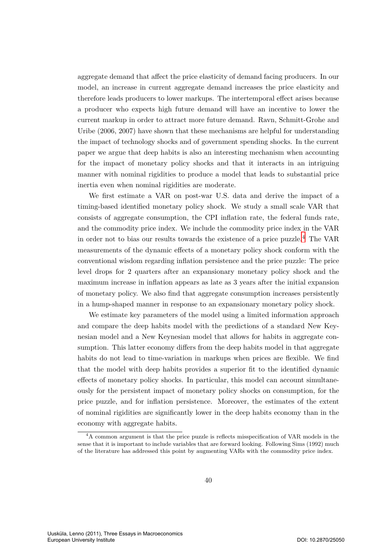aggregate demand that affect the price elasticity of demand facing producers. In our model, an increase in current aggregate demand increases the price elasticity and therefore leads producers to lower markups. The intertemporal effect arises because a producer who expects high future demand will have an incentive to lower the current markup in order to attract more future demand. Ravn, Schmitt-Grohe and Uribe (2006, 2007) have shown that these mechanisms are helpful for understanding the impact of technology shocks and of government spending shocks. In the current paper we argue that deep habits is also an interesting mechanism when accounting for the impact of monetary policy shocks and that it interacts in an intriguing manner with nominal rigidities to produce a model that leads to substantial price inertia even when nominal rigidities are moderate.

We first estimate a VAR on post-war U.S. data and derive the impact of a timing-based identified monetary policy shock. We study a small scale VAR that consists of aggregate consumption, the CPI inflation rate, the federal funds rate, and the commodity price index. We include the commodity price index in the VAR in order not to bias our results towards the existence of a price puzzle.[4](#page-48-0) The VAR measurements of the dynamic effects of a monetary policy shock conform with the conventional wisdom regarding inflation persistence and the price puzzle: The price level drops for 2 quarters after an expansionary monetary policy shock and the maximum increase in inflation appears as late as 3 years after the initial expansion of monetary policy. We also find that aggregate consumption increases persistently in a hump-shaped manner in response to an expansionary monetary policy shock.

We estimate key parameters of the model using a limited information approach and compare the deep habits model with the predictions of a standard New Keynesian model and a New Keynesian model that allows for habits in aggregate consumption. This latter economy differs from the deep habits model in that aggregate habits do not lead to time-variation in markups when prices are flexible. We find that the model with deep habits provides a superior fit to the identified dynamic effects of monetary policy shocks. In particular, this model can account simultaneously for the persistent impact of monetary policy shocks on consumption, for the price puzzle, and for inflation persistence. Moreover, the estimates of the extent of nominal rigidities are significantly lower in the deep habits economy than in the economy with aggregate habits.

<span id="page-48-0"></span><sup>&</sup>lt;sup>4</sup>A common argument is that the price puzzle is reflects misspecification of VAR models in the sense that it is important to include variables that are forward looking. Following Sims (1992) much of the literature has addressed this point by augmenting VARs with the commodity price index.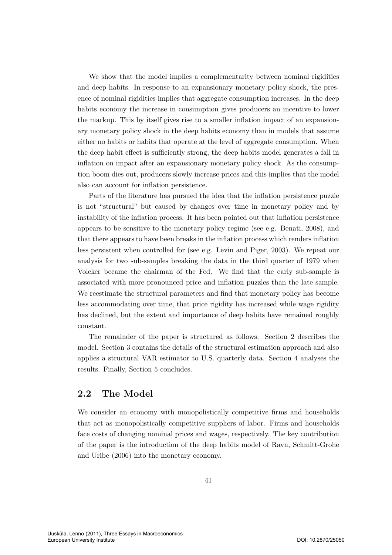We show that the model implies a complementarity between nominal rigidities and deep habits. In response to an expansionary monetary policy shock, the presence of nominal rigidities implies that aggregate consumption increases. In the deep habits economy the increase in consumption gives producers an incentive to lower the markup. This by itself gives rise to a smaller inflation impact of an expansionary monetary policy shock in the deep habits economy than in models that assume either no habits or habits that operate at the level of aggregate consumption. When the deep habit effect is sufficiently strong, the deep habits model generates a fall in inflation on impact after an expansionary monetary policy shock. As the consumption boom dies out, producers slowly increase prices and this implies that the model also can account for inflation persistence.

Parts of the literature has pursued the idea that the inflation persistence puzzle is not "structural" but caused by changes over time in monetary policy and by instability of the inflation process. It has been pointed out that inflation persistence appears to be sensitive to the monetary policy regime (see e.g. Benati, 2008), and that there appears to have been breaks in the inflation process which renders inflation less persistent when controlled for (see e.g. Levin and Piger, 2003). We repeat our analysis for two sub-samples breaking the data in the third quarter of 1979 when Volcker became the chairman of the Fed. We find that the early sub-sample is associated with more pronounced price and inflation puzzles than the late sample. We reestimate the structural parameters and find that monetary policy has become less accommodating over time, that price rigidity has increased while wage rigidity has declined, but the extent and importance of deep habits have remained roughly constant.

The remainder of the paper is structured as follows. Section 2 describes the model. Section 3 contains the details of the structural estimation approach and also applies a structural VAR estimator to U.S. quarterly data. Section 4 analyses the results. Finally, Section 5 concludes.

## **2.2 The Model**

We consider an economy with monopolistically competitive firms and households that act as monopolistically competitive suppliers of labor. Firms and households face costs of changing nominal prices and wages, respectively. The key contribution of the paper is the introduction of the deep habits model of Ravn, Schmitt-Grohe and Uribe (2006) into the monetary economy.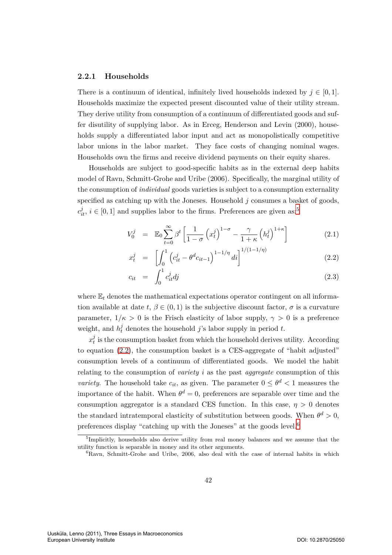#### **2.2.1 Households**

There is a continuum of identical, infinitely lived households indexed by  $j \in [0,1]$ . Households maximize the expected present discounted value of their utility stream. They derive utility from consumption of a continuum of differentiated goods and suffer disutility of supplying labor. As in Erceg, Henderson and Levin (2000), households supply a differentiated labor input and act as monopolistically competitive labor unions in the labor market. They face costs of changing nominal wages. Households own the firms and receive dividend payments on their equity shares.

Households are subject to good-specific habits as in the external deep habits model of Ravn, Schmitt-Grohe and Uribe (2006). Specifically, the marginal utility of the consumption of *individual* goods varieties is subject to a consumption externality specified as catching up with the Joneses. Household *j* consumes a basket of goods,  $c_{it}^j$ ,  $i \in [0, 1]$  and supplies labor to the firms. Preferences are given as:<sup>[5](#page-50-0)</sup>

<span id="page-50-1"></span>
$$
V_0^j = \mathbb{E}_0 \sum_{t=0}^{\infty} \beta^t \left[ \frac{1}{1-\sigma} \left( x_t^j \right)^{1-\sigma} - \frac{\gamma}{1+\kappa} \left( h_t^j \right)^{1+\kappa} \right] \tag{2.1}
$$

$$
x_t^j = \left[ \int_0^1 \left( c_{it}^j - \theta^d c_{it-1} \right)^{1-1/\eta} di \right]^{1/(1-1/\eta)} \tag{2.2}
$$

$$
c_{it} = \int_0^1 c_{it}^j dj \tag{2.3}
$$

where  $\mathbb{E}_t$  denotes the mathematical expectations operator contingent on all information available at date  $t, \beta \in (0, 1)$  is the subjective discount factor,  $\sigma$  is a curvature parameter,  $1/\kappa > 0$  is the Frisch elasticity of labor supply,  $\gamma > 0$  is a preference weight, and  $h_t^j$  denotes the household *j*'s labor supply in period *t*.

 $x_t^j$  $\mathcal{L}_t^j$  is the consumption basket from which the household derives utility. According to equation [\(2.2\)](#page-50-1), the consumption basket is a CES-aggregate of "habit adjusted" consumption levels of a continuum of differentiated goods. We model the habit relating to the consumption of *variety i* as the past *aggregate* consumption of this *variety*. The household take  $c_{it}$ , as given. The parameter  $0 \leq \theta^d < 1$  measures the importance of the habit. When  $\theta^d = 0$ , preferences are separable over time and the consumption aggregator is a standard CES function. In this case,  $\eta > 0$  denotes the standard intratemporal elasticity of substitution between goods. When  $\theta^d > 0$ , preferences display "catching up with the Joneses" at the goods level.[6](#page-50-2)

<sup>5</sup> Implicitly, households also derive utility from real money balances and we assume that the utility function is separable in money and its other arguments.

<span id="page-50-2"></span><span id="page-50-0"></span> ${}^{6}$ Ravn, Schmitt-Grohe and Uribe, 2006, also deal with the case of internal habits in which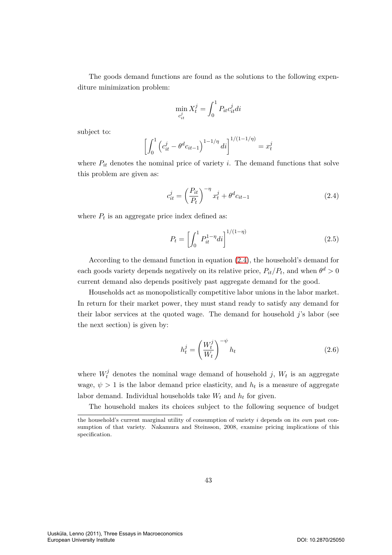The goods demand functions are found as the solutions to the following expenditure minimization problem:

$$
\min_{c_{it}^j} X_t^j = \int_0^1 P_{it} c_{it}^j di
$$

subject to:

$$
\left[\int_0^1 \left(c_{it}^j - \theta^d c_{it-1}\right)^{1-1/\eta} di\right]^{1/(1-1/\eta)} = x_t^j
$$

where  $P_{it}$  denotes the nominal price of variety *i*. The demand functions that solve this problem are given as:

<span id="page-51-0"></span>
$$
c_{it}^j = \left(\frac{P_{it}}{P_t}\right)^{-\eta} x_t^j + \theta^d c_{it-1}
$$
\n(2.4)

where  $P_t$  is an aggregate price index defined as:

$$
P_t = \left[ \int_0^1 P_{it}^{1-\eta} di \right]^{1/(1-\eta)} \tag{2.5}
$$

According to the demand function in equation [\(2.4\)](#page-51-0), the household's demand for each goods variety depends negatively on its relative price,  $P_{it}/P_t$ , and when  $\theta^d > 0$ current demand also depends positively past aggregate demand for the good.

Households act as monopolistically competitive labor unions in the labor market. In return for their market power, they must stand ready to satisfy any demand for their labor services at the quoted wage. The demand for household *j*'s labor (see the next section) is given by:

<span id="page-51-1"></span>
$$
h_t^j = \left(\frac{W_t^j}{W_t}\right)^{-\psi} h_t \tag{2.6}
$$

where  $W_t^j$  denotes the nominal wage demand of household *j*,  $W_t$  is an aggregate wage,  $\psi > 1$  is the labor demand price elasticity, and  $h_t$  is a measure of aggregate labor demand. Individual households take  $W_t$  and  $h_t$  for given.

The household makes its choices subject to the following sequence of budget

the household's current marginal utility of consumption of variety *i* depends on its *own* past consumption of that variety. Nakamura and Steinsson, 2008, examine pricing implications of this specification.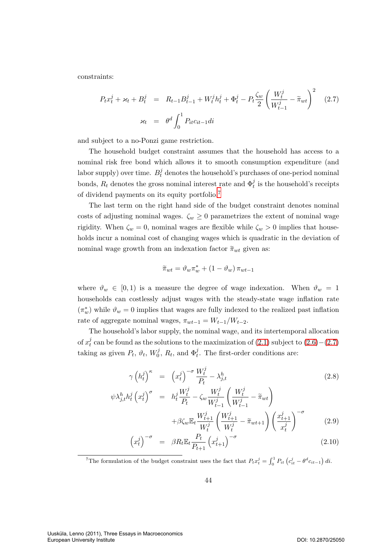constraints:

<span id="page-52-1"></span>
$$
P_t x_t^j + \varkappa_t + B_t^j = R_{t-1} B_{t-1}^j + W_t^j h_t^j + \Phi_t^j - P_t \frac{\zeta_w}{2} \left( \frac{W_t^j}{W_{t-1}^j} - \tilde{\pi}_{wt} \right)^2
$$
 (2.7)  

$$
\varkappa_t = \theta^d \int_0^1 P_{it} c_{it-1} dt
$$

and subject to a no-Ponzi game restriction.

The household budget constraint assumes that the household has access to a nominal risk free bond which allows it to smooth consumption expenditure (and labor supply) over time.  $B_t^j$  denotes the household's purchases of one-period nominal bonds,  $R_t$  denotes the gross nominal interest rate and  $\Phi_t^j$  $t<sub>t</sub><sup>j</sup>$  is the household's receipts of dividend payments on its equity portfolio.[7](#page-52-0)

The last term on the right hand side of the budget constraint denotes nominal costs of adjusting nominal wages.  $\zeta_w \geq 0$  parametrizes the extent of nominal wage rigidity. When  $\zeta_w = 0$ , nominal wages are flexible while  $\zeta_w > 0$  implies that households incur a nominal cost of changing wages which is quadratic in the deviation of nominal wage growth from an indexation factor  $\tilde{\pi}_{wt}$  given as:

$$
\widetilde{\pi}_{wt} = \vartheta_w \pi_w^* + (1 - \vartheta_w) \pi_{wt-1}
$$

where  $\vartheta_w \in [0,1)$  is a measure the degree of wage indexation. When  $\vartheta_w = 1$ households can costlessly adjust wages with the steady-state wage inflation rate  $(\pi_w^*)$  while  $\vartheta_w = 0$  implies that wages are fully indexed to the realized past inflation rate of aggregate nominal wages,  $\pi_{wt-1} = W_{t-1}/W_{t-2}$ .

The household's labor supply, the nominal wage, and its intertemporal allocation of  $x_t^j$  $t_t^j$  can be found as the solutions to the maximization of  $(2.1)$  subject to  $(2.6)–(2.7)$  $(2.6)–(2.7)$  $(2.6)–(2.7)$ taking as given  $P_t$ ,  $\vartheta_t$ ,  $W_0^j$  $\Phi_t^j$ ,  $R_t$ , and  $\Phi_t^j$  $t_t^j$ . The first-order conditions are:

<span id="page-52-2"></span>
$$
\gamma \left(h_t^j\right)^\kappa = \left(x_t^j\right)^{-\sigma} \frac{W_t^j}{P_t} - \lambda_{j,t}^h
$$
\n
$$
\psi \lambda_{j,t}^h h_t^j \left(x_t^j\right)^\sigma = h_t^j \frac{W_t^j}{P_t} - \zeta_w \frac{W_t^j}{W_t^j} \left(\frac{W_t^j}{W_t^j} - \tilde{\pi}_{wt}\right)
$$
\n(2.8)

$$
\int^{\sigma} = h_t^j \frac{W_t^j}{P_t} - \zeta_w \frac{W_t^j}{W_{t-1}^j} \left( \frac{W_t^j}{W_{t-1}^j} - \tilde{\pi}_{wt} \right) + \beta \zeta_w \mathbb{E}_t \frac{W_{t+1}^j}{W_t^j} \left( \frac{W_{t+1}^j}{W_t^j} - \tilde{\pi}_{wt+1} \right) \left( \frac{x_{t+1}^j}{x_t^j} \right)^{-\sigma}
$$
\n(2.9)

$$
\left(x_t^j\right)^{-\sigma} = \beta R_t \mathbb{E}_t \frac{P_t}{P_{t+1}} \left(x_{t+1}^j\right)^{-\sigma} \tag{2.10}
$$

<span id="page-52-0"></span><sup>7</sup>The formulation of the budget constraint uses the fact that  $P_t x_t^j = \int_0^1 P_{it} (c_{it}^j - \theta^d c_{it-1}) dt$ .

*t*

*t*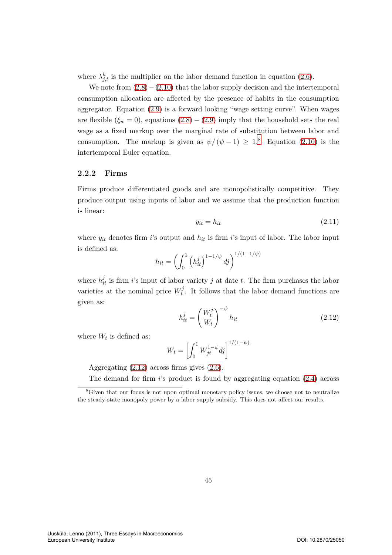where  $\lambda_{j,t}^h$  is the multiplier on the labor demand function in equation [\(2.6\)](#page-51-1).

We note from  $(2.8)-(2.10)$  $(2.8)-(2.10)$  $(2.8)-(2.10)$  that the labor supply decision and the intertemporal consumption allocation are affected by the presence of habits in the consumption aggregator. Equation [\(2.9\)](#page-52-2) is a forward looking "wage setting curve". When wages are flexible  $(\xi_w = 0)$ , equations  $(2.8) - (2.9)$  $(2.8) - (2.9)$  $(2.8) - (2.9)$  imply that the household sets the real wage as a fixed markup over the marginal rate of substitution between labor and consumption. The markup is given as  $\psi/(\psi - 1) \geq 1$ .<sup>[8](#page-53-0)</sup> Equation [\(2.10\)](#page-52-2) is the intertemporal Euler equation.

#### **2.2.2 Firms**

<span id="page-53-2"></span>Firms produce differentiated goods and are monopolistically competitive. They produce output using inputs of labor and we assume that the production function is linear:

$$
y_{it} = h_{it} \tag{2.11}
$$

where  $y_{it}$  denotes firm *i*'s output and  $h_{it}$  is firm *i*'s input of labor. The labor input is defined as:

$$
h_{it} = \left(\int_0^1 \left(h_{it}^j\right)^{1-1/\psi} dj\right)^{1/(1-1/\psi)}
$$

<span id="page-53-1"></span>where  $h_{it}^j$  is firm *i*'s input of labor variety *j* at date *t*. The firm purchases the labor varieties at the nominal price  $W_t^j$  $t_t^j$ . It follows that the labor demand functions are given as:

$$
h_{it}^{j} = \left(\frac{W_t^{j}}{W_t}\right)^{-\psi} h_{it}
$$
\n(2.12)

where  $W_t$  is defined as:

$$
W_t = \left[\int_0^1 W_{jt}^{1-\psi} dj\right]^{1/(1-\psi)}
$$

Aggregating [\(2.12\)](#page-53-1) across firms gives [\(2.6\)](#page-51-1).

The demand for firm *i*'s product is found by aggregating equation [\(2.4\)](#page-51-0) across

<span id="page-53-0"></span><sup>&</sup>lt;sup>8</sup>Given that our focus is not upon optimal monetary policy issues, we choose not to neutralize the steady-state monopoly power by a labor supply subsidy. This does not affect our results.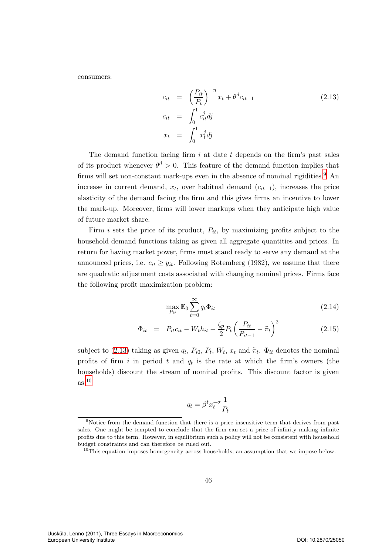consumers:

<span id="page-54-1"></span>
$$
c_{it} = \left(\frac{P_{it}}{P_t}\right)^{-\eta} x_t + \theta^d c_{it-1}
$$
\n
$$
c_{it} = \int_0^1 c_{it}^j dj
$$
\n
$$
x_t = \int_0^1 x_t^j dj
$$
\n(2.13)

The demand function facing firm *i* at date *t* depends on the firm's past sales of its product whenever  $\theta^d > 0$ . This feature of the demand function implies that firms will set non-constant mark-ups even in the absence of nominal rigidities.<sup>[9](#page-54-0)</sup> An increase in current demand,  $x_t$ , over habitual demand  $(c_{it-1})$ , increases the price elasticity of the demand facing the firm and this gives firms an incentive to lower the mark-up. Moreover, firms will lower markups when they anticipate high value of future market share.

Firm *i* sets the price of its product, *Pit*, by maximizing profits subject to the household demand functions taking as given all aggregate quantities and prices. In return for having market power, firms must stand ready to serve any demand at the announced prices, i.e.  $c_{it} \geq y_{it}$ . Following Rotemberg (1982), we assume that there are quadratic adjustment costs associated with changing nominal prices. Firms face the following profit maximization problem:

$$
\max_{P_{it}} \mathbb{E}_0 \sum_{t=0}^{\infty} q_t \Phi_{it}
$$
\n(2.14)

$$
\Phi_{it} = P_{it}c_{it} - W_{t}h_{it} - \frac{\zeta_p}{2}P_t\left(\frac{P_{it}}{P_{it-1}} - \tilde{\pi}_t\right)^2 \tag{2.15}
$$

subject to [\(2.13\)](#page-54-1) taking as given  $q_t$ ,  $P_{i0}$ ,  $P_t$ ,  $W_t$ ,  $x_t$  and  $\tilde{\pi}_t$ .  $\Phi_{it}$  denotes the nominal profits of firm *i* in period *t* and *q<sup>t</sup>* is the rate at which the firm's owners (the households) discount the stream of nominal profits. This discount factor is given  $\mathrm{as:}^{10}$  $\mathrm{as:}^{10}$  $\mathrm{as:}^{10}$ 

$$
q_t = \beta^t x_t^{-\sigma} \frac{1}{P_t}
$$

<span id="page-54-0"></span><sup>&</sup>lt;sup>9</sup>Notice from the demand function that there is a price insensitive term that derives from past sales. One might be tempted to conclude that the firm can set a price of infinity making infinite profits due to this term. However, in equilibrium such a policy will not be consistent with household budget constraints and can therefore be ruled out.

<span id="page-54-2"></span> $10$ This equation imposes homogeneity across households, an assumption that we impose below.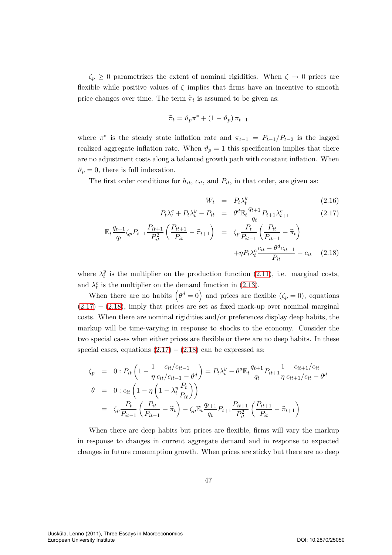$\zeta_p \geq 0$  parametrizes the extent of nominal rigidities. When  $\zeta \to 0$  prices are flexible while positive values of  $\zeta$  implies that firms have an incentive to smooth price changes over time. The term  $\tilde{\pi}_t$  is assumed to be given as:

$$
\widetilde{\pi}_t = \vartheta_p \pi^* + (1 - \vartheta_p) \, \pi_{t-1}
$$

where  $\pi^*$  is the steady state inflation rate and  $\pi_{t-1} = P_{t-1}/P_{t-2}$  is the lagged realized aggregate inflation rate. When  $\vartheta_p = 1$  this specification implies that there are no adjustment costs along a balanced growth path with constant inflation. When  $\vartheta_p = 0$ , there is full indexation.

The first order conditions for  $h_{it}$ ,  $c_{it}$ , and  $P_{it}$ , in that order, are given as:

<span id="page-55-0"></span>
$$
W_t = P_t \lambda_t^y \tag{2.16}
$$

$$
P_t \lambda_t^c + P_t \lambda_t^y - P_{it} = \theta^d \mathbb{E}_t \frac{q_{t+1}}{q_t} P_{t+1} \lambda_{t+1}^c \tag{2.17}
$$

$$
\mathbb{E}_{t} \frac{q_{t+1}}{q_{t}} \zeta_{p} P_{t+1} \frac{P_{it+1}}{P_{it}^{2}} \left( \frac{P_{it+1}}{P_{it}} - \tilde{\pi}_{t+1} \right) = \zeta_{p} \frac{P_{t}}{P_{it-1}} \left( \frac{P_{it}}{P_{it-1}} - \tilde{\pi}_{t} \right) + \eta P_{t} \lambda_{t}^{c} \frac{c_{it} - \theta^{d} c_{it-1}}{P_{it}} - c_{it} \quad (2.18)
$$

where  $\lambda_t^y$  $t$ <sup>t</sup> is the multiplier on the production function  $(2.11)$ , i.e. marginal costs, and  $\lambda_t^c$  is the multiplier on the demand function in [\(2.13\)](#page-54-1).

When there are no habits  $(\theta^d = 0)$  and prices are flexible  $(\zeta_p = 0)$ , equations  $(2.17) - (2.18)$  $(2.17) - (2.18)$  $(2.17) - (2.18)$ , imply that prices are set as fixed mark-up over nominal marginal costs. When there are nominal rigidities and/or preferences display deep habits, the markup will be time-varying in response to shocks to the economy. Consider the two special cases when either prices are flexible or there are no deep habits. In these special cases, equations  $(2.17) - (2.18)$  $(2.17) - (2.18)$  $(2.17) - (2.18)$  can be expressed as:

$$
\zeta_p = 0: P_{it} \left( 1 - \frac{1}{\eta} \frac{c_{it}/c_{it-1}}{c_{it}/c_{it-1} - \theta^d} \right) = P_t \lambda_t^y - \theta^d \mathbb{E}_t \frac{q_{t+1}}{q_t} P_{it+1} \frac{1}{\eta} \frac{c_{it+1}/c_{it}}{c_{it+1}/c_{it} - \theta^d}
$$

$$
\theta = 0: c_{it} \left( 1 - \eta \left( 1 - \lambda_t^y \frac{P_t}{P_{it}} \right) \right)
$$

$$
= \zeta_p \frac{P_t}{P_{it-1}} \left( \frac{P_{it}}{P_{it-1}} - \tilde{\pi}_t \right) - \zeta_p \mathbb{E}_t \frac{q_{t+1}}{q_t} P_{t+1} \frac{P_{it+1}}{P_{it}^2} \left( \frac{P_{it+1}}{P_{it}} - \tilde{\pi}_{t+1} \right)
$$

When there are deep habits but prices are flexible, firms will vary the markup in response to changes in current aggregate demand and in response to expected changes in future consumption growth. When prices are sticky but there are no deep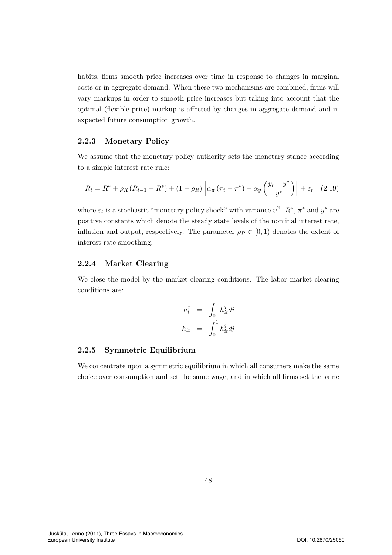habits, firms smooth price increases over time in response to changes in marginal costs or in aggregate demand. When these two mechanisms are combined, firms will vary markups in order to smooth price increases but taking into account that the optimal (flexible price) markup is affected by changes in aggregate demand and in expected future consumption growth.

## **2.2.3 Monetary Policy**

We assume that the monetary policy authority sets the monetary stance according to a simple interest rate rule:

$$
R_{t} = R^{*} + \rho_{R} (R_{t-1} - R^{*}) + (1 - \rho_{R}) \left[ \alpha_{\pi} (\pi_{t} - \pi^{*}) + \alpha_{y} \left( \frac{y_{t} - y^{*}}{y^{*}} \right) \right] + \varepsilon_{t} \quad (2.19)
$$

where  $\varepsilon_t$  is a stochastic "monetary policy shock" with variance  $v^2$ .  $R^*$ ,  $\pi^*$  and  $y^*$  are positive constants which denote the steady state levels of the nominal interest rate, inflation and output, respectively. The parameter  $\rho_R \in [0,1)$  denotes the extent of interest rate smoothing.

## **2.2.4 Market Clearing**

We close the model by the market clearing conditions. The labor market clearing conditions are:

$$
h_t^j = \int_0^1 h_{it}^j di
$$
  

$$
h_{it} = \int_0^1 h_{it}^j dj
$$

## **2.2.5 Symmetric Equilibrium**

We concentrate upon a symmetric equilibrium in which all consumers make the same choice over consumption and set the same wage, and in which all firms set the same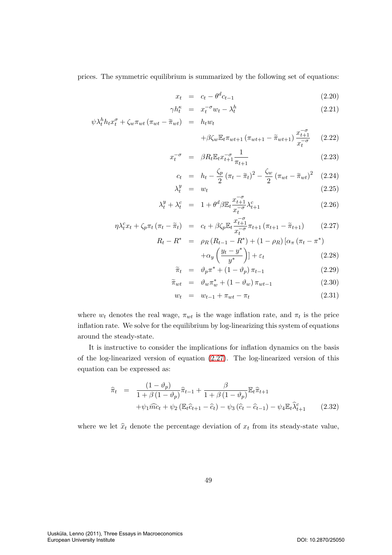prices. The symmetric equilibrium is summarized by the following set of equations:

<span id="page-57-0"></span>
$$
x_t = c_t - \theta^d c_{t-1} \tag{2.20}
$$

$$
\gamma h_t^{\kappa} = x_t^{-\sigma} w_t - \lambda_t^h \tag{2.21}
$$

$$
\psi \lambda_t^h h_t x_t^{\sigma} + \zeta_w \pi_{wt} (\pi_{wt} - \widetilde{\pi}_{wt}) = h_t w_t
$$

$$
+\beta \zeta_w \mathbb{E}_t \pi_{wt+1} \left( \pi_{wt+1} - \widetilde{\pi}_{wt+1} \right) \frac{x_{t+1}^{-\sigma}}{x_t^{-\sigma}} \qquad (2.22)
$$

$$
x_t^{-\sigma} = \beta R_t \mathbb{E}_t x_{t+1}^{-\sigma} \frac{1}{\pi_{t+1}}
$$
 (2.23)

$$
c_t = h_t - \frac{\zeta_p}{2} (\pi_t - \tilde{\pi}_t)^2 - \frac{\zeta_w}{2} (\pi_{wt} - \tilde{\pi}_{wt})^2
$$
 (2.24)

$$
\lambda_t^y = w_t \tag{2.25}
$$

$$
\lambda_t^y + \lambda_t^c = 1 + \theta^d \beta \mathbb{E}_t \frac{x_{t+1}^{-\sigma}}{x_t^{-\sigma}} \lambda_{t+1}^c \tag{2.26}
$$

$$
\eta \lambda_t^c x_t + \zeta_p \pi_t \left( \pi_t - \widetilde{\pi}_t \right) = c_t + \beta \zeta_p \mathbb{E}_t \frac{x_{t+1}^{-\sigma}}{x_t^{-\sigma}} \pi_{t+1} \left( \pi_{t+1} - \widetilde{\pi}_{t+1} \right) \tag{2.27}
$$

$$
R_t - R^* = \rho_R (R_{t-1} - R^*) + (1 - \rho_R) [\alpha_\pi (\pi_t - \pi^*)
$$
  
 
$$
+ \alpha_y \left( \frac{y_t - y^*}{\alpha^*} \right)] + \varepsilon_t
$$
 (2.28)

$$
\widetilde{\pi}_t = \vartheta_p \pi^* + (1 - \vartheta_p) \pi_{t-1} \tag{2.29}
$$

$$
\widetilde{\pi}_{wt} = \vartheta_w \pi_w^* + (1 - \vartheta_w) \pi_{wt-1} \tag{2.30}
$$

$$
w_t = w_{t-1} + \pi_{wt} - \pi_t \tag{2.31}
$$

where  $w_t$  denotes the real wage,  $\pi_{wt}$  is the wage inflation rate, and  $\pi_t$  is the price inflation rate. We solve for the equilibrium by log-linearizing this system of equations around the steady-state.

It is instructive to consider the implications for inflation dynamics on the basis of the log-linearized version of equation [\(2.27\)](#page-57-0). The log-linearized version of this equation can be expressed as:

<span id="page-57-1"></span>
$$
\widehat{\pi}_t = \frac{(1 - \vartheta_p)}{1 + \beta (1 - \vartheta_p)} \widehat{\pi}_{t-1} + \frac{\beta}{1 + \beta (1 - \vartheta_p)} \mathbb{E}_t \widehat{\pi}_{t+1}
$$

$$
+ \psi_1 \widehat{m c}_t + \psi_2 \left( \mathbb{E}_t \widehat{c}_{t+1} - \widehat{c}_t \right) - \psi_3 \left( \widehat{c}_t - \widehat{c}_{t-1} \right) - \psi_4 \mathbb{E}_t \widehat{\lambda}_{t+1}^c \tag{2.32}
$$

where we let  $\hat{x}_t$  denote the percentage deviation of  $x_t$  from its steady-state value,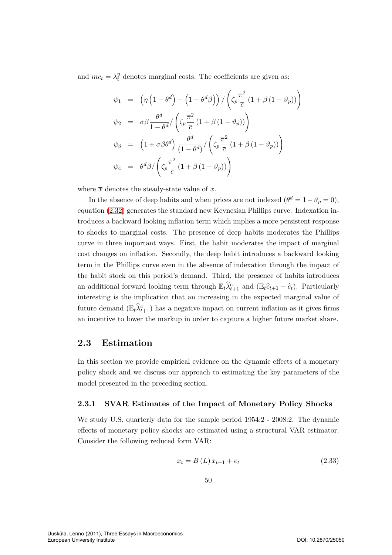and  $mc_t = \lambda_t^y$  denotes marginal costs. The coefficients are given as:

$$
\psi_1 = \left( \eta \left( 1 - \theta^d \right) - \left( 1 - \theta^d \beta \right) \right) / \left( \zeta_p \frac{\overline{\pi}^2}{\overline{c}} \left( 1 + \beta \left( 1 - \vartheta_p \right) \right) \right)
$$
\n
$$
\psi_2 = \sigma \beta \frac{\theta^d}{1 - \theta^d} / \left( \zeta_p \frac{\overline{\pi}^2}{\overline{c}} \left( 1 + \beta \left( 1 - \vartheta_p \right) \right) \right)
$$
\n
$$
\psi_3 = \left( 1 + \sigma \beta \theta^d \right) \frac{\theta^d}{\left( 1 - \theta^d \right)} / \left( \zeta_p \frac{\overline{\pi}^2}{\overline{c}} \left( 1 + \beta \left( 1 - \vartheta_p \right) \right) \right)
$$
\n
$$
\psi_4 = \theta^d \beta / \left( \zeta_p \frac{\overline{\pi}^2}{\overline{c}} \left( 1 + \beta \left( 1 - \vartheta_p \right) \right) \right)
$$

where  $\bar{x}$  denotes the steady-state value of  $x$ .

In the absence of deep habits and when prices are not indexed  $(\theta^d = 1 - \vartheta_p = 0)$ , equation [\(2.32\)](#page-57-1) generates the standard new Keynesian Phillips curve. Indexation introduces a backward looking inflation term which implies a more persistent response to shocks to marginal costs. The presence of deep habits moderates the Phillips curve in three important ways. First, the habit moderates the impact of marginal cost changes on inflation. Secondly, the deep habit introduces a backward looking term in the Phillips curve even in the absence of indexation through the impact of the habit stock on this period's demand. Third, the presence of habits introduces an additional forward looking term through  $\mathbb{E}_t \hat{\lambda}_{t+1}^c$  and  $(\mathbb{E}_t \hat{c}_{t+1} - \hat{c}_t)$ . Particularly interesting is the implication that an increasing in the expected marginal value of future demand  $(\mathbb{E}_{t} \hat{\lambda}_{t+1}^c)$  has a negative impact on current inflation as it gives firms an incentive to lower the markup in order to capture a higher future market share.

## **2.3 Estimation**

In this section we provide empirical evidence on the dynamic effects of a monetary policy shock and we discuss our approach to estimating the key parameters of the model presented in the preceding section.

#### **2.3.1 SVAR Estimates of the Impact of Monetary Policy Shocks**

We study U.S. quarterly data for the sample period 1954:2 - 2008:2. The dynamic effects of monetary policy shocks are estimated using a structural VAR estimator. Consider the following reduced form VAR:

$$
x_t = B(L)x_{t-1} + e_t \t\t(2.33)
$$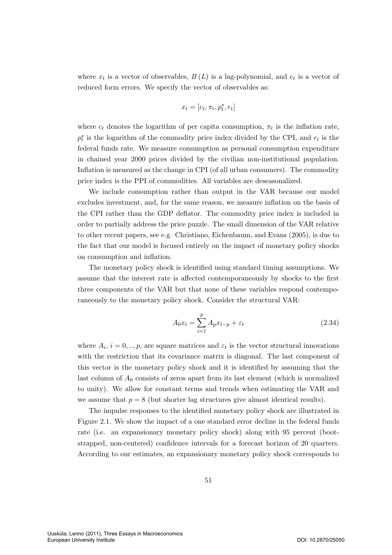where  $x_t$  is a vector of observables,  $B(L)$  is a lag-polynomial, and  $e_t$  is a vector of reduced form errors. We specify the vector of observables as:

$$
x_t = [c_t, \pi_t, p_t^s, r_t]
$$

where  $c_t$  denotes the logarithm of per capita consumption,  $\pi_t$  is the inflation rate,  $p_t^s$  is the logarithm of the commodity price index divided by the CPI, and  $r_t$  is the federal funds rate. We measure consumption as personal consumption expenditure in chained year 2000 prices divided by the civilian non-institutional population. Inflation is measured as the change in CPI (of all urban consumers). The commodity price index is the PPI of commodities. All variables are deseasonalized.

We include consumption rather than output in the VAR because our model excludes investment, and, for the same reason, we measure inflation on the basis of the CPI rather than the GDP deflator. The commodity price index is included in order to partially address the price puzzle. The small dimension of the VAR relative to other recent papers, see e.g. Christiano, Eichenbaum, and Evans (2005), is due to the fact that our model is focused entirely on the impact of monetary policy shocks on consumption and inflation.

The monetary policy shock is identified using standard timing assumptions. We assume that the interest rate is affected contemporaneously by shocks to the first three components of the VAR but that none of these variables respond contemporaneously to the monetary policy shock. Consider the structural VAR:

$$
A_0 x_t = \sum_{i=1}^p A_p x_{t-p} + \varepsilon_t \tag{2.34}
$$

where  $A_i$ ,  $i = 0, ..., p$ , are square matrices and  $\varepsilon_t$  is the vector structural innovations with the restriction that its covariance matrix is diagonal. The last component of this vector is the monetary policy shock and it is identified by assuming that the last column of  $A_0$  consists of zeros apart from its last element (which is normalized to unity). We allow for constant terms and trends when estimating the VAR and we assume that  $p = 8$  (but shorter lag structures give almost identical results).

The impulse responses to the identified monetary policy shock are illustrated in Figure 2.1. We show the impact of a one standard error decline in the federal funds rate (i.e. an expansionary monetary policy shock) along with 95 percent (bootstrapped, non-centered) confidence intervals for a forecast horizon of 20 quarters. According to our estimates, an expansionary monetary policy shock corresponds to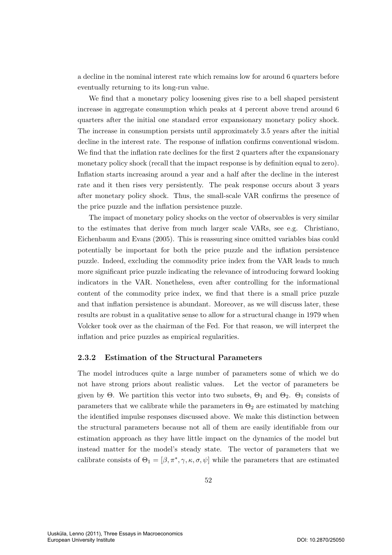a decline in the nominal interest rate which remains low for around 6 quarters before eventually returning to its long-run value.

We find that a monetary policy loosening gives rise to a bell shaped persistent increase in aggregate consumption which peaks at 4 percent above trend around 6 quarters after the initial one standard error expansionary monetary policy shock. The increase in consumption persists until approximately 3.5 years after the initial decline in the interest rate. The response of inflation confirms conventional wisdom. We find that the inflation rate declines for the first 2 quarters after the expansionary monetary policy shock (recall that the impact response is by definition equal to zero). Inflation starts increasing around a year and a half after the decline in the interest rate and it then rises very persistently. The peak response occurs about 3 years after monetary policy shock. Thus, the small-scale VAR confirms the presence of the price puzzle and the inflation persistence puzzle.

The impact of monetary policy shocks on the vector of observables is very similar to the estimates that derive from much larger scale VARs, see e.g. Christiano, Eichenbaum and Evans (2005). This is reassuring since omitted variables bias could potentially be important for both the price puzzle and the inflation persistence puzzle. Indeed, excluding the commodity price index from the VAR leads to much more significant price puzzle indicating the relevance of introducing forward looking indicators in the VAR. Nonetheless, even after controlling for the informational content of the commodity price index, we find that there is a small price puzzle and that inflation persistence is abundant. Moreover, as we will discuss later, these results are robust in a qualitative sense to allow for a structural change in 1979 when Volcker took over as the chairman of the Fed. For that reason, we will interpret the inflation and price puzzles as empirical regularities.

## **2.3.2 Estimation of the Structural Parameters**

The model introduces quite a large number of parameters some of which we do not have strong priors about realistic values. Let the vector of parameters be given by  $\Theta$ . We partition this vector into two subsets,  $\Theta_1$  and  $\Theta_2$ .  $\Theta_1$  consists of parameters that we calibrate while the parameters in  $\Theta_2$  are estimated by matching the identified impulse responses discussed above. We make this distinction between the structural parameters because not all of them are easily identifiable from our estimation approach as they have little impact on the dynamics of the model but instead matter for the model's steady state. The vector of parameters that we calibrate consists of  $\Theta_1 = [\beta, \pi^*, \gamma, \kappa, \sigma, \psi]$  while the parameters that are estimated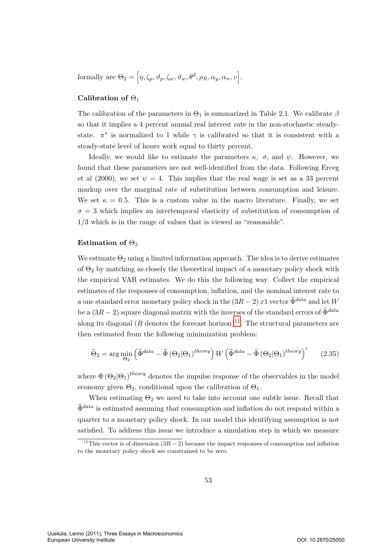$\text{formally are } \Theta_2 = \left[ \eta, \zeta_p, \vartheta_p, \zeta_w, \vartheta_w, \theta^d, \rho_R, \alpha_y, \alpha_\pi, v \right].$ 

#### **Calibration of** Θ<sup>1</sup>

The calibration of the parameters in  $\Theta_1$  is summarized in Table 2.1. We calibrate  $\beta$ so that it implies a 4 percent annual real interest rate in the non-stochastic steadystate.  $\pi^*$  is normalized to 1 while  $\gamma$  is calibrated so that it is consistent with a steady-state level of hours work equal to thirty percent.

Ideally, we would like to estimate the parameters  $\kappa$ ,  $\sigma$ , and  $\psi$ . However, we found that these parameters are not well-identified from the data. Following Erceg et al (2000), we set  $\psi = 4$ . This implies that the real wage is set as a 33 percent markup over the marginal rate of substitution between consumption and leisure. We set  $\kappa = 0.5$ . This is a custom value in the macro literature. Finally, we set  $\sigma = 3$  which implies an intertemporal elasticity of substitution of consumption of 1/3 which is in the range of values that is viewed as "reasonable".

#### **Estimation of**  $\Theta_2$

We estimate  $\Theta_2$  using a limited information approach. The idea is to derive estimates of  $\Theta_2$  by matching as closely the theoretical impact of a monetary policy shock with the empirical VAR estimates. We do this the following way. Collect the empirical estimates of the responses of consumption, inflation, and the nominal interest rate to a one standard error monetary policy shock in the  $(3R - 2) x1$  vector  $\hat{\Phi}^{data}$  and let *W* be a  $(3R - 2)$  square diagonal matrix with the inverses of the standard errors of  $\hat{\Phi}^{data}$ along its diagonal ( $R$  denotes the forecast horizon)<sup>[11](#page-61-0)</sup>. The structural parameters are then estimated from the following minimization problem:

<span id="page-61-1"></span>
$$
\widehat{\Theta}_2 = \arg\min_{\Theta_2} \left( \widehat{\Phi}^{data} - \widehat{\Phi} \left( \Theta_2 | \Theta_1 \right)^{theory} \right) W \left( \widehat{\Phi}^{data} - \widehat{\Phi} \left( \Theta_2 | \Theta_1 \right)^{theory} \right)'
$$
(2.35)

where  $\Phi(\Theta_2|\Theta_1)$ <sup>theory</sup> denotes the impulse response of the observables in the model economy given  $\Theta_2$ , conditional upon the calibration of  $\Theta_1$ .

When estimating  $\Theta_2$  we need to take into account one subtle issue. Recall that  $\widehat{\Phi}^{data}$  is estimated assuming that consumption and inflation do not respond within a quarter to a monetary policy shock. In our model this identifying assumption is not satisfied. To address this issue we introduce a simulation step in which we measure

<span id="page-61-0"></span><sup>&</sup>lt;sup>11</sup>This vector is of dimension  $(3R - 2)$  because the impact responses of consumption and inflation to the monetary policy shock are constrained to be zero.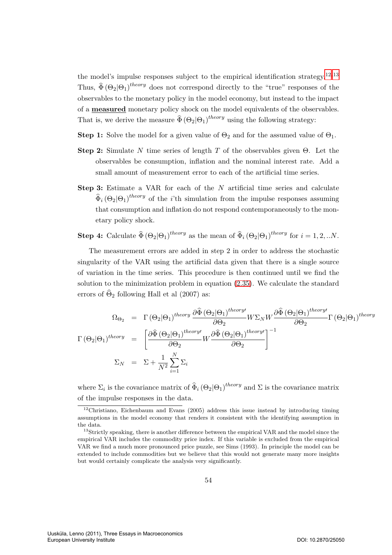the model's impulse responses subject to the empirical identification strategy.<sup>[12](#page-62-0),[13](#page-62-1)</sup> Thus,  $\widehat{\Phi}(\Theta_2|\Theta_1)$ <sup>theory</sup> does not correspond directly to the "true" responses of the observables to the monetary policy in the model economy, but instead to the impact of a **measured** monetary policy shock on the model equivalents of the observables. That is, we derive the measure  $\hat{\Phi}(\Theta_2|\Theta_1)^{theory}$  using the following strategy:

- **Step 1:** Solve the model for a given value of  $\Theta_2$  and for the assumed value of  $\Theta_1$ .
- **Step 2:** Simulate *N* time series of length *T* of the observables given Θ. Let the observables be consumption, inflation and the nominal interest rate. Add a small amount of measurement error to each of the artificial time series.
- **Step 3:** Estimate a VAR for each of the *N* artificial time series and calculate  $\widehat{\Phi}_i \left( \Theta_2 | \Theta_1 \right)^{theory}$  of the *i*'th simulation from the impulse responses assuming that consumption and inflation do not respond contemporaneously to the monetary policy shock.

**Step 4:** Calculate  $\hat{\Phi} (\Theta_2 | \Theta_1)^{theory}$  as the mean of  $\hat{\Phi}_i (\Theta_2 | \Theta_1)^{theory}$  for  $i = 1, 2, ...N$ .

The measurement errors are added in step 2 in order to address the stochastic singularity of the VAR using the artificial data given that there is a single source of variation in the time series. This procedure is then continued until we find the solution to the minimization problem in equation [\(2.35\)](#page-61-1). We calculate the standard errors of  $\Theta_2$  following Hall et al (2007) as:

$$
\Omega_{\Theta_2} = \Gamma(\Theta_2|\Theta_1)^{theory} \frac{\partial \hat{\Phi}(\Theta_2|\Theta_1)^{theory}}{\partial \Theta_2} W \Sigma_N W \frac{\partial \hat{\Phi}(\Theta_2|\Theta_1)^{theory}}{\partial \Theta_2} \Gamma(\Theta_2|\Theta_1)^{theory}
$$
  
\n
$$
\Gamma(\Theta_2|\Theta_1)^{theory} = \left[ \frac{\partial \hat{\Phi}(\Theta_2|\Theta_1)^{theory}}{\partial \Theta_2} W \frac{\partial \hat{\Phi}(\Theta_2|\Theta_1)^{theory}}{\partial \Theta_2} \right]^{-1}
$$
  
\n
$$
\Sigma_N = \Sigma + \frac{1}{N^2} \sum_{i=1}^N \Sigma_i
$$

where  $\Sigma_i$  is the covariance matrix of  $\widehat{\Phi}_i (\Theta_2 | \Theta_1)^{theory}$  and  $\Sigma$  is the covariance matrix of the impulse responses in the data.

<span id="page-62-0"></span> $12$ Christiano, Eichenbaum and Evans (2005) address this issue instead by introducing timing assumptions in the model economy that renders it consistent with the identifying assumption in the data.

<span id="page-62-1"></span><sup>&</sup>lt;sup>13</sup>Strictly speaking, there is another difference between the empirical VAR and the model since the empirical VAR includes the commodity price index. If this variable is excluded from the empirical VAR we find a much more pronounced price puzzle, see Sims (1993). In principle the model can be extended to include commodities but we believe that this would not generate many more insights but would certainly complicate the analysis very significantly.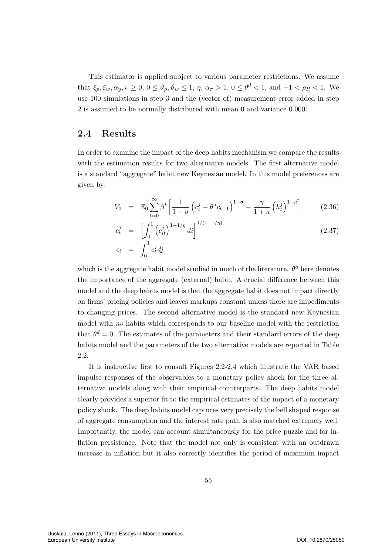This estimator is applied subject to various parameter restrictions. We assume that  $\xi_p, \xi_w, \alpha_y, \upsilon \ge 0, 0 \le \vartheta_p, \vartheta_w \le 1, \eta, \alpha_{\pi} > 1, 0 \le \theta^d < 1, \text{ and } -1 < \rho_R < 1.$  We use 100 simulations in step 3 and the (vector of) measurement error added in step 2 is assumed to be normally distributed with mean 0 and variance 0.0001.

## **2.4 Results**

In order to examine the impact of the deep habits mechanism we compare the results with the estimation results for two alternative models. The first alternative model is a standard "aggregate" habit new Keynesian model. In this model preferences are given by:

$$
V_0 = \mathbb{E}_0 \sum_{t=0}^{\infty} \beta^t \left[ \frac{1}{1-\sigma} \left( c_t^j - \theta^a c_{t-1} \right)^{1-\sigma} - \frac{\gamma}{1+\kappa} \left( h_t^j \right)^{1+\kappa} \right] \tag{2.36}
$$

$$
c_t^j = \left[ \int_0^1 \left( c_{it}^j \right)^{1 - 1/\eta} dt \right]^{1/(1 - 1/\eta)} \tag{2.37}
$$

$$
c_t = \int_0^1 c_t^j \, dj
$$

which is the aggregate habit model studied in much of the literature.  $\theta^a$  here denotes the importance of the aggregate (external) habit. A crucial difference between this model and the deep habits model is that the aggregate habit does not impact directly on firms' pricing policies and leaves markups constant unless there are impediments to changing prices. The second alternative model is the standard new Keynesian model with *no* habits which corresponds to our baseline model with the restriction that  $\theta^d = 0$ . The estimates of the parameters and their standard errors of the deep habits model and the parameters of the two alternative models are reported in Table 2.2.

It is instructive first to consult Figures 2.2-2.4 which illustrate the VAR based impulse responses of the observables to a monetary policy shock for the three alternative models along with their empirical counterparts. The deep habits model clearly provides a superior fit to the empirical estimates of the impact of a monetary policy shock. The deep habits model captures very precisely the bell shaped response of aggregate consumption and the interest rate path is also matched extremely well. Importantly, the model can account simultaneously for the price puzzle and for inflation persistence. Note that the model not only is consistent with an outdrawn increase in inflation but it also correctly identifies the period of maximum impact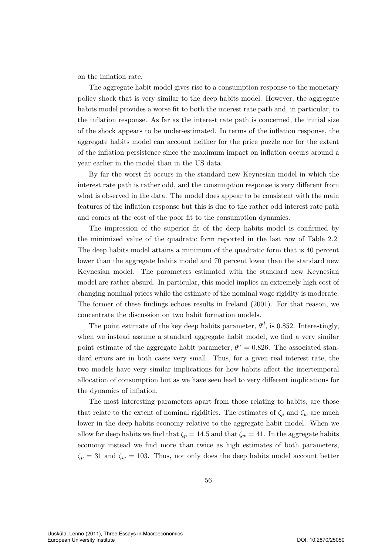on the inflation rate.

The aggregate habit model gives rise to a consumption response to the monetary policy shock that is very similar to the deep habits model. However, the aggregate habits model provides a worse fit to both the interest rate path and, in particular, to the inflation response. As far as the interest rate path is concerned, the initial size of the shock appears to be under-estimated. In terms of the inflation response, the aggregate habits model can account neither for the price puzzle nor for the extent of the inflation persistence since the maximum impact on inflation occurs around a year earlier in the model than in the US data.

By far the worst fit occurs in the standard new Keynesian model in which the interest rate path is rather odd, and the consumption response is very different from what is observed in the data. The model does appear to be consistent with the main features of the inflation response but this is due to the rather odd interest rate path and comes at the cost of the poor fit to the consumption dynamics.

The impression of the superior fit of the deep habits model is confirmed by the minimized value of the quadratic form reported in the last row of Table 2.2. The deep habits model attains a minimum of the quadratic form that is 40 percent lower than the aggregate habits model and 70 percent lower than the standard new Keynesian model. The parameters estimated with the standard new Keynesian model are rather absurd. In particular, this model implies an extremely high cost of changing nominal prices while the estimate of the nominal wage rigidity is moderate. The former of these findings echoes results in Ireland (2001). For that reason, we concentrate the discussion on two habit formation models.

The point estimate of the key deep habits parameter,  $\theta^d$ , is 0.852. Interestingly, when we instead assume a standard aggregate habit model, we find a very similar point estimate of the aggregate habit parameter,  $\theta^a = 0.826$ . The associated standard errors are in both cases very small. Thus, for a given real interest rate, the two models have very similar implications for how habits affect the intertemporal allocation of consumption but as we have seen lead to very different implications for the dynamics of inflation.

The most interesting parameters apart from those relating to habits, are those that relate to the extent of nominal rigidities. The estimates of  $\zeta_p$  and  $\zeta_w$  are much lower in the deep habits economy relative to the aggregate habit model. When we allow for deep habits we find that  $\zeta_p = 14.5$  and that  $\zeta_w = 41$ . In the aggregate habits economy instead we find more than twice as high estimates of both parameters,  $\zeta_p = 31$  and  $\zeta_w = 103$ . Thus, not only does the deep habits model account better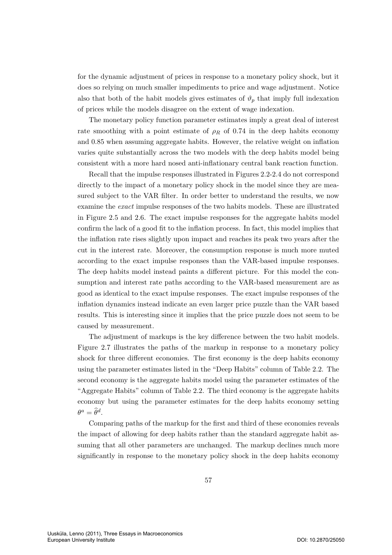for the dynamic adjustment of prices in response to a monetary policy shock, but it does so relying on much smaller impediments to price and wage adjustment. Notice also that both of the habit models gives estimates of  $\vartheta_p$  that imply full indexation of prices while the models disagree on the extent of wage indexation.

The monetary policy function parameter estimates imply a great deal of interest rate smoothing with a point estimate of  $\rho_R$  of 0.74 in the deep habits economy and 0.85 when assuming aggregate habits. However, the relative weight on inflation varies quite substantially across the two models with the deep habits model being consistent with a more hard nosed anti-inflationary central bank reaction function.

Recall that the impulse responses illustrated in Figures 2.2-2.4 do not correspond directly to the impact of a monetary policy shock in the model since they are measured subject to the VAR filter. In order better to understand the results, we now examine the *exact* impulse responses of the two habits models. These are illustrated in Figure 2.5 and 2.6. The exact impulse responses for the aggregate habits model confirm the lack of a good fit to the inflation process. In fact, this model implies that the inflation rate rises slightly upon impact and reaches its peak two years after the cut in the interest rate. Moreover, the consumption response is much more muted according to the exact impulse responses than the VAR-based impulse responses. The deep habits model instead paints a different picture. For this model the consumption and interest rate paths according to the VAR-based measurement are as good as identical to the exact impulse responses. The exact impulse responses of the inflation dynamics instead indicate an even larger price puzzle than the VAR based results. This is interesting since it implies that the price puzzle does not seem to be caused by measurement.

The adjustment of markups is the key difference between the two habit models. Figure 2.7 illustrates the paths of the markup in response to a monetary policy shock for three different economies. The first economy is the deep habits economy using the parameter estimates listed in the "Deep Habits" column of Table 2.2. The second economy is the aggregate habits model using the parameter estimates of the "Aggregate Habits" column of Table 2.2. The third economy is the aggregate habits economy but using the parameter estimates for the deep habits economy setting  $\theta^a = \widehat{\theta}^d$ .

Comparing paths of the markup for the first and third of these economies reveals the impact of allowing for deep habits rather than the standard aggregate habit assuming that all other parameters are unchanged. The markup declines much more significantly in response to the monetary policy shock in the deep habits economy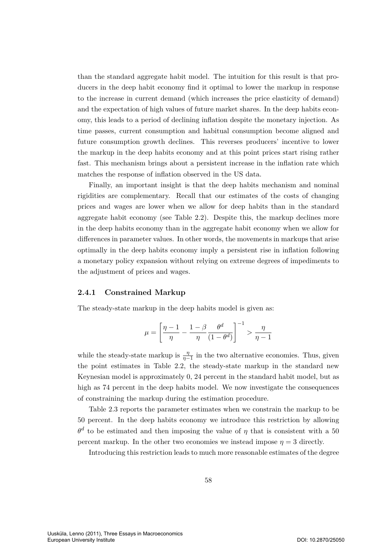than the standard aggregate habit model. The intuition for this result is that producers in the deep habit economy find it optimal to lower the markup in response to the increase in current demand (which increases the price elasticity of demand) and the expectation of high values of future market shares. In the deep habits economy, this leads to a period of declining inflation despite the monetary injection. As time passes, current consumption and habitual consumption become aligned and future consumption growth declines. This reverses producers' incentive to lower the markup in the deep habits economy and at this point prices start rising rather fast. This mechanism brings about a persistent increase in the inflation rate which matches the response of inflation observed in the US data.

Finally, an important insight is that the deep habits mechanism and nominal rigidities are complementary. Recall that our estimates of the costs of changing prices and wages are lower when we allow for deep habits than in the standard aggregate habit economy (see Table 2.2). Despite this, the markup declines more in the deep habits economy than in the aggregate habit economy when we allow for differences in parameter values. In other words, the movements in markups that arise optimally in the deep habits economy imply a persistent rise in inflation following a monetary policy expansion without relying on extreme degrees of impediments to the adjustment of prices and wages.

#### **2.4.1 Constrained Markup**

The steady-state markup in the deep habits model is given as:

$$
\mu = \left[\frac{\eta-1}{\eta}-\frac{1-\beta}{\eta}\frac{\theta^d}{(1-\theta^d)}\right]^{-1} > \frac{\eta}{\eta-1}
$$

while the steady-state markup is  $\frac{\eta}{\eta-1}$  in the two alternative economies. Thus, given the point estimates in Table 2.2, the steady-state markup in the standard new Keynesian model is approximately 0, 24 percent in the standard habit model, but as high as 74 percent in the deep habits model. We now investigate the consequences of constraining the markup during the estimation procedure.

Table 2.3 reports the parameter estimates when we constrain the markup to be 50 percent. In the deep habits economy we introduce this restriction by allowing *θ*<sup> $d$ </sup> to be estimated and then imposing the value of *η* that is consistent with a 50 percent markup. In the other two economies we instead impose  $\eta = 3$  directly.

Introducing this restriction leads to much more reasonable estimates of the degree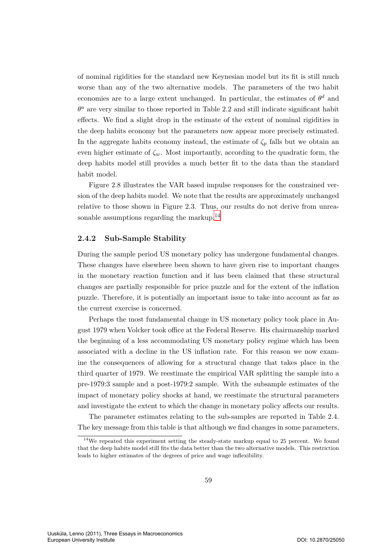of nominal rigidities for the standard new Keynesian model but its fit is still much worse than any of the two alternative models. The parameters of the two habit economies are to a large extent unchanged. In particular, the estimates of  $\theta^d$  and  $\theta^a$  are very similar to those reported in Table 2.2 and still indicate significant habit effects. We find a slight drop in the estimate of the extent of nominal rigidities in the deep habits economy but the parameters now appear more precisely estimated. In the aggregate habits economy instead, the estimate of  $\zeta_p$  falls but we obtain an even higher estimate of  $\zeta_w$ . Most importantly, according to the quadratic form, the deep habits model still provides a much better fit to the data than the standard habit model.

Figure 2.8 illustrates the VAR based impulse responses for the constrained version of the deep habits model. We note that the results are approximately unchanged relative to those shown in Figure 2.3. Thus, our results do not derive from unrea-sonable assumptions regarding the markup.<sup>[14](#page-67-0)</sup>

#### **2.4.2 Sub-Sample Stability**

During the sample period US monetary policy has undergone fundamental changes. These changes have elsewhere been shown to have given rise to important changes in the monetary reaction function and it has been claimed that these structural changes are partially responsible for price puzzle and for the extent of the inflation puzzle. Therefore, it is potentially an important issue to take into account as far as the current exercise is concerned.

Perhaps the most fundamental change in US monetary policy took place in August 1979 when Volcker took office at the Federal Reserve. His chairmanship marked the beginning of a less accommodating US monetary policy regime which has been associated with a decline in the US inflation rate. For this reason we now examine the consequences of allowing for a structural change that takes place in the third quarter of 1979. We reestimate the empirical VAR splitting the sample into a pre-1979:3 sample and a post-1979:2 sample. With the subsample estimates of the impact of monetary policy shocks at hand, we reestimate the structural parameters and investigate the extent to which the change in monetary policy affects our results.

The parameter estimates relating to the sub-samples are reported in Table 2.4. The key message from this table is that although we find changes in some parameters,

<span id="page-67-0"></span><sup>&</sup>lt;sup>14</sup>We repeated this experiment setting the steady-state markup equal to 25 percent. We found that the deep habits model still fits the data better than the two alternative models. This restriction leads to higher estimates of the degrees of price and wage inflexibility.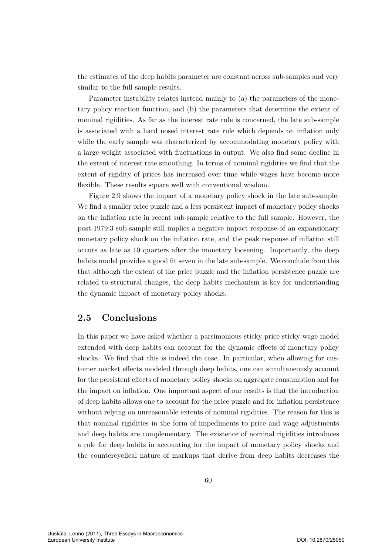the estimates of the deep habits parameter are constant across sub-samples and very similar to the full sample results.

Parameter instability relates instead mainly to (a) the parameters of the monetary policy reaction function, and (b) the parameters that determine the extent of nominal rigidities. As far as the interest rate rule is concerned, the late sub-sample is associated with a hard nosed interest rate rule which depends on inflation only while the early sample was characterized by accommodating monetary policy with a large weight associated with fluctuations in output. We also find some decline in the extent of interest rate smoothing. In terms of nominal rigidities we find that the extent of rigidity of prices has increased over time while wages have become more flexible. These results square well with conventional wisdom.

Figure 2.9 shows the impact of a monetary policy shock in the late sub-sample. We find a smaller price puzzle and a less persistent impact of monetary policy shocks on the inflation rate in recent sub-sample relative to the full sample. However, the post-1979:3 sub-sample still implies a negative impact response of an expansionary monetary policy shock on the inflation rate, and the peak response of inflation still occurs as late as 10 quarters after the monetary loosening. Importantly, the deep habits model provides a good fit seven in the late sub-sample. We conclude from this that although the extent of the price puzzle and the inflation persistence puzzle are related to structural changes, the deep habits mechanism is key for understanding the dynamic impact of monetary policy shocks.

## **2.5 Conclusions**

In this paper we have asked whether a parsimonious sticky-price sticky wage model extended with deep habits can account for the dynamic effects of monetary policy shocks. We find that this is indeed the case. In particular, when allowing for customer market effects modeled through deep habits, one can simultaneously account for the persistent effects of monetary policy shocks on aggregate consumption and for the impact on inflation. One important aspect of our results is that the introduction of deep habits allows one to account for the price puzzle and for inflation persistence without relying on unreasonable extents of nominal rigidities. The reason for this is that nominal rigidities in the form of impediments to price and wage adjustments and deep habits are complementary. The existence of nominal rigidities introduces a role for deep habits in accounting for the impact of monetary policy shocks and the countercyclical nature of markups that derive from deep habits decreases the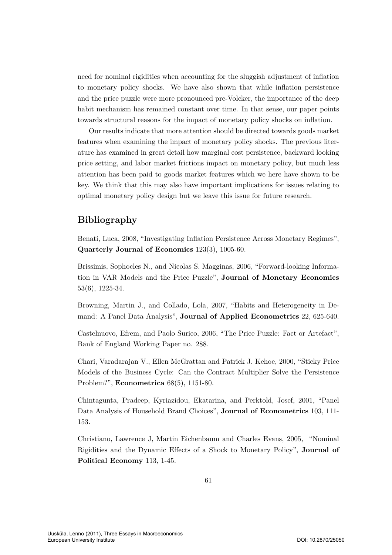need for nominal rigidities when accounting for the sluggish adjustment of inflation to monetary policy shocks. We have also shown that while inflation persistence and the price puzzle were more pronounced pre-Volcker, the importance of the deep habit mechanism has remained constant over time. In that sense, our paper points towards structural reasons for the impact of monetary policy shocks on inflation.

Our results indicate that more attention should be directed towards goods market features when examining the impact of monetary policy shocks. The previous literature has examined in great detail how marginal cost persistence, backward looking price setting, and labor market frictions impact on monetary policy, but much less attention has been paid to goods market features which we here have shown to be key. We think that this may also have important implications for issues relating to optimal monetary policy design but we leave this issue for future research.

## **Bibliography**

Benati, Luca, 2008, "Investigating Inflation Persistence Across Monetary Regimes", **Quarterly Journal of Economics** 123(3), 1005-60.

Brissimis, Sophocles N., and Nicolas S. Magginas, 2006, "Forward-looking Information in VAR Models and the Price Puzzle", **Journal of Monetary Economics** 53(6), 1225-34.

Browning, Martin J., and Collado, Lola, 2007, "Habits and Heterogeneity in Demand: A Panel Data Analysis", **Journal of Applied Econometrics** 22, 625-640.

Castelnuovo, Efrem, and Paolo Surico, 2006, "The Price Puzzle: Fact or Artefact", Bank of England Working Paper no. 288.

Chari, Varadarajan V., Ellen McGrattan and Patrick J. Kehoe, 2000, "Sticky Price Models of the Business Cycle: Can the Contract Multiplier Solve the Persistence Problem?", **Econometrica** 68(5), 1151-80.

Chintagunta, Pradeep, Kyriazidou, Ekatarina, and Perktold, Josef, 2001, "Panel Data Analysis of Household Brand Choices", **Journal of Econometrics** 103, 111- 153.

Christiano, Lawrence J, Martin Eichenbaum and Charles Evans, 2005, "Nominal Rigidities and the Dynamic Effects of a Shock to Monetary Policy", **Journal of Political Economy** 113, 1-45.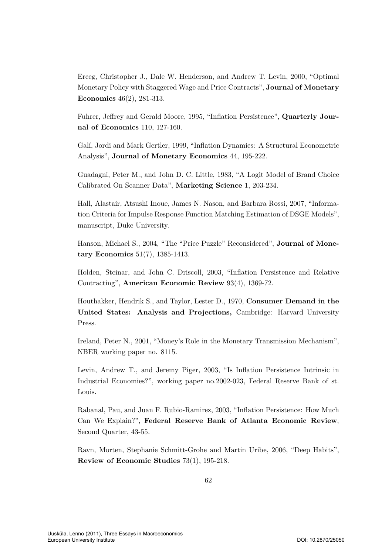Erceg, Christopher J., Dale W. Henderson, and Andrew T. Levin, 2000, "Optimal Monetary Policy with Staggered Wage and Price Contracts", **Journal of Monetary Economics** 46(2), 281-313.

Fuhrer, Jeffrey and Gerald Moore, 1995, "Inflation Persistence", **Quarterly Journal of Economics** 110, 127-160.

Galí, Jordi and Mark Gertler, 1999, "Inflation Dynamics: A Structural Econometric Analysis", **Journal of Monetary Economics** 44, 195-222.

Guadagni, Peter M., and John D. C. Little, 1983, "A Logit Model of Brand Choice Calibrated On Scanner Data", **Marketing Science** 1, 203-234.

Hall, Alastair, Atsushi Inoue, James N. Nason, and Barbara Rossi, 2007, "Information Criteria for Impulse Response Function Matching Estimation of DSGE Models", manuscript, Duke University.

Hanson, Michael S., 2004, "The "Price Puzzle" Reconsidered", **Journal of Monetary Economics** 51(7), 1385-1413.

Holden, Steinar, and John C. Driscoll, 2003, "Inflation Persistence and Relative Contracting", **American Economic Review** 93(4), 1369-72.

Houthakker, Hendrik S., and Taylor, Lester D., 1970, **Consumer Demand in the United States: Analysis and Projections,** Cambridge: Harvard University Press.

Ireland, Peter N., 2001, "Money's Role in the Monetary Transmission Mechanism", NBER working paper no. 8115.

Levin, Andrew T., and Jeremy Piger, 2003, "Is Inflation Persistence Intrinsic in Industrial Economies?", working paper no.2002-023, Federal Reserve Bank of st. Louis.

Rabanal, Pau, and Juan F. Rubio-Ramirez, 2003, "Inflation Persistence: How Much Can We Explain?", **Federal Reserve Bank of Atlanta Economic Review**, Second Quarter, 43-55.

Ravn, Morten, Stephanie Schmitt-Grohe and Martin Uribe, 2006, "Deep Habits", **Review of Economic Studies** 73(1), 195-218.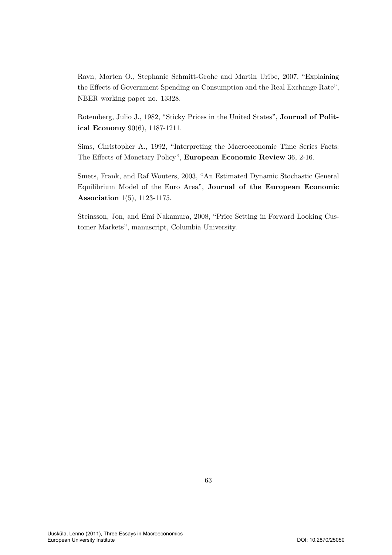Ravn, Morten O., Stephanie Schmitt-Grohe and Martin Uribe, 2007, "Explaining the Effects of Government Spending on Consumption and the Real Exchange Rate", NBER working paper no. 13328.

Rotemberg, Julio J., 1982, "Sticky Prices in the United States", **Journal of Political Economy** 90(6), 1187-1211.

Sims, Christopher A., 1992, "Interpreting the Macroeconomic Time Series Facts: The Effects of Monetary Policy", **European Economic Review** 36, 2-16.

Smets, Frank, and Raf Wouters, 2003, "An Estimated Dynamic Stochastic General Equilibrium Model of the Euro Area", **Journal of the European Economic Association** 1(5), 1123-1175.

Steinsson, Jon, and Emi Nakamura, 2008, "Price Setting in Forward Looking Customer Markets", manuscript, Columbia University.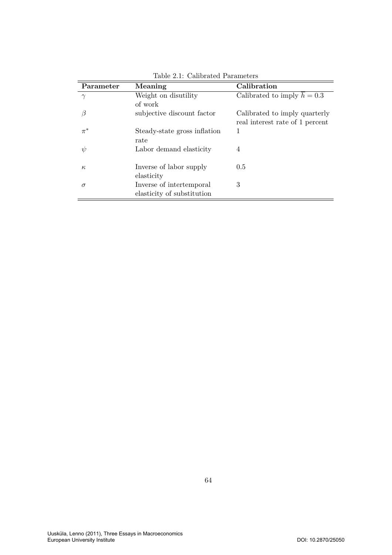| Parameter | Meaning                              | Calibration                                                      |
|-----------|--------------------------------------|------------------------------------------------------------------|
| $\gamma$  | Weight on disutility                 | Calibrated to imply $h = 0.3$                                    |
|           | of work                              |                                                                  |
|           | subjective discount factor           | Calibrated to imply quarterly<br>real interest rate of 1 percent |
| $\pi^*$   | Steady-state gross inflation<br>rate | 1                                                                |
| $\psi$    | Labor demand elasticity              | 4                                                                |
| $\kappa$  | Inverse of labor supply              | 0.5                                                              |
|           | elasticity                           |                                                                  |
| $\sigma$  | Inverse of intertemporal             | 3                                                                |
|           | elasticity of substitution           |                                                                  |

Table 2.1: Calibrated Parameters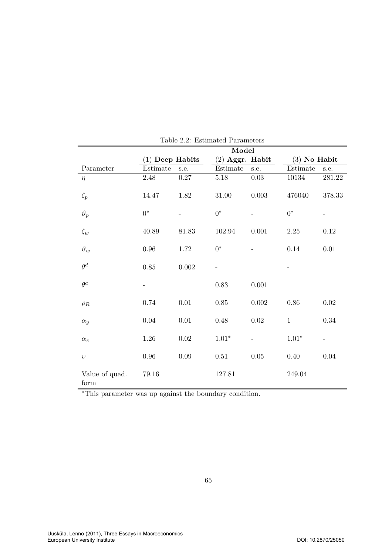|                        | Model        |             |                   |             |              |            |
|------------------------|--------------|-------------|-------------------|-------------|--------------|------------|
|                        | $\mathbf{1}$ | Deep Habits | $\left( 2\right)$ | Aggr. Habit | (3)          | No Habit   |
| Parameter              | Estimate     | s.e.        | Estimate          | s.e.        | Estimate     | s.e.       |
| $\eta$                 | 2.48         | $0.27\,$    | $5.18\,$          | $0.03\,$    | 10134        | $281.22\,$ |
| $\zeta_p$              | 14.47        | 1.82        | 31.00             | $0.003\,$   | 476040       | 378.33     |
| $\vartheta_p$          | $0^*$        |             | $0^*$             |             | $0^*$        |            |
| $\zeta_w$              | 40.89        | 81.83       | 102.94            | 0.001       | 2.25         | 0.12       |
| $\vartheta_w$          | $0.96\,$     | 1.72        | $0^*$             |             | 0.14         | 0.01       |
| $\theta^d$             | $0.85\,$     | $0.002\,$   |                   |             |              |            |
| $\theta^a$             |              |             | 0.83              | 0.001       |              |            |
| $\rho_R$               | 0.74         | 0.01        | 0.85              | 0.002       | 0.86         | 0.02       |
| $\alpha_y$             | 0.04         | $0.01\,$    | 0.48              | 0.02        | $\mathbf{1}$ | $0.34\,$   |
| $\alpha_\pi$           | 1.26         | $0.02\,$    | $1.01^{\ast}$     |             | $1.01*$      |            |
| $\upsilon$             | $0.96\,$     | $0.09\,$    | 0.51              | 0.05        | 0.40         | 0.04       |
| Value of quad.<br>form | 79.16        |             | 127.81            |             | 249.04       |            |

Table 2.2: Estimated Parameters

<sup>∗</sup>This parameter was up against the boundary condition.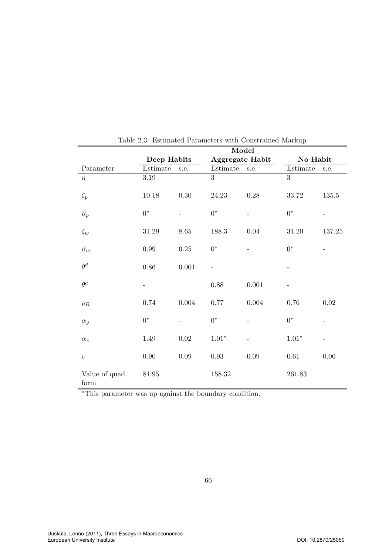|                        | Model              |            |                          |                          |           |                          |
|------------------------|--------------------|------------|--------------------------|--------------------------|-----------|--------------------------|
|                        | <b>Deep Habits</b> |            | <b>Aggregate Habit</b>   |                          | No Habit  |                          |
| Parameter              | Estimate           | s.e.       | Estimate                 | s.e.                     | Estimate  | s.e.                     |
| $\eta$                 | $3.19\,$           |            | $\overline{3}$           |                          | 3         |                          |
| $\zeta_p$              | $10.18\,$          | $0.30\,$   | 24.23                    | $0.28\,$                 | $33.72\,$ | 135.5                    |
| $\vartheta_p$          | $0^\ast$           |            | $0^*$                    |                          | $0^*$     |                          |
| $\zeta_w$              | $31.29\,$          | $8.65\,$   | 188.3                    | $0.04\,$                 | $34.20\,$ | 137.25                   |
| $\vartheta_w$          | $0.99\,$           | $0.25\,$   | $0^*$                    |                          | $0^*$     |                          |
| $\theta^d$             | $0.86\,$           | 0.001      | $\overline{\phantom{0}}$ |                          |           |                          |
| $\theta^a$             |                    |            | 0.88                     | 0.001                    |           |                          |
| $\rho_R$               | 0.74               | 0.004      | 0.77                     | 0.004                    | 0.76      | 0.02                     |
| $\alpha_y$             | $0^*$              |            | $0^*$                    |                          | $0^*$     |                          |
| $\alpha_{\pi}$         | 1.49               | $\rm 0.02$ | $1.01^{\ast}$            | $\overline{\phantom{0}}$ | $1.01*$   | $\overline{\phantom{0}}$ |
| $\upsilon$             | $0.90\,$           | $0.09\,$   | $0.93\,$                 | $0.09\,$                 | $0.61\,$  | 0.06                     |
| Value of quad.<br>form | 81.95              |            | $158.32\,$               |                          | 261.83    |                          |

Table 2.3: Estimated Parameters with Constrained Markup

<sup>∗</sup>This parameter was up against the boundary condition.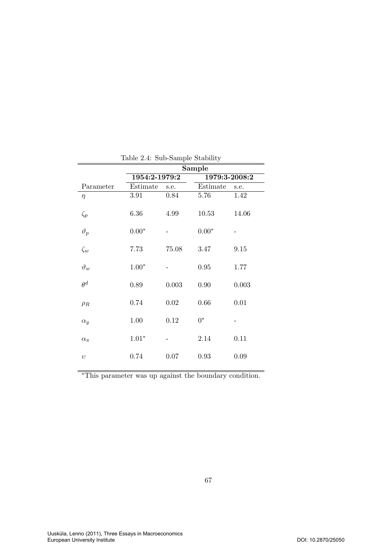|                | Sample        |       |               |       |  |  |
|----------------|---------------|-------|---------------|-------|--|--|
|                | 1954:2-1979:2 |       | 1979:3-2008:2 |       |  |  |
| Parameter      | Estimate      | s.e.  | Estimate      | s.e.  |  |  |
| $\eta$         | 3.91          | 0.84  | 5.76          | 1.42  |  |  |
| $\zeta_p$      | 6.36          | 4.99  | 10.53         | 14.06 |  |  |
| $\vartheta_p$  | $0.00*$       |       | $0.00*$       |       |  |  |
| $\zeta_w$      | 7.73          | 75.08 | 3.47          | 9.15  |  |  |
| $\vartheta_w$  | $1.00*$       |       | 0.95          | 1.77  |  |  |
| $\theta^d$     | 0.89          | 0.003 | 0.90          | 0.003 |  |  |
| $\rho_R$       | 0.74          | 0.02  | 0.66          | 0.01  |  |  |
| $\alpha_y$     | 1.00          | 0.12  | $0^*$         |       |  |  |
| $\alpha_{\pi}$ | $1.01*$       |       | 2.14          | 0.11  |  |  |
| $\upsilon$     | 0.74          | 0.07  | 0.93          | 0.09  |  |  |

Table 2.4: Sub-Sample Stability

<sup>∗</sup>This parameter was up against the boundary condition.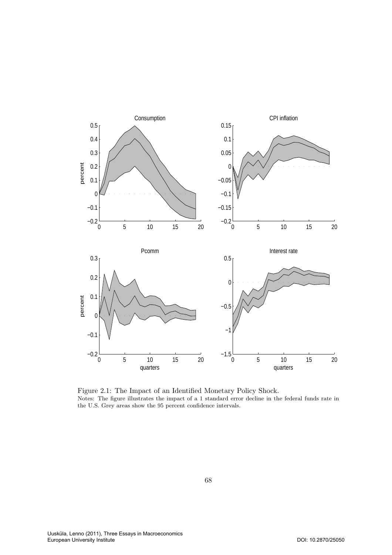

Figure 2.1: The Impact of an Identified Monetary Policy Shock. Notes: The figure illustrates the impact of a 1 standard error decline in the federal funds rate in the U.S. Grey areas show the 95 percent confidence intervals.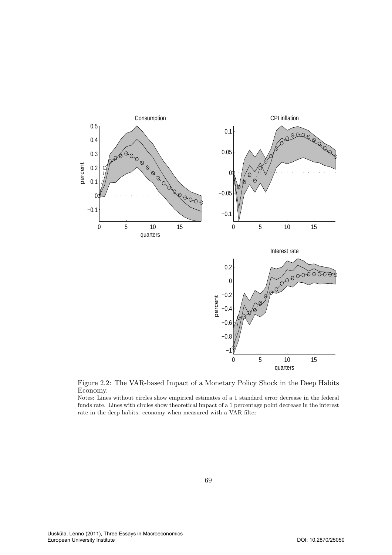

Figure 2.2: The VAR-based Impact of a Monetary Policy Shock in the Deep Habits Economy.

Notes: Lines without circles show empirical estimates of a 1 standard error decrease in the federal funds rate. Lines with circles show theoretical impact of a 1 percentage point decrease in the interest rate in the deep habits. economy when measured with a VAR filter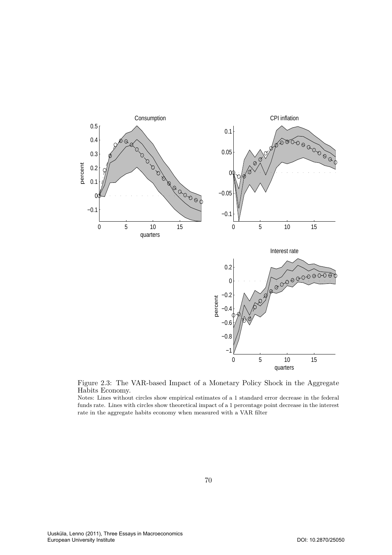

Figure 2.3: The VAR-based Impact of a Monetary Policy Shock in the Aggregate Habits Economy.

Notes: Lines without circles show empirical estimates of a 1 standard error decrease in the federal funds rate. Lines with circles show theoretical impact of a 1 percentage point decrease in the interest rate in the aggregate habits economy when measured with a VAR filter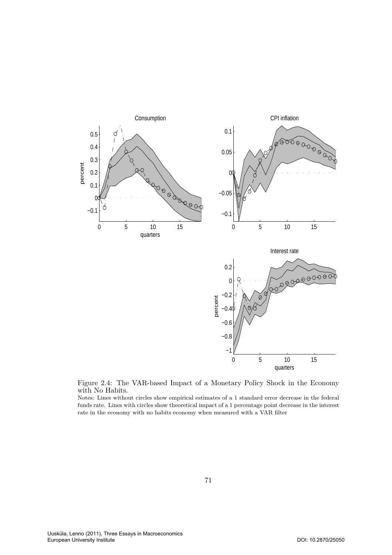

Figure 2.4: The VAR-based Impact of a Monetary Policy Shock in the Economy with No Habits.

Notes: Lines without circles show empirical estimates of a 1 standard error decrease in the federal funds rate. Lines with circles show theoretical impact of a 1 percentage point decrease in the interest rate in the economy with no habits economy when measured with a VAR filter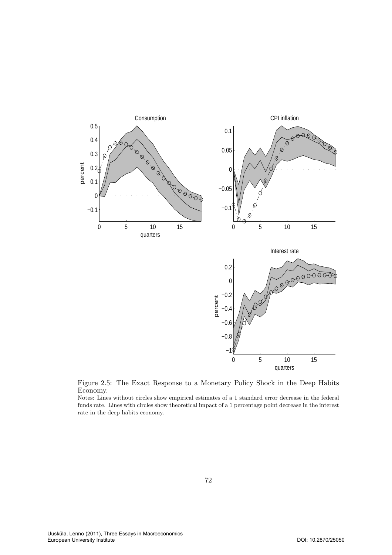

Figure 2.5: The Exact Response to a Monetary Policy Shock in the Deep Habits Economy.

Notes: Lines without circles show empirical estimates of a 1 standard error decrease in the federal funds rate. Lines with circles show theoretical impact of a 1 percentage point decrease in the interest rate in the deep habits economy.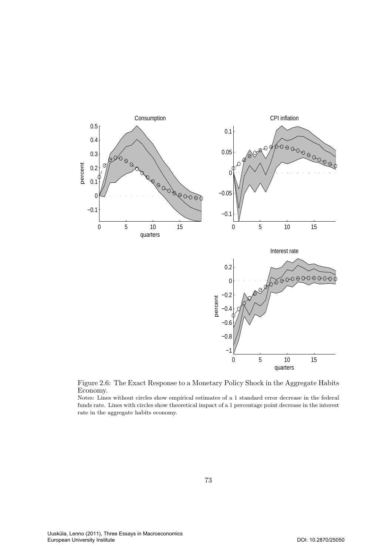



Notes: Lines without circles show empirical estimates of a 1 standard error decrease in the federal funds rate. Lines with circles show theoretical impact of a 1 percentage point decrease in the interest rate in the aggregate habits economy.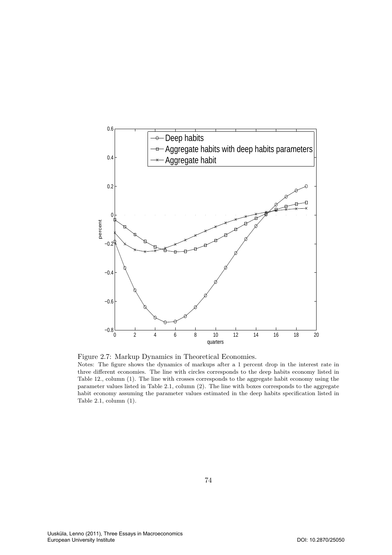

Figure 2.7: Markup Dynamics in Theoretical Economies. Notes: The figure shows the dynamics of markups after a 1 percent drop in the interest rate in three different economies. The line with circles corresponds to the deep habits economy listed in Table 12., column (1). The line with crosses corresponds to the aggregate habit economy using the parameter values listed in Table 2.1, column (2). The line with boxes corresponds to the aggregate habit economy assuming the parameter values estimated in the deep habits specification listed in Table 2.1, column (1).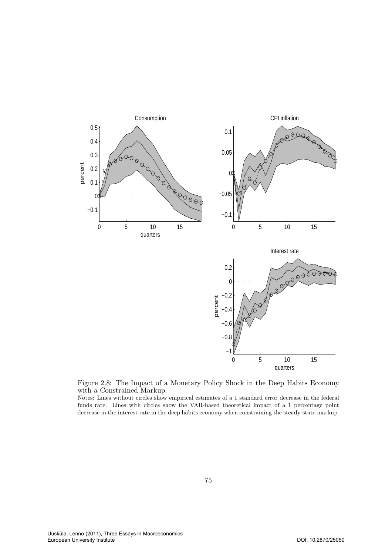



Notes: Lines without circles show empirical estimates of a 1 standard error decrease in the federal funds rate. Lines with circles show the VAR-based theoretical impact of a 1 percentage point decrease in the interest rate in the deep habits economy when constraining the steady-state markup.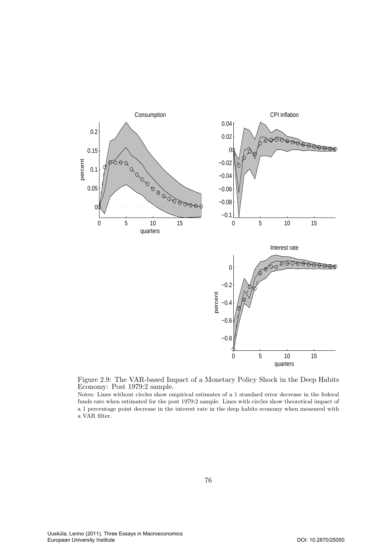

Figure 2.9: The VAR-based Impact of a Monetary Policy Shock in the Deep Habits Economy: Post 1979:2 sample.

Notes: Lines without circles show empirical estimates of a 1 standard error decrease in the federal funds rate when estimated for the post 1979:2 sample. Lines with circles show theoretical impact of a 1 percentage point decrease in the interest rate in the deep habits economy when measured with a VAR filter.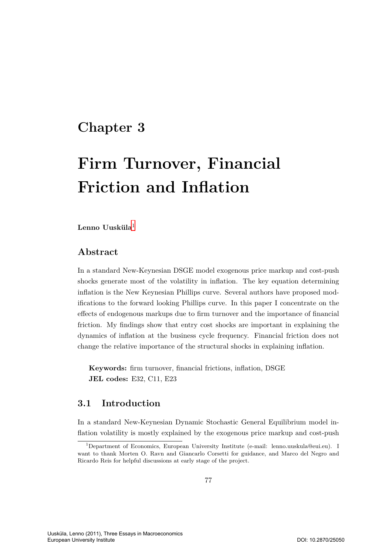# **Chapter 3**

# **Firm Turnover, Financial Friction and Inflation**

### **Lenno Uusküla**[1](#page-85-0)

# **Abstract**

In a standard New-Keynesian DSGE model exogenous price markup and cost-push shocks generate most of the volatility in inflation. The key equation determining inflation is the New Keynesian Phillips curve. Several authors have proposed modifications to the forward looking Phillips curve. In this paper I concentrate on the effects of endogenous markups due to firm turnover and the importance of financial friction. My findings show that entry cost shocks are important in explaining the dynamics of inflation at the business cycle frequency. Financial friction does not change the relative importance of the structural shocks in explaining inflation.

**Keywords:** firm turnover, financial frictions, inflation, DSGE **JEL codes:** E32, C11, E23

# **3.1 Introduction**

In a standard New-Keynesian Dynamic Stochastic General Equilibrium model inflation volatility is mostly explained by the exogenous price markup and cost-push

<span id="page-85-0"></span><sup>1</sup>Department of Economics, European University Institute (e-mail: lenno.uuskula@eui.eu). I want to thank Morten O. Ravn and Giancarlo Corsetti for guidance, and Marco del Negro and Ricardo Reis for helpful discussions at early stage of the project.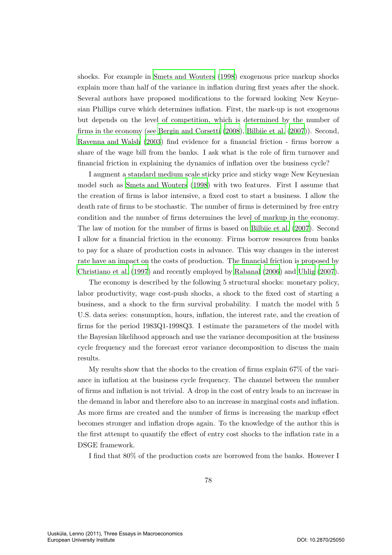shocks. For example in [Smets and Wouters \(1998](#page-103-0)) exogenous price markup shocks explain more than half of the variance in inflation during first years after the shock. Several authors have proposed modifications to the forward looking New Keynesian Phillips curve which determines inflation. First, the mark-up is not exogenous but depends on the level of competition, which is determined by the number of firms in the economy (see [Bergin and Corsetti](#page-102-0) [\(2008](#page-102-0)), [Bilbiie et al. \(2007](#page-102-1))). Second, [Ravenna and Walsh](#page-103-1) [\(2003\)](#page-103-1) find evidence for a financial friction - firms borrow a share of the wage bill from the banks. I ask what is the role of firm turnover and financial friction in explaining the dynamics of inflation over the business cycle?

I augment a standard medium scale sticky price and sticky wage New Keynesian model such as [Smets and Wouters](#page-103-0) [\(1998\)](#page-103-0) with two features. First I assume that the creation of firms is labor intensive, a fixed cost to start a business. I allow the death rate of firms to be stochastic. The number of firms is determined by free entry condition and the number of firms determines the level of markup in the economy. The law of motion for the number of firms is based on [Bilbiie et al. \(2007](#page-102-1)). Second I allow for a financial friction in the economy. Firms borrow resources from banks to pay for a share of production costs in advance. This way changes in the interest rate have an impact on the costs of production. The financial friction is proposed by [Christiano et al.](#page-102-2) [\(1997\)](#page-102-2) and recently employed by [Rabanal](#page-103-2) [\(2006](#page-103-2)) and [Uhlig](#page-103-3) [\(2007](#page-103-3)).

The economy is described by the following 5 structural shocks: monetary policy, labor productivity, wage cost-push shocks, a shock to the fixed cost of starting a business, and a shock to the firm survival probability. I match the model with 5 U.S. data series: consumption, hours, inflation, the interest rate, and the creation of firms for the period 1983Q1-1998Q3. I estimate the parameters of the model with the Bayesian likelihood approach and use the variance decomposition at the business cycle frequency and the forecast error variance decomposition to discuss the main results.

My results show that the shocks to the creation of firms explain 67% of the variance in inflation at the business cycle frequency. The channel between the number of firms and inflation is not trivial. A drop in the cost of entry leads to an increase in the demand in labor and therefore also to an increase in marginal costs and inflation. As more firms are created and the number of firms is increasing the markup effect becomes stronger and inflation drops again. To the knowledge of the author this is the first attempt to quantify the effect of entry cost shocks to the inflation rate in a DSGE framework.

I find that 80% of the production costs are borrowed from the banks. However I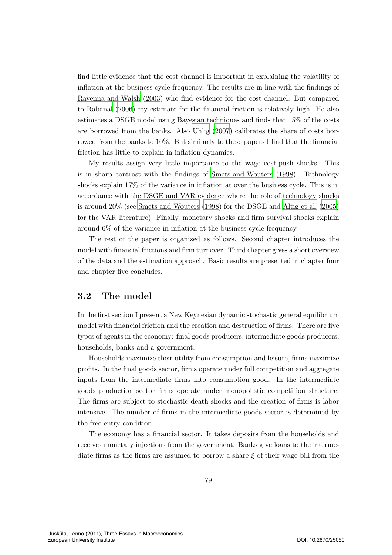find little evidence that the cost channel is important in explaining the volatility of inflation at the business cycle frequency. The results are in line with the findings of [Ravenna and Walsh \(2003](#page-103-1)) who find evidence for the cost channel. But compared to [Rabanal \(2006](#page-103-2)) my estimate for the financial friction is relatively high. He also estimates a DSGE model using Bayesian techniques and finds that 15% of the costs are borrowed from the banks. Also [Uhlig](#page-103-3) [\(2007](#page-103-3)) calibrates the share of costs borrowed from the banks to 10%. But similarly to these papers I find that the financial friction has little to explain in inflation dynamics.

My results assign very little importance to the wage cost-push shocks. This is in sharp contrast with the findings of [Smets and Wouters](#page-103-0) [\(1998\)](#page-103-0). Technology shocks explain 17% of the variance in inflation at over the business cycle. This is in accordance with the DSGE and VAR evidence where the role of technology shocks is around 20% (see [Smets and Wouters \(1998](#page-103-0)) for the DSGE and [Altig et al.](#page-102-3) [\(2005](#page-102-3)) for the VAR literature). Finally, monetary shocks and firm survival shocks explain around 6% of the variance in inflation at the business cycle frequency.

The rest of the paper is organized as follows. Second chapter introduces the model with financial frictions and firm turnover. Third chapter gives a short overview of the data and the estimation approach. Basic results are presented in chapter four and chapter five concludes.

## **3.2 The model**

In the first section I present a New Keynesian dynamic stochastic general equilibrium model with financial friction and the creation and destruction of firms. There are five types of agents in the economy: final goods producers, intermediate goods producers, households, banks and a government.

Households maximize their utility from consumption and leisure, firms maximize profits. In the final goods sector, firms operate under full competition and aggregate inputs from the intermediate firms into consumption good. In the intermediate goods production sector firms operate under monopolistic competition structure. The firms are subject to stochastic death shocks and the creation of firms is labor intensive. The number of firms in the intermediate goods sector is determined by the free entry condition.

The economy has a financial sector. It takes deposits from the households and receives monetary injections from the government. Banks give loans to the intermediate firms as the firms are assumed to borrow a share *ξ* of their wage bill from the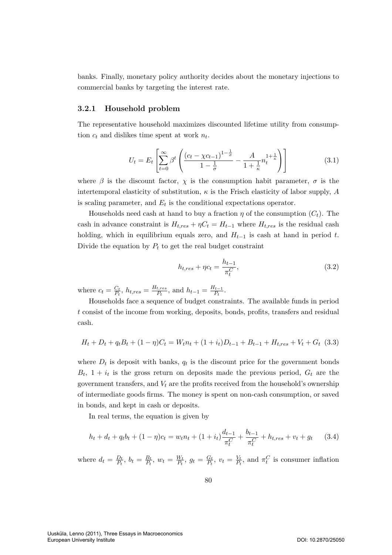banks. Finally, monetary policy authority decides about the monetary injections to commercial banks by targeting the interest rate.

#### **3.2.1 Household problem**

The representative household maximizes discounted lifetime utility from consumption  $c_t$  and dislikes time spent at work  $n_t$ .

$$
U_t = E_t \left[ \sum_{t=0}^{\infty} \beta^t \left( \frac{(c_t - \chi c_{t-1})^{1 - \frac{1}{\sigma}}}{1 - \frac{1}{\sigma}} - \frac{A}{1 + \frac{1}{\kappa}} n_t^{1 + \frac{1}{\kappa}} \right) \right]
$$
(3.1)

where  $\beta$  is the discount factor,  $\chi$  is the consumption habit parameter,  $\sigma$  is the intertemporal elasticity of substitution,  $\kappa$  is the Frisch elasticity of labor supply, *A* is scaling parameter, and *E<sup>t</sup>* is the conditional expectations operator.

Households need cash at hand to buy a fraction  $\eta$  of the consumption  $(C_t)$ . The cash in advance constraint is  $H_{t,res} + \eta C_t = H_{t-1}$  where  $H_{t,res}$  is the residual cash holding, which in equilibrium equals zero, and  $H_{t-1}$  is cash at hand in period  $t$ . Divide the equation by  $P_t$  to get the real budget constraint

$$
h_{t,res} + \eta c_t = \frac{h_{t-1}}{\pi_t^C},\tag{3.2}
$$

where  $c_t = \frac{C_t}{P_t}$  $\frac{C_t}{P_t}, h_{t,res} = \frac{H_{t,res}}{P_t}$  $\frac{h, res}{P_t}$ , and  $h_{t-1} = \frac{H_{t-1}}{P_t}$  $\frac{t-1}{P_t}$ .

Households face a sequence of budget constraints. The available funds in period *t* consist of the income from working, deposits, bonds, profits, transfers and residual cash.

$$
H_t + D_t + q_t B_t + (1 - \eta)C_t = W_t n_t + (1 + i_t)D_{t-1} + B_{t-1} + H_{t, res} + V_t + G_t
$$
 (3.3)

where  $D_t$  is deposit with banks,  $q_t$  is the discount price for the government bonds  $B_t$ ,  $1 + i_t$  is the gross return on deposits made the previous period,  $G_t$  are the government transfers, and *V<sup>t</sup>* are the profits received from the household's ownership of intermediate goods firms. The money is spent on non-cash consumption, or saved in bonds, and kept in cash or deposits.

In real terms, the equation is given by

$$
h_t + d_t + q_t b_t + (1 - \eta)c_t = w_t n_t + (1 + i_t)\frac{d_{t-1}}{\pi_t^C} + \frac{b_{t-1}}{\pi_t^C} + h_{t, res} + v_t + g_t \tag{3.4}
$$

where  $d_t = \frac{D_t}{P_t}$  $\frac{D_t}{P_t}$ ,  $b_t = \frac{B_t}{P_t}$  $\frac{B_t}{P_t}$ ,  $w_t = \frac{W_t}{P_t}$  $\frac{W_t}{P_t}, g_t = \frac{G_t}{P_t}$  $\frac{G_t}{P_t}$ ,  $v_t = \frac{V_t}{P_t}$  $\frac{V_t}{P_t}$ , and  $\pi_t^C$  is consumer inflation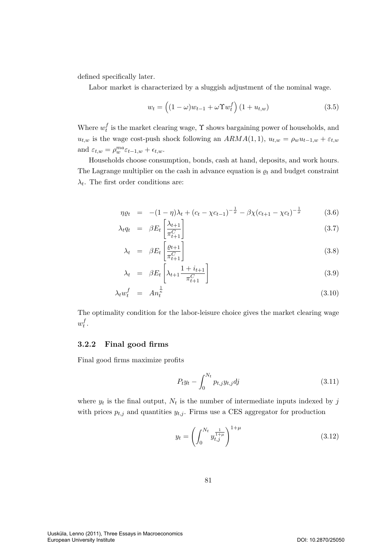defined specifically later.

Labor market is characterized by a sluggish adjustment of the nominal wage.

$$
w_t = \left( (1 - \omega) w_{t-1} + \omega \Upsilon w_t^f \right) (1 + u_{t,w}) \tag{3.5}
$$

Where  $w_t^f$  $_t^I$  is the market clearing wage,  $\Upsilon$  shows bargaining power of households, and  $u_{t,w}$  is the wage cost-push shock following an  $ARMA(1, 1)$ ,  $u_{t,w} = \rho_w u_{t-1,w} + \varepsilon_{t,w}$ and  $\varepsilon_{t,w} = \rho_w^{ma} \varepsilon_{t-1,w} + \epsilon_{t,w}$ .

Households choose consumption, bonds, cash at hand, deposits, and work hours. The Lagrange multiplier on the cash in advance equation is  $\varrho_t$  and budget constraint  $\lambda_t$ . The first order conditions are:

$$
\eta \varrho_t = -(1 - \eta)\lambda_t + (c_t - \chi c_{t-1})^{-\frac{1}{\sigma}} - \beta \chi (c_{t+1} - \chi c_t)^{-\frac{1}{\sigma}} \tag{3.6}
$$

$$
\lambda_t q_t = \beta E_t \left[ \frac{\lambda_{t+1}}{\pi_{t+1}^C} \right] \tag{3.7}
$$

$$
\lambda_t = \beta E_t \left[ \frac{\varrho_{t+1}}{\pi_{t+1}^C} \right] \tag{3.8}
$$

$$
\lambda_t = \beta E_t \left[ \lambda_{t+1} \frac{1 + i_{t+1}}{\pi_{t+1}^C} \right] \tag{3.9}
$$

$$
\lambda_t w_t^f = A n_t^{\frac{1}{\kappa}} \tag{3.10}
$$

The optimality condition for the labor-leisure choice gives the market clearing wage  $w_t^f$ *t* .

#### **3.2.2 Final good firms**

Final good firms maximize profits

$$
P_t y_t - \int_0^{N_t} p_{t,j} y_{t,j} dy \qquad (3.11)
$$

where  $y_t$  is the final output,  $N_t$  is the number of intermediate inputs indexed by  $j$ with prices  $p_{t,j}$  and quantities  $y_{t,j}$ . Firms use a CES aggregator for production

$$
y_t = \left(\int_0^{N_t} y_{t,j}^{\frac{1}{1+\mu}}\right)^{1+\mu} \tag{3.12}
$$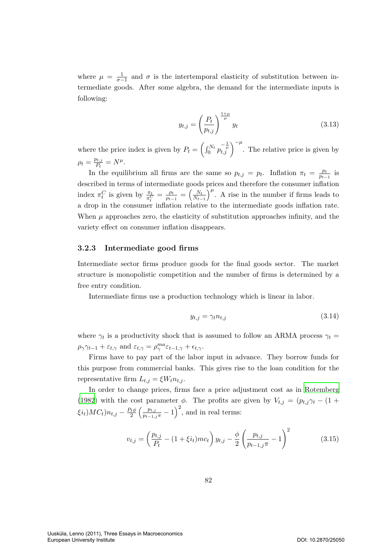where  $\mu = \frac{1}{\sigma - 1}$  and  $\sigma$  is the intertemporal elasticity of substitution between intermediate goods. After some algebra, the demand for the intermediate inputs is following:

$$
y_{t,j} = \left(\frac{P_t}{p_{t,j}}\right)^{\frac{1+\mu}{\mu}} y_t \tag{3.13}
$$

where the price index is given by  $P_t = \left(\int_0^{N_t} p \right)$  $-\frac{1}{\mu}$  $\left(\frac{-\frac{1}{\mu}}{t,j}\right)^{-\mu}$ . The relative price is given by  $\rho_t = \frac{p_{t,j}}{P_t}$  $\frac{\rho_{t,j}}{P_t} = N^{\mu}$ .

In the equilibrium all firms are the same so  $p_{t,j} = p_t$ . Inflation  $\pi_t = \frac{p_t}{p_t}$  $\frac{p_t}{p_{t-1}}$  is described in terms of intermediate goods prices and therefore the consumer inflation index  $\pi_t^C$  is given by  $\frac{\pi_t}{\pi_t^C} = \frac{\rho_t}{\rho_{t-1}}$  $\frac{\rho_t}{\rho_{t-1}} = \left(\frac{N_t}{N_{t-1}}\right)$ *Nt*−1  $\int^{\mu}$ . A rise in the number if firms leads to a drop in the consumer inflation relative to the intermediate goods inflation rate. When  $\mu$  approaches zero, the elasticity of substitution approaches infinity, and the variety effect on consumer inflation disappears.

#### **3.2.3 Intermediate good firms**

Intermediate sector firms produce goods for the final goods sector. The market structure is monopolistic competition and the number of firms is determined by a free entry condition.

Intermediate firms use a production technology which is linear in labor.

$$
y_{t,j} = \gamma_t n_{t,j} \tag{3.14}
$$

where  $\gamma_t$  is a productivity shock that is assumed to follow an ARMA process  $\gamma_t =$  $\rho_{\gamma} \gamma_{t-1} + \varepsilon_{t,\gamma}$  and  $\varepsilon_{t,\gamma} = \rho_{\gamma}^{ma} \varepsilon_{t-1,\gamma} + \varepsilon_{t,\gamma}$ .

Firms have to pay part of the labor input in advance. They borrow funds for this purpose from commercial banks. This gives rise to the loan condition for the representative firm  $L_{t,j} = \xi W_t n_{t,j}$ .

In order to change prices, firms face a price adjustment cost as in [Rotemberg](#page-103-4) [\(1982\)](#page-103-4) with the cost parameter  $\phi$ . The profits are given by  $V_{t,j} = (p_{t,j}\gamma_t - (1 +$  $\xi$ *it*) $MC$ *t*) $n_{t,j} - \frac{P_t \phi}{2}$ 2  $\left(\frac{p_{t,j}}{p_{t-1,j}\pi}-1\right)^2$ , and in real terms:

$$
v_{t,j} = \left(\frac{p_{t,j}}{P_t} - (1 + \xi i_t)mc_t\right)y_{t,j} - \frac{\phi}{2}\left(\frac{p_{t,j}}{p_{t-1,j}\pi} - 1\right)^2\tag{3.15}
$$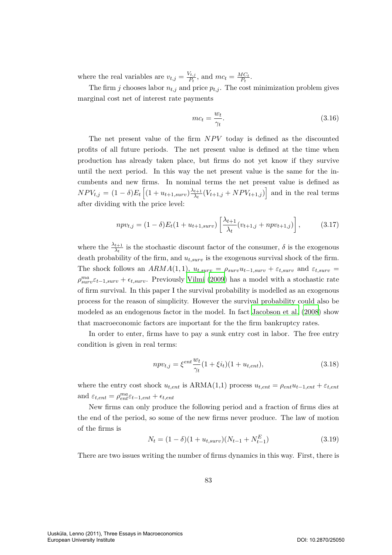where the real variables are  $v_{t,j} = \frac{V_{t,j}}{P_t}$  $\frac{M_{t,j}}{P_t}$ , and  $mc_t = \frac{MC_t}{P_t}$  $\frac{4C_t}{P_t}$ .

The firm *j* chooses labor  $n_{t,j}$  and price  $p_{t,j}$ . The cost minimization problem gives marginal cost net of interest rate payments

$$
mc_t = \frac{w_t}{\gamma_t}.\tag{3.16}
$$

The net present value of the firm *NPV* today is defined as the discounted profits of all future periods. The net present value is defined at the time when production has already taken place, but firms do not yet know if they survive until the next period. In this way the net present value is the same for the incumbents and new firms. In nominal terms the net present value is defined as  $NPV_{t,j} = (1 - \delta)E_t \left[ (1 + u_{t+1, surv}) \frac{\lambda_{t+1}}{\lambda_t} \right]$  $\frac{t+1}{\lambda_t}(V_{t+1,j} + NPV_{t+1,j})$  and in the real terms after dividing with the price level:

$$
npv_{t,j} = (1 - \delta)E_t(1 + u_{t+1, surv}) \left[ \frac{\lambda_{t+1}}{\lambda_t} (v_{t+1,j} + npv_{t+1,j}) \right],
$$
 (3.17)

where the  $\frac{\lambda_{t+1}}{\lambda_t}$  is the stochastic discount factor of the consumer,  $\delta$  is the exogenous death probability of the firm, and  $u_{t,surv}$  is the exogenous survival shock of the firm. The shock follows an  $ARMA(1, 1)$ ,  $u_{t,surv} = \rho_{surv}u_{t-1,surv} + \varepsilon_{t,surv}$  and  $\varepsilon_{t,surv} =$  $\rho_{surv}^{ma}\varepsilon_{t-1,surv} + \epsilon_{t,surv}$ . Previously [Vilmi](#page-103-5) [\(2009\)](#page-103-5) has a model with a stochastic rate of firm survival. In this paper I the survival probability is modelled as an exogenous process for the reason of simplicity. However the survival probability could also be modeled as an endogenous factor in the model. In fact [Jacobson et al.](#page-102-4) [\(2008](#page-102-4)) show that macroeconomic factors are important for the the firm bankruptcy rates.

In order to enter, firms have to pay a sunk entry cost in labor. The free entry condition is given in real terms:

$$
n p v_{t,j} = \xi^{ent} \frac{w_t}{\gamma_t} (1 + \xi i_t)(1 + u_{t,ent}), \tag{3.18}
$$

where the entry cost shock  $u_{t,ent}$  is ARMA(1,1) process  $u_{t,ent} = \rho_{ent} u_{t-1,ent} + \varepsilon_{t,ent}$ and  $\varepsilon_{t,ent} = \rho_{ent}^{ma}\varepsilon_{t-1,ent} + \epsilon_{t,ent}$ 

New firms can only produce the following period and a fraction of firms dies at the end of the period, so some of the new firms never produce. The law of motion of the firms is

$$
N_t = (1 - \delta)(1 + u_{t,surv})(N_{t-1} + N_{t-1}^E)
$$
\n(3.19)

There are two issues writing the number of firms dynamics in this way. First, there is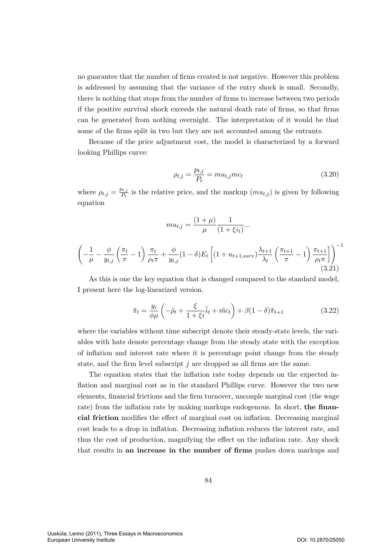no guarantee that the number of firms created is not negative. However this problem is addressed by assuming that the variance of the entry shock is small. Secondly, there is nothing that stops from the number of firms to increase between two periods if the positive survival shock exceeds the natural death rate of firms, so that firms can be generated from nothing overnight. The interpretation of it would be that some of the firms split in two but they are not accounted among the entrants.

Because of the price adjustment cost, the model is characterized by a forward looking Phillips curve:

$$
\rho_{t,j} = \frac{p_{t,j}}{P_t} = m u_{t,j} m c_t \tag{3.20}
$$

where  $\rho_{t,j} = \frac{p_{t,j}}{P_t}$  $P_t^{t,j}$  is the relative price, and the markup  $(mu_{t,j})$  is given by following equation

$$
mu_{t,j} = \frac{(1+\mu)}{\mu} \frac{1}{(1+\xi i_t)} \dots
$$

$$
\left(-\frac{1}{\mu} - \frac{\phi}{y_{t,j}} \left(\frac{\pi_t}{\pi} - 1\right) \frac{\pi_t}{\rho_t \pi} + \frac{\phi}{y_{t,j}} (1-\delta) E_t \left[ (1+u_{t+1, surv}) \frac{\lambda_{t+1}}{\lambda_t} \left(\frac{\pi_{t+1}}{\pi} - 1\right) \frac{\pi_{t+1}}{\rho_t \pi} \right] \right)^{-1}
$$
(3.21)

As this is one the key equation that is changed compared to the standard model, I present here the log-linearized version.

$$
\hat{\pi}_t = \frac{y_i}{\phi \mu} \left( -\hat{\rho}_t + \frac{\xi}{1 + \xi i} \hat{i}_t + \hat{m} c_t \right) + \beta (1 - \delta) \hat{\pi}_{t+1}
$$
\n(3.22)

where the variables without time subscript denote their steady-state levels, the variables with hats denote percentage change from the steady state with the exception of inflation and interest rate where it is percentage point change from the steady state, and the firm level subscript *j* are dropped as all firms are the same.

The equation states that the inflation rate today depends on the expected inflation and marginal cost as in the standard Phillips curve. However the two new elements, financial frictions and the firm turnover, uncouple marginal cost (the wage rate) from the inflation rate by making markups endogenous. In short, **the financial friction** modifies the effect of marginal cost on inflation. Decreasing marginal cost leads to a drop in inflation. Decreasing inflation reduces the interest rate, and thus the cost of production, magnifying the effect on the inflation rate. Any shock that results in **an increase in the number of firms** pushes down markups and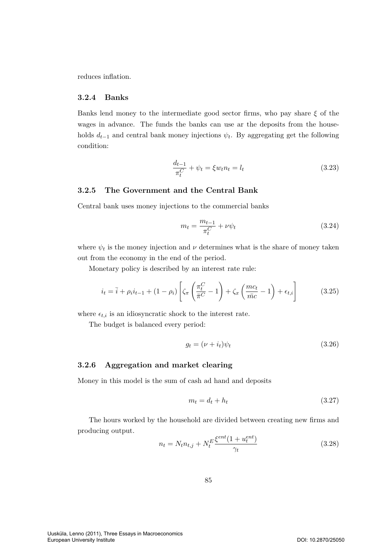reduces inflation.

#### **3.2.4 Banks**

Banks lend money to the intermediate good sector firms, who pay share *ξ* of the wages in advance. The funds the banks can use ar the deposits from the households  $d_{t-1}$  and central bank money injections  $\psi_t$ . By aggregating get the following condition:

$$
\frac{d_{t-1}}{\pi_t^C} + \psi_t = \xi w_t n_t = l_t \tag{3.23}
$$

#### **3.2.5 The Government and the Central Bank**

Central bank uses money injections to the commercial banks

$$
m_t = \frac{m_{t-1}}{\pi_t^C} + \nu \psi_t \tag{3.24}
$$

where  $\psi_t$  is the money injection and  $\nu$  determines what is the share of money taken out from the economy in the end of the period.

Monetary policy is described by an interest rate rule:

$$
i_t = \overline{i} + \rho_i i_{t-1} + (1 - \rho_i) \left[ \zeta_\pi \left( \frac{\pi_t^C}{\overline{\pi}^C} - 1 \right) + \zeta_x \left( \frac{mc_t}{\overline{mc}} - 1 \right) + \epsilon_{t,i} \right]
$$
(3.25)

where  $\epsilon_{t,i}$  is an idiosyncratic shock to the interest rate.

The budget is balanced every period:

$$
g_t = (\nu + i_t)\psi_t \tag{3.26}
$$

#### **3.2.6 Aggregation and market clearing**

Money in this model is the sum of cash ad hand and deposits

$$
m_t = d_t + h_t \tag{3.27}
$$

The hours worked by the household are divided between creating new firms and producing output.

$$
n_t = N_t n_{t,j} + N_t^E \frac{\xi^{ent} (1 + u_t^{ent})}{\gamma_t} \tag{3.28}
$$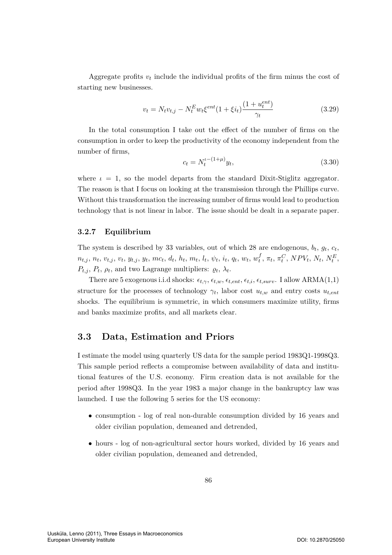Aggregate profits  $v_t$  include the individual profits of the firm minus the cost of starting new businesses.

$$
v_t = N_t v_{t,j} - N_t^E w_t \xi^{ent} (1 + \xi i_t) \frac{(1 + u_t^{ent})}{\gamma_t}
$$
\n(3.29)

In the total consumption I take out the effect of the number of firms on the consumption in order to keep the productivity of the economy independent from the number of firms,

$$
c_t = N_t^{t-(1+\mu)} y_t,\tag{3.30}
$$

where  $\iota = 1$ , so the model departs from the standard Dixit-Stiglitz aggregator. The reason is that I focus on looking at the transmission through the Phillips curve. Without this transformation the increasing number of firms would lead to production technology that is not linear in labor. The issue should be dealt in a separate paper.

#### **3.2.7 Equilibrium**

The system is described by 33 variables, out of which 28 are endogenous,  $b_t$ ,  $g_t$ ,  $c_t$ ,  $n_{t,j},\,n_t,\,v_{t,j},\,v_t,\,y_{t,j},\,y_t,\,mc_t,\,d_t,\,h_t,\,m_t,\,l_t,\,\psi_t,\,i_t,\,q_t,\,w_t,\,w^f_t$  $\pi_t^f$ ,  $\pi_t$ ,  $\pi_t^C$ ,  $NPV_t$ ,  $N_t$ ,  $N_t^E$ ,  $P_{t,j}, P_t, \rho_t$ , and two Lagrange multipliers:  $\rho_t, \lambda_t$ .

There are 5 exogenous i.i.d shocks:  $\epsilon_{t,\gamma}$ ,  $\epsilon_{t,w}$ ,  $\epsilon_{t,ent}$ ,  $\epsilon_{t,i}$ ,  $\epsilon_{t,surv}$ . I allow ARMA(1,1) structure for the processes of technology  $\gamma_t$ , labor cost  $u_{t,w}$  and entry costs  $u_{t,ent}$ shocks. The equilibrium is symmetric, in which consumers maximize utility, firms and banks maximize profits, and all markets clear.

# **3.3 Data, Estimation and Priors**

I estimate the model using quarterly US data for the sample period 1983Q1-1998Q3. This sample period reflects a compromise between availability of data and institutional features of the U.S. economy. Firm creation data is not available for the period after 1998Q3. In the year 1983 a major change in the bankruptcy law was launched. I use the following 5 series for the US economy:

- consumption log of real non-durable consumption divided by 16 years and older civilian population, demeaned and detrended,
- hours log of non-agricultural sector hours worked, divided by 16 years and older civilian population, demeaned and detrended,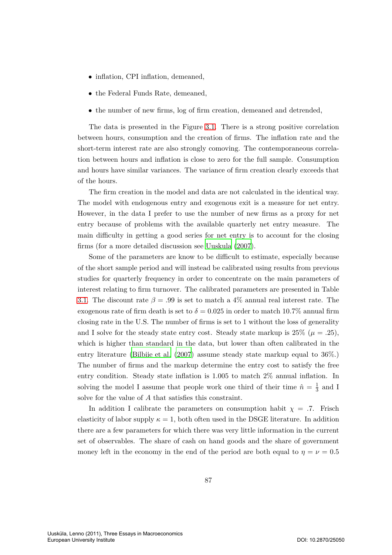- inflation, CPI inflation, demeaned,
- the Federal Funds Rate, demeaned,
- the number of new firms, log of firm creation, demeaned and detrended,

The data is presented in the Figure [3.1.](#page-104-0) There is a strong positive correlation between hours, consumption and the creation of firms. The inflation rate and the short-term interest rate are also strongly comoving. The contemporaneous correlation between hours and inflation is close to zero for the full sample. Consumption and hours have similar variances. The variance of firm creation clearly exceeds that of the hours.

The firm creation in the model and data are not calculated in the identical way. The model with endogenous entry and exogenous exit is a measure for net entry. However, in the data I prefer to use the number of new firms as a proxy for net entry because of problems with the available quarterly net entry measure. The main difficulty in getting a good series for net entry is to account for the closing firms (for a more detailed discussion see [Uuskula \(2007](#page-103-6)).

Some of the parameters are know to be difficult to estimate, especially because of the short sample period and will instead be calibrated using results from previous studies for quarterly frequency in order to concentrate on the main parameters of interest relating to firm turnover. The calibrated parameters are presented in Table [3.1.](#page-105-0) The discount rate  $\beta = .99$  is set to match a 4% annual real interest rate. The exogenous rate of firm death is set to  $\delta = 0.025$  in order to match 10.7% annual firm closing rate in the U.S. The number of firms is set to 1 without the loss of generality and I solve for the steady state entry cost. Steady state markup is  $25\%$  ( $\mu = .25$ ), which is higher than standard in the data, but lower than often calibrated in the entry literature [\(Bilbiie et al. \(2007](#page-102-1)) assume steady state markup equal to 36%.) The number of firms and the markup determine the entry cost to satisfy the free entry condition. Steady state inflation is 1.005 to match 2% annual inflation. In solving the model I assume that people work one third of their time  $\hat{n} = \frac{1}{3}$  $\frac{1}{3}$  and I solve for the value of *A* that satisfies this constraint.

In addition I calibrate the parameters on consumption habit  $\chi = .7$ . Frisch elasticity of labor supply  $\kappa = 1$ , both often used in the DSGE literature. In addition there are a few parameters for which there was very little information in the current set of observables. The share of cash on hand goods and the share of government money left in the economy in the end of the period are both equal to  $\eta = \nu = 0.5$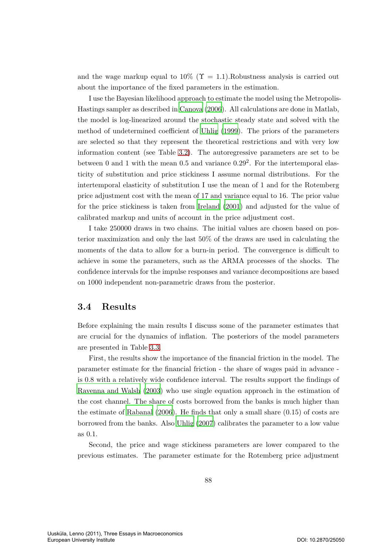and the wage markup equal to  $10\%$  ( $\Upsilon = 1.1$ ).Robustness analysis is carried out about the importance of the fixed parameters in the estimation.

I use the Bayesian likelihood approach to estimate the model using the Metropolis-Hastings sampler as described in [Canova](#page-102-5) [\(2006](#page-102-5)). All calculations are done in Matlab, the model is log-linearized around the stochastic steady state and solved with the method of undetermined coefficient of [Uhlig \(1999](#page-103-7)). The priors of the parameters are selected so that they represent the theoretical restrictions and with very low information content (see Table [3.2\)](#page-105-1). The autoregressive parameters are set to be between 0 and 1 with the mean 0.5 and variance 0.29<sup>2</sup>. For the intertemporal elasticity of substitution and price stickiness I assume normal distributions. For the intertemporal elasticity of substitution I use the mean of 1 and for the Rotemberg price adjustment cost with the mean of 17 and variance equal to 16. The prior value for the price stickiness is taken from [Ireland \(2001](#page-102-6)) and adjusted for the value of calibrated markup and units of account in the price adjustment cost.

I take 250000 draws in two chains. The initial values are chosen based on posterior maximization and only the last 50% of the draws are used in calculating the moments of the data to allow for a burn-in period. The convergence is difficult to achieve in some the parameters, such as the ARMA processes of the shocks. The confidence intervals for the impulse responses and variance decompositions are based on 1000 independent non-parametric draws from the posterior.

## **3.4 Results**

Before explaining the main results I discuss some of the parameter estimates that are crucial for the dynamics of inflation. The posteriors of the model parameters are presented in Table [3.3.](#page-106-0)

First, the results show the importance of the financial friction in the model. The parameter estimate for the financial friction - the share of wages paid in advance is 0*.*8 with a relatively wide confidence interval. The results support the findings of [Ravenna and Walsh \(2003](#page-103-1)) who use single equation approach in the estimation of the cost channel. The share of costs borrowed from the banks is much higher than the estimate of [Rabanal](#page-103-2) [\(2006\)](#page-103-2). He finds that only a small share (0*.*15) of costs are borrowed from the banks. Also [Uhlig \(2007](#page-103-3)) calibrates the parameter to a low value as 0*.*1.

Second, the price and wage stickiness parameters are lower compared to the previous estimates. The parameter estimate for the Rotemberg price adjustment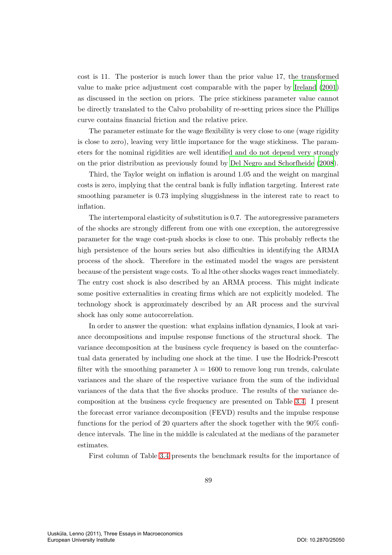cost is 11. The posterior is much lower than the prior value 17, the transformed value to make price adjustment cost comparable with the paper by [Ireland](#page-102-6) [\(2001](#page-102-6)) as discussed in the section on priors. The price stickiness parameter value cannot be directly translated to the Calvo probability of re-setting prices since the Phillips curve contains financial friction and the relative price.

The parameter estimate for the wage flexibility is very close to one (wage rigidity is close to zero), leaving very little importance for the wage stickiness. The parameters for the nominal rigidities are well identified and do not depend very strongly on the prior distribution as previously found by [Del Negro and Schorfheide](#page-102-7) [\(2008\)](#page-102-7).

Third, the Taylor weight on inflation is around 1*.*05 and the weight on marginal costs is zero, implying that the central bank is fully inflation targeting. Interest rate smoothing parameter is 0*.*73 implying sluggishness in the interest rate to react to inflation.

The intertemporal elasticity of substitution is 0*.*7. The autoregressive parameters of the shocks are strongly different from one with one exception, the autoregressive parameter for the wage cost-push shocks is close to one. This probably reflects the high persistence of the hours series but also difficulties in identifying the ARMA process of the shock. Therefore in the estimated model the wages are persistent because of the persistent wage costs. To al lthe other shocks wages react immediately. The entry cost shock is also described by an ARMA process. This might indicate some positive externalities in creating firms which are not explicitly modeled. The technology shock is approximately described by an AR process and the survival shock has only some autocorrelation.

In order to answer the question: what explains inflation dynamics, I look at variance decompositions and impulse response functions of the structural shock. The variance decomposition at the business cycle frequency is based on the counterfactual data generated by including one shock at the time. I use the Hodrick-Prescott filter with the smoothing parameter  $\lambda = 1600$  to remove long run trends, calculate variances and the share of the respective variance from the sum of the individual variances of the data that the five shocks produce. The results of the variance decomposition at the business cycle frequency are presented on Table [3.4.](#page-107-0) I present the forecast error variance decomposition (FEVD) results and the impulse response functions for the period of 20 quarters after the shock together with the 90% confidence intervals. The line in the middle is calculated at the medians of the parameter estimates.

First column of Table [3.4](#page-107-0) presents the benchmark results for the importance of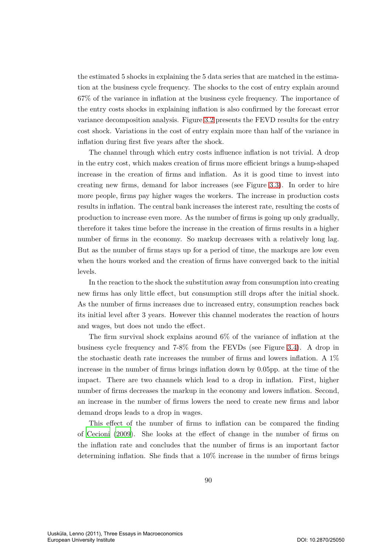the estimated 5 shocks in explaining the 5 data series that are matched in the estimation at the business cycle frequency. The shocks to the cost of entry explain around 67% of the variance in inflation at the business cycle frequency. The importance of the entry costs shocks in explaining inflation is also confirmed by the forecast error variance decomposition analysis. Figure [3.2](#page-108-0) presents the FEVD results for the entry cost shock. Variations in the cost of entry explain more than half of the variance in inflation during first five years after the shock.

The channel through which entry costs influence inflation is not trivial. A drop in the entry cost, which makes creation of firms more efficient brings a hump-shaped increase in the creation of firms and inflation. As it is good time to invest into creating new firms, demand for labor increases (see Figure [3.3\)](#page-109-0). In order to hire more people, firms pay higher wages the workers. The increase in production costs results in inflation. The central bank increases the interest rate, resulting the costs of production to increase even more. As the number of firms is going up only gradually, therefore it takes time before the increase in the creation of firms results in a higher number of firms in the economy. So markup decreases with a relatively long lag. But as the number of firms stays up for a period of time, the markups are low even when the hours worked and the creation of firms have converged back to the initial levels.

In the reaction to the shock the substitution away from consumption into creating new firms has only little effect, but consumption still drops after the initial shock. As the number of firms increases due to increased entry, consumption reaches back its initial level after 3 years. However this channel moderates the reaction of hours and wages, but does not undo the effect.

The firm survival shock explains around 6% of the variance of inflation at the business cycle frequency and 7-8% from the FEVDs (see Figure [3.4\)](#page-110-0). A drop in the stochastic death rate increases the number of firms and lowers inflation. A 1% increase in the number of firms brings inflation down by 0*.*05pp. at the time of the impact. There are two channels which lead to a drop in inflation. First, higher number of firms decreases the markup in the economy and lowers inflation. Second, an increase in the number of firms lowers the need to create new firms and labor demand drops leads to a drop in wages.

This effect of the number of firms to inflation can be compared the finding of [Cecioni \(2009](#page-102-8)). She looks at the effect of change in the number of firms on the inflation rate and concludes that the number of firms is an important factor determining inflation. She finds that a 10% increase in the number of firms brings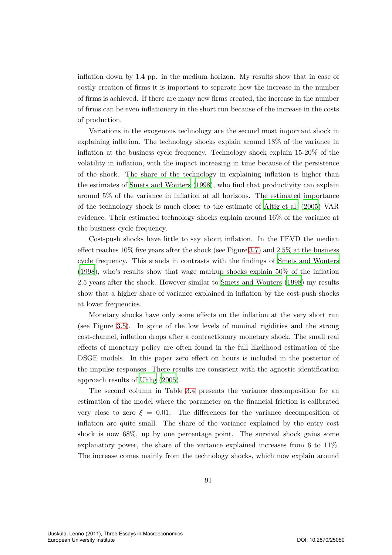inflation down by 1.4 pp. in the medium horizon. My results show that in case of costly creation of firms it is important to separate how the increase in the number of firms is achieved. If there are many new firms created, the increase in the number of firms can be even inflationary in the short run because of the increase in the costs of production.

Variations in the exogenous technology are the second most important shock in explaining inflation. The technology shocks explain around 18% of the variance in inflation at the business cycle frequency. Technology shock explain 15-20% of the volatility in inflation, with the impact increasing in time because of the persistence of the shock. The share of the technology in explaining inflation is higher than the estimates of [Smets and Wouters \(1998](#page-103-0)), who find that productivity can explain around 5% of the variance in inflation at all horizons. The estimated importance of the technology shock is much closer to the estimate of [Altig et al.](#page-102-3) [\(2005\)](#page-102-3) VAR evidence. Their estimated technology shocks explain around 16% of the variance at the business cycle frequency.

Cost-push shocks have little to say about inflation. In the FEVD the median effect reaches 10% five years after the shock (see Figure [3.7\)](#page-113-0) and 2.5% at the business cycle frequency. This stands in contrasts with the findings of [Smets and Wouters](#page-103-0) [\(1998\)](#page-103-0), who's results show that wage markup shocks explain 50% of the inflation 2.5 years after the shock. However similar to [Smets and Wouters](#page-103-0) [\(1998\)](#page-103-0) my results show that a higher share of variance explained in inflation by the cost-push shocks at lower frequencies.

Monetary shocks have only some effects on the inflation at the very short run (see Figure [3.5\)](#page-111-0). In spite of the low levels of nominal rigidities and the strong cost-channel, inflation drops after a contractionary monetary shock. The small real effects of monetary policy are often found in the full likelihood estimation of the DSGE models. In this paper zero effect on hours is included in the posterior of the impulse responses. There results are consistent with the agnostic identification approach results of [Uhlig](#page-103-8) [\(2005](#page-103-8)).

The second column in Table [3.4](#page-107-0) presents the variance decomposition for an estimation of the model where the parameter on the financial friction is calibrated very close to zero  $\xi = 0.01$ . The differences for the variance decomposition of inflation are quite small. The share of the variance explained by the entry cost shock is now 68%, up by one percentage point. The survival shock gains some explanatory power, the share of the variance explained increases from 6 to 11%. The increase comes mainly from the technology shocks, which now explain around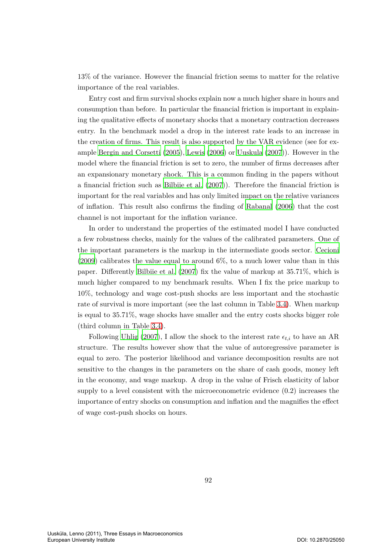13% of the variance. However the financial friction seems to matter for the relative importance of the real variables.

Entry cost and firm survival shocks explain now a much higher share in hours and consumption than before. In particular the financial friction is important in explaining the qualitative effects of monetary shocks that a monetary contraction decreases entry. In the benchmark model a drop in the interest rate leads to an increase in the creation of firms. This result is also supported by the VAR evidence (see for example [Bergin and Corsetti \(2005](#page-102-9)), [Lewis](#page-103-9) [\(2006\)](#page-103-9) or [Uuskula](#page-103-6) [\(2007\)](#page-103-6)). However in the model where the financial friction is set to zero, the number of firms decreases after an expansionary monetary shock. This is a common finding in the papers without a financial friction such as [Bilbiie et al.](#page-102-1) [\(2007\)](#page-102-1)). Therefore the financial friction is important for the real variables and has only limited impact on the relative variances of inflation. This result also confirms the finding of [Rabanal](#page-103-2) [\(2006](#page-103-2)) that the cost channel is not important for the inflation variance.

In order to understand the properties of the estimated model I have conducted a few robustness checks, mainly for the values of the calibrated parameters. One of the important parameters is the markup in the intermediate goods sector. [Cecioni](#page-102-8) [\(2009\)](#page-102-8) calibrates the value equal to around 6%, to a much lower value than in this paper. Differently [Bilbiie et al.](#page-102-1) [\(2007\)](#page-102-1) fix the value of markup at 35*.*71%, which is much higher compared to my benchmark results. When I fix the price markup to 10%, technology and wage cost-push shocks are less important and the stochastic rate of survival is more important (see the last column in Table [3.4\)](#page-107-0). When markup is equal to 35.71%, wage shocks have smaller and the entry costs shocks bigger role (third column in Table [3.4\)](#page-107-0).

Following [Uhlig \(2007](#page-103-3)), I allow the shock to the interest rate  $\epsilon_{t,i}$  to have an AR structure. The results however show that the value of autoregressive parameter is equal to zero. The posterior likelihood and variance decomposition results are not sensitive to the changes in the parameters on the share of cash goods, money left in the economy, and wage markup. A drop in the value of Frisch elasticity of labor supply to a level consistent with the microeconometric evidence (0*.*2) increases the importance of entry shocks on consumption and inflation and the magnifies the effect of wage cost-push shocks on hours.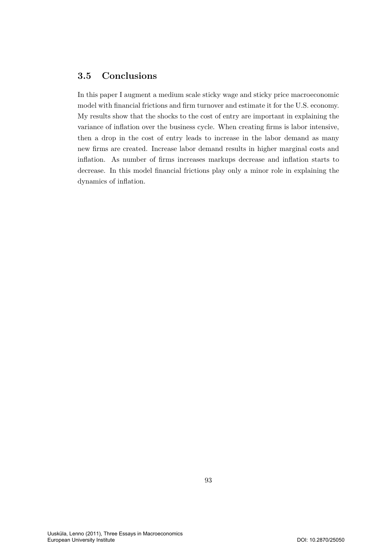# **3.5 Conclusions**

In this paper I augment a medium scale sticky wage and sticky price macroeconomic model with financial frictions and firm turnover and estimate it for the U.S. economy. My results show that the shocks to the cost of entry are important in explaining the variance of inflation over the business cycle. When creating firms is labor intensive, then a drop in the cost of entry leads to increase in the labor demand as many new firms are created. Increase labor demand results in higher marginal costs and inflation. As number of firms increases markups decrease and inflation starts to decrease. In this model financial frictions play only a minor role in explaining the dynamics of inflation.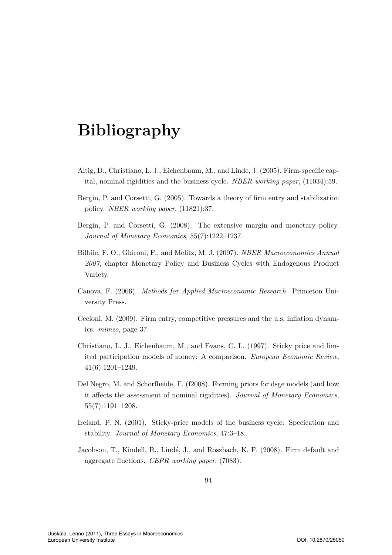# **Bibliography**

- <span id="page-102-3"></span>Altig, D., Christiano, L. J., Eichenbaum, M., and Linde, J. (2005). Firm-specific capital, nominal rigidities and the business cycle. *NBER working paper*, (11034):59.
- <span id="page-102-9"></span>Bergin, P. and Corsetti, G. (2005). Towards a theory of firm entry and stabilization policy. *NBER working paper*, (11821):37.
- <span id="page-102-0"></span>Bergin, P. and Corsetti, G. (2008). The extensive margin and monetary policy. *Journal of Monetary Economics*, 55(7):1222–1237.
- <span id="page-102-1"></span>Bilbiie, F. O., Ghironi, F., and Melitz, M. J. (2007). *NBER Macroeconomics Annual 2007*, chapter Monetary Policy and Business Cycles with Endogenous Product Variety.
- <span id="page-102-5"></span>Canova, F. (2006). *Methods for Applied Macroeconomic Research*. Princeton University Press.
- <span id="page-102-8"></span>Cecioni, M. (2009). Firm entry, competitive pressures and the u.s. inflation dynamics. *mimeo*, page 37.
- <span id="page-102-2"></span>Christiano, L. J., Eichenbaum, M., and Evans, C. L. (1997). Sticky price and limited participation models of money: A comparison. *European Economic Review*, 41(6):1201–1249.
- <span id="page-102-7"></span>Del Negro, M. and Schorfheide, F. (f2008). Forming priors for dsge models (and how it affects the assessment of nominal rigidities). *Journal of Monetary Economics*, 55(7):1191–1208.
- <span id="page-102-6"></span>Ireland, P. N. (2001). Sticky-price models of the business cycle: Specication and stability. *Journal of Monetary Economics*, 47:3–18.
- <span id="page-102-4"></span>Jacobson, T., Kindell, R., Lindé, J., and Roszbach, K. F. (2008). Firm default and aggregate fluctions. *CEPR working paper*, (7083).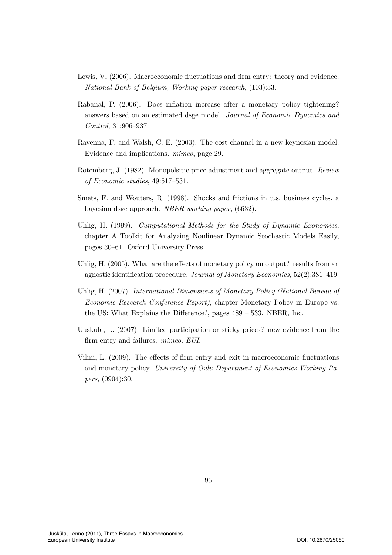- <span id="page-103-9"></span>Lewis, V. (2006). Macroeconomic fluctuations and firm entry: theory and evidence. *National Bank of Belgium, Working paper research*, (103):33.
- <span id="page-103-2"></span>Rabanal, P. (2006). Does inflation increase after a monetary policy tightening? answers based on an estimated dsge model. *Journal of Economic Dynamics and Control*, 31:906–937.
- <span id="page-103-1"></span>Ravenna, F. and Walsh, C. E. (2003). The cost channel in a new keynesian model: Evidence and implications. *mimeo*, page 29.
- <span id="page-103-4"></span>Rotemberg, J. (1982). Monopolsitic price adjustment and aggregate output. *Review of Economic studies*, 49:517–531.
- <span id="page-103-0"></span>Smets, F. and Wouters, R. (1998). Shocks and frictions in u.s. business cycles. a bayesian dsge approach. *NBER working paper*, (6632).
- <span id="page-103-7"></span>Uhlig, H. (1999). *Cumputational Methods for the Study of Dynamic Exonomies*, chapter A Toolkit for Analyzing Nonlinear Dynamic Stochastic Models Easily, pages 30–61. Oxford University Press.
- <span id="page-103-8"></span>Uhlig, H. (2005). What are the effects of monetary policy on output? results from an agnostic identification procedure. *Journal of Monetary Economics*, 52(2):381–419.
- <span id="page-103-3"></span>Uhlig, H. (2007). *International Dimensions of Monetary Policy (National Bureau of Economic Research Conference Report)*, chapter Monetary Policy in Europe vs. the US: What Explains the Difference?, pages 489 – 533. NBER, Inc.
- <span id="page-103-6"></span>Uuskula, L. (2007). Limited participation or sticky prices? new evidence from the firm entry and failures. *mimeo, EUI*.
- <span id="page-103-5"></span>Vilmi, L. (2009). The effects of firm entry and exit in macroeconomic fluctuations and monetary policy. *University of Oulu Department of Economics Working Papers*, (0904):30.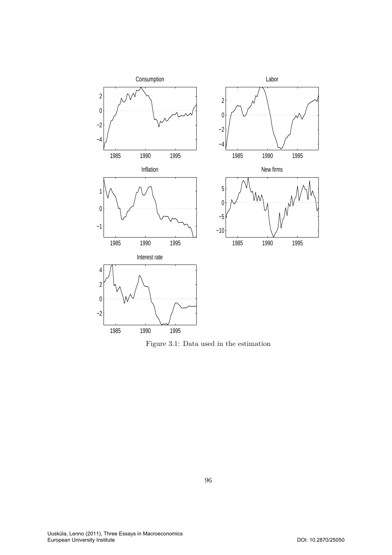<span id="page-104-0"></span>

Figure 3.1: Data used in the estimation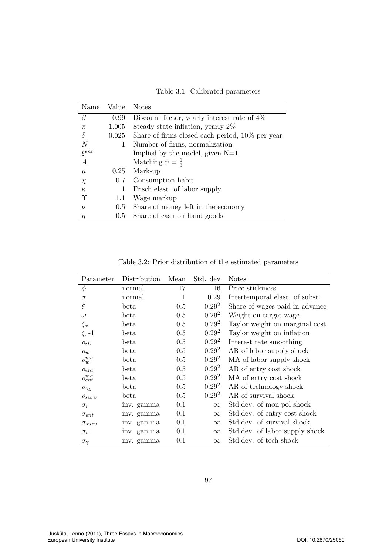Table 3.1: Calibrated parameters

<span id="page-105-0"></span>

| Name           | Value | <b>Notes</b>                                       |
|----------------|-------|----------------------------------------------------|
| $\beta$        | 0.99  | Discount factor, yearly interest rate of $4\%$     |
| $\pi$          | 1.005 | Steady state inflation, yearly $2\%$               |
| δ              | 0.025 | Share of firms closed each period, $10\%$ per year |
| N              | 1     | Number of firms, normalization                     |
| $\xi^{ent}$    |       | Implied by the model, given $N=1$                  |
| $\overline{A}$ |       | Matching $\bar{n} = \frac{1}{3}$                   |
| $\mu$          | 0.25  | Mark-up                                            |
| $\chi$         | 0.7   | Consumption habit                                  |
| $\kappa$       | 1     | Frisch elast. of labor supply                      |
| Υ              | 1.1   | Wage markup                                        |
| $\nu$          | 0.5   | Share of money left in the economy                 |
| η              | 0.5   | Share of cash on hand goods                        |

Table 3.2: Prior distribution of the estimated parameters

<span id="page-105-1"></span>

| Parameter         | Distribution | Mean    | Std. dev   | <b>Notes</b>                   |
|-------------------|--------------|---------|------------|--------------------------------|
| $\phi$            | normal       | 17      | 16         | Price stickiness               |
| $\sigma$          | normal       | 1       | 0.29       | Intertemporal elast. of subst. |
| ξ                 | beta         | 0.5     | $0.29^{2}$ | Share of wages paid in advance |
| $\omega$          | beta         | 0.5     | $0.29^{2}$ | Weight on target wage          |
| $\zeta_x$         | beta         | 0.5     | $0.29^{2}$ | Taylor weight on marginal cost |
| $\zeta_{\pi}$ -1  | beta         | 0.5     | $0.29^{2}$ | Taylor weight on inflation     |
| $\rho_{iL}$       | beta         | 0.5     | $0.29^{2}$ | Interest rate smoothing        |
| $\rho_w$          | beta         | 0.5     | $0.29^{2}$ | AR of labor supply shock       |
| $\rho_w^{ma}$     | beta         | 0.5     | $0.29^{2}$ | MA of labor supply shock       |
| $\rho_{ent}$      | beta         | 0.5     | $0.29^{2}$ | AR of entry cost shock         |
| $\rho_{ent}^{ma}$ | beta         | 0.5     | $0.29^{2}$ | MA of entry cost shock         |
| $\rho_{\gamma_L}$ | beta         | $0.5\,$ | $0.29^{2}$ | AR of technology shock         |
| $\rho_{surv}$     | beta         | 0.5     | $0.29^{2}$ | AR of survival shock           |
| $\sigma_i$        | inv. gamma   | 0.1     | $\infty$   | Std.dev. of mon.pol shock      |
| $\sigma_{ent}$    | inv. gamma   | 0.1     | $\infty$   | Std.dev. of entry cost shock   |
| $\sigma_{surv}$   | inv. gamma   | 0.1     | $\infty$   | Std.dev. of survival shock     |
| $\sigma_w$        | inv. gamma   | 0.1     | $\infty$   | Std.dev. of labor supply shock |
| $\sigma_{\gamma}$ | inv. gamma   | 0.1     | $\infty$   | Std.dev. of tech shock         |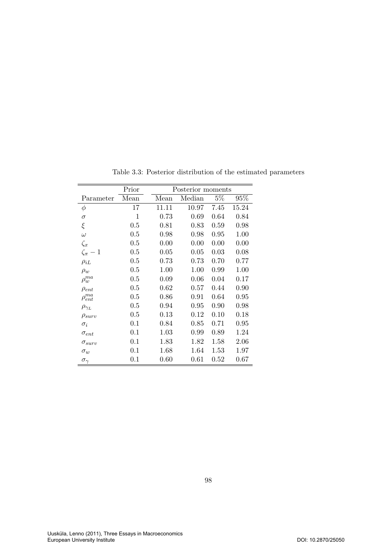<span id="page-106-0"></span>

|                   | Prior   |       | Posterior moments |       |          |  |
|-------------------|---------|-------|-------------------|-------|----------|--|
| Parameter         | Mean    | Mean  | Median            | $5\%$ | 95%      |  |
| $\phi$            | 17      | 11.11 | 10.97             | 7.45  | 15.24    |  |
| $\sigma$          | 1       | 0.73  | 0.69              | 0.64  | 0.84     |  |
| $\xi$             | 0.5     | 0.81  | 0.83              | 0.59  | 0.98     |  |
| $\omega$          | 0.5     | 0.98  | 0.98              | 0.95  | 1.00     |  |
| $\zeta_x$         | 0.5     | 0.00  | 0.00              | 0.00  | 0.00     |  |
| $\zeta_\pi-1$     | 0.5     | 0.05  | 0.05              | 0.03  | 0.08     |  |
| $\rho_{iL}$       | $0.5\,$ | 0.73  | 0.73              | 0.70  | 0.77     |  |
| $\rho_w$          | 0.5     | 1.00  | 1.00              | 0.99  | 1.00     |  |
| $\rho_w^{ma}$     | 0.5     | 0.09  | 0.06              | 0.04  | 0.17     |  |
| $\rho_{ent}$      | $0.5\,$ | 0.62  | 0.57              | 0.44  | 0.90     |  |
| $\rho_{ent}^{ma}$ | 0.5     | 0.86  | 0.91              | 0.64  | 0.95     |  |
| $\rho_{\gamma_L}$ | 0.5     | 0.94  | 0.95              | 0.90  | 0.98     |  |
| $\rho_{surv}$     | 0.5     | 0.13  | 0.12              | 0.10  | 0.18     |  |
| $\sigma_i$        | 0.1     | 0.84  | 0.85              | 0.71  | 0.95     |  |
| $\sigma_{ent}$    | 0.1     | 1.03  | 0.99              | 0.89  | 1.24     |  |
| $\sigma_{surv}$   | 0.1     | 1.83  | 1.82              | 1.58  | 2.06     |  |
| $\sigma_w$        | $0.1\,$ | 1.68  | 1.64              | 1.53  | 1.97     |  |
| $\sigma_{\gamma}$ | 0.1     | 0.60  | 0.61              | 0.52  | $0.67\,$ |  |

Table 3.3: Posterior distribution of the estimated parameters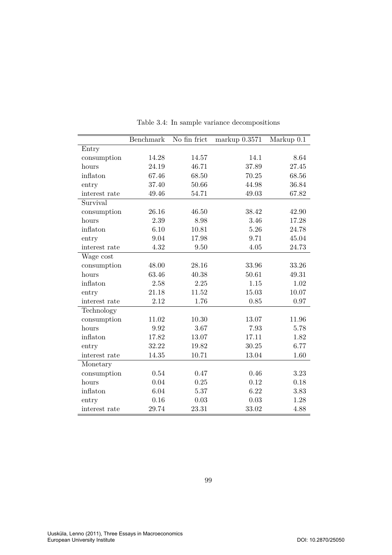<span id="page-107-0"></span>

|               | Benchmark | No fin frict | markup 0.3571 | Markup 0.1 |
|---------------|-----------|--------------|---------------|------------|
| Entry         |           |              |               |            |
| consumption   | 14.28     | 14.57        | 14.1          | 8.64       |
| hours         | 24.19     | 46.71        | 37.89         | 27.45      |
| inflaton      | 67.46     | 68.50        | 70.25         | 68.56      |
| entry         | 37.40     | 50.66        | 44.98         | 36.84      |
| interest rate | 49.46     | 54.71        | 49.03         | 67.82      |
| Survival      |           |              |               |            |
| consumption   | 26.16     | 46.50        | 38.42         | 42.90      |
| hours         | 2.39      | 8.98         | 3.46          | 17.28      |
| inflaton      | 6.10      | 10.81        | 5.26          | 24.78      |
| entry         | 9.04      | 17.98        | 9.71          | 45.04      |
| interest rate | 4.32      | 9.50         | 4.05          | 24.73      |
| Wage cost     |           |              |               |            |
| consumption   | 48.00     | 28.16        | 33.96         | 33.26      |
| hours         | 63.46     | 40.38        | 50.61         | 49.31      |
| inflaton      | 2.58      | 2.25         | 1.15          | 1.02       |
| entry         | 21.18     | 11.52        | 15.03         | 10.07      |
| interest rate | 2.12      | 1.76         | 0.85          | 0.97       |
| Technology    |           |              |               |            |
| consumption   | 11.02     | 10.30        | 13.07         | 11.96      |
| hours         | 9.92      | 3.67         | 7.93          | 5.78       |
| inflaton      | 17.82     | 13.07        | 17.11         | 1.82       |
| entry         | 32.22     | 19.82        | 30.25         | 6.77       |
| interest rate | 14.35     | 10.71        | 13.04         | 1.60       |
| Monetary      |           |              |               |            |
| consumption   | 0.54      | 0.47         | 0.46          | 3.23       |
| hours         | 0.04      | 0.25         | 0.12          | 0.18       |
| inflaton      | 6.04      | 5.37         | 6.22          | 3.83       |
| entry         | 0.16      | 0.03         | 0.03          | 1.28       |
| interest rate | 29.74     | 23.31        | 33.02         | 4.88       |

Table 3.4: In sample variance decompositions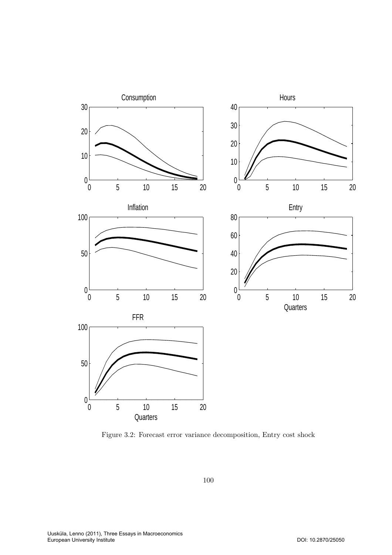

Figure 3.2: Forecast error variance decomposition, Entry cost shock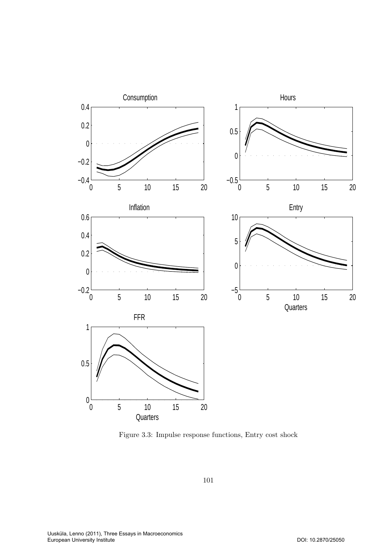

Figure 3.3: Impulse response functions, Entry cost shock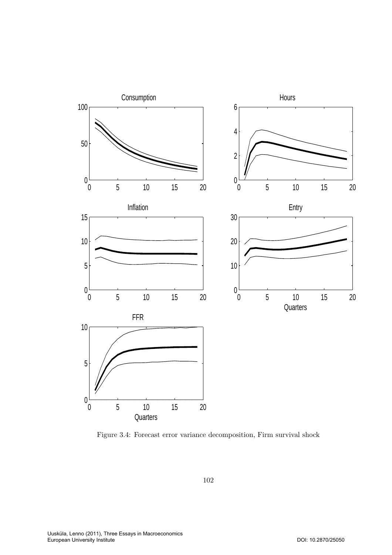

Figure 3.4: Forecast error variance decomposition, Firm survival shock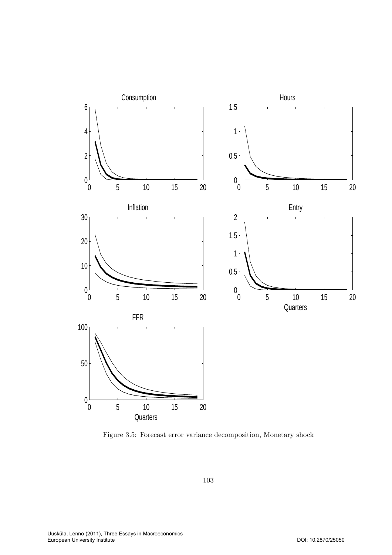

Figure 3.5: Forecast error variance decomposition, Monetary shock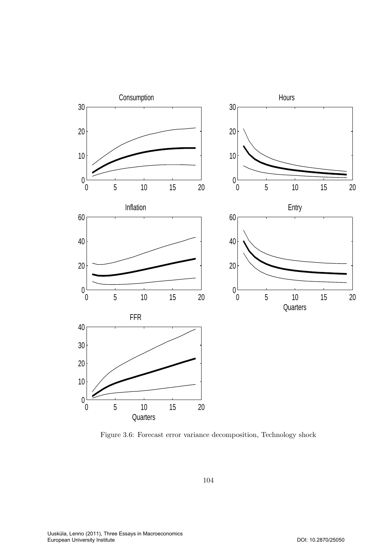

Figure 3.6: Forecast error variance decomposition, Technology shock